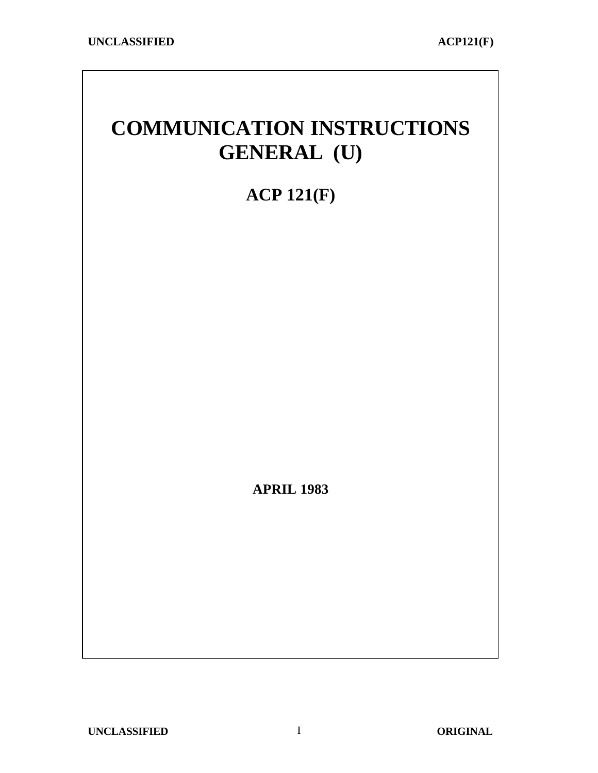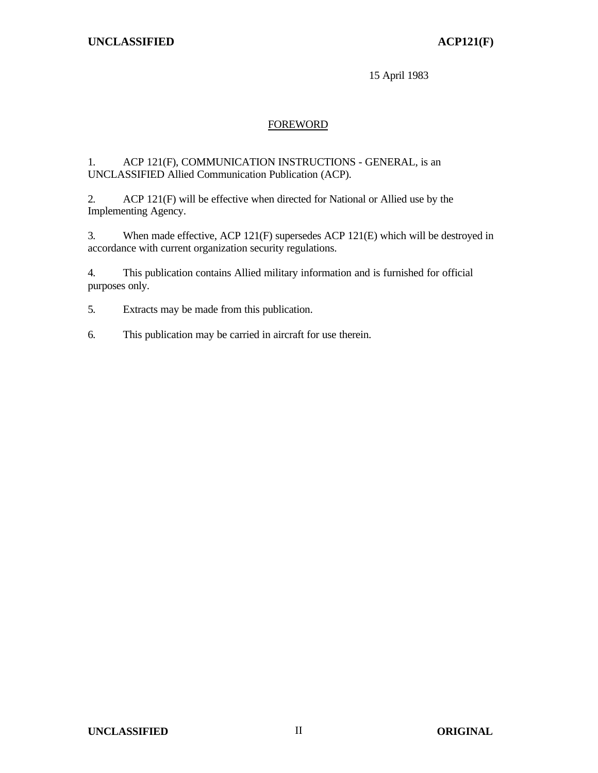15 April 1983

## FOREWORD

#### 1. ACP 121(F), COMMUNICATION INSTRUCTIONS - GENERAL, is an UNCLASSIFIED Allied Communication Publication (ACP).

2. ACP 121(F) will be effective when directed for National or Allied use by the Implementing Agency.

3. When made effective, ACP 121(F) supersedes ACP 121(E) which will be destroyed in accordance with current organization security regulations.

4. This publication contains Allied military information and is furnished for official purposes only.

5. Extracts may be made from this publication.

6. This publication may be carried in aircraft for use therein.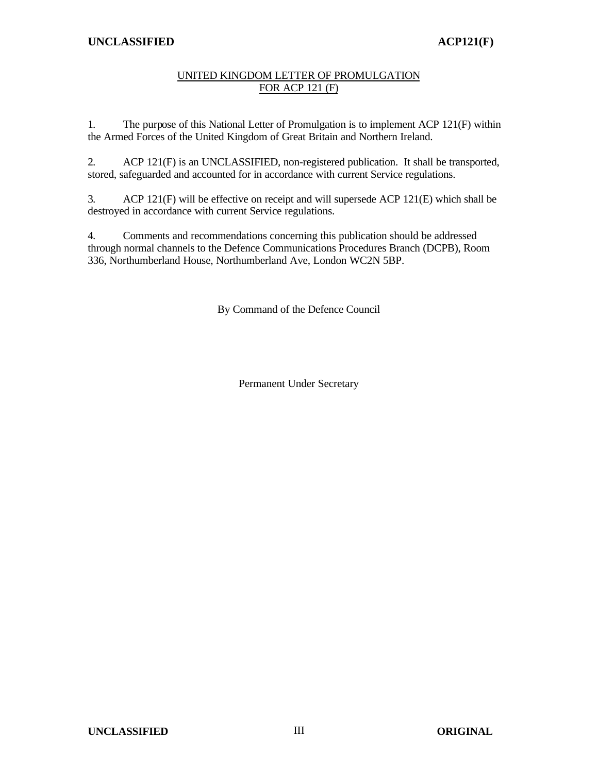## UNITED KINGDOM LETTER OF PROMULGATION FOR ACP 121 (F)

1. The purpose of this National Letter of Promulgation is to implement ACP 121(F) within the Armed Forces of the United Kingdom of Great Britain and Northern Ireland.

2. ACP 121(F) is an UNCLASSIFIED, non-registered publication. It shall be transported, stored, safeguarded and accounted for in accordance with current Service regulations.

3. ACP 121(F) will be effective on receipt and will supersede ACP 121(E) which shall be destroyed in accordance with current Service regulations.

4. Comments and recommendations concerning this publication should be addressed through normal channels to the Defence Communications Procedures Branch (DCPB), Room 336, Northumberland House, Northumberland Ave, London WC2N 5BP.

By Command of the Defence Council

Permanent Under Secretary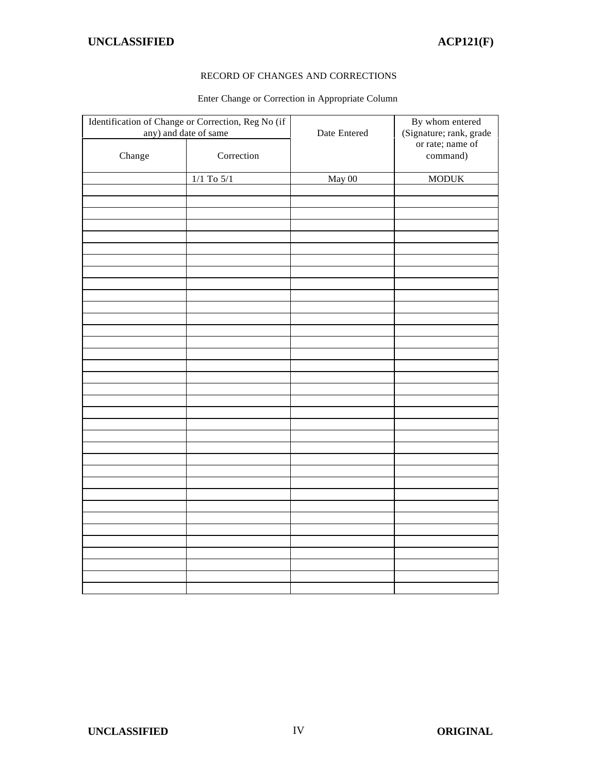#### RECORD OF CHANGES AND CORRECTIONS

#### Enter Change or Correction in Appropriate Column

|        | Identification of Change or Correction, Reg No (if<br>any) and date of same | Date Entered | By whom entered<br>(Signature; rank, grade<br>or rate; name of<br>command) |  |
|--------|-----------------------------------------------------------------------------|--------------|----------------------------------------------------------------------------|--|
| Change | Correction                                                                  |              |                                                                            |  |
|        | $1/1$ To $5/1$                                                              | May 00       | <b>MODUK</b>                                                               |  |
|        |                                                                             |              |                                                                            |  |
|        |                                                                             |              |                                                                            |  |
|        |                                                                             |              |                                                                            |  |
|        |                                                                             |              |                                                                            |  |
|        |                                                                             |              |                                                                            |  |
|        |                                                                             |              |                                                                            |  |
|        |                                                                             |              |                                                                            |  |
|        |                                                                             |              |                                                                            |  |
|        |                                                                             |              |                                                                            |  |
|        |                                                                             |              |                                                                            |  |
|        |                                                                             |              |                                                                            |  |
|        |                                                                             |              |                                                                            |  |
|        |                                                                             |              |                                                                            |  |
|        |                                                                             |              |                                                                            |  |
|        |                                                                             |              |                                                                            |  |
|        |                                                                             |              |                                                                            |  |
|        |                                                                             |              |                                                                            |  |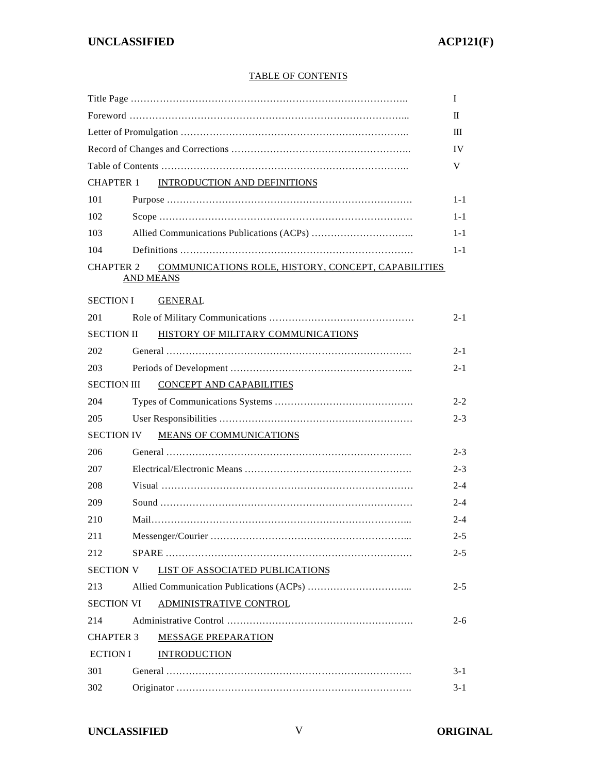#### TABLE OF CONTENTS

|                    |                  |                                                     | Ι       |
|--------------------|------------------|-----------------------------------------------------|---------|
|                    |                  |                                                     | П       |
|                    |                  |                                                     | Ш       |
|                    |                  |                                                     | IV      |
|                    |                  |                                                     | V       |
| <b>CHAPTER 1</b>   |                  | <b>INTRODUCTION AND DEFINITIONS</b>                 |         |
| 101                |                  |                                                     | $1 - 1$ |
| 102                |                  |                                                     | 1-1     |
| 103                |                  |                                                     | $1 - 1$ |
| 104                |                  |                                                     | $1 - 1$ |
| <b>CHAPTER 2</b>   | <b>AND MEANS</b> | COMMUNICATIONS ROLE, HISTORY, CONCEPT, CAPABILITIES |         |
| <b>SECTION I</b>   |                  | <b>GENERAL</b>                                      |         |
| 201                |                  |                                                     | 2-1     |
| <b>SECTION II</b>  |                  | HISTORY OF MILITARY COMMUNICATIONS                  |         |
| 202                |                  |                                                     | $2 - 1$ |
| 203                |                  |                                                     | 2-1     |
| <b>SECTION III</b> |                  | <b>CONCEPT AND CAPABILITIES</b>                     |         |
| 204                |                  |                                                     | $2 - 2$ |
| 205                |                  |                                                     | $2 - 3$ |
| <b>SECTION IV</b>  |                  | <b>MEANS OF COMMUNICATIONS</b>                      |         |
| 206                |                  |                                                     | $2 - 3$ |
| 207                |                  |                                                     | $2 - 3$ |
| 208                |                  |                                                     | $2 - 4$ |
| 209                |                  |                                                     | $2 - 4$ |
| 210                |                  |                                                     | 2-4     |
| 211                |                  |                                                     | $2 - 5$ |
| 212                |                  |                                                     | $2 - 5$ |
| <b>SECTION V</b>   |                  | <b>LIST OF ASSOCIATED PUBLICATIONS</b>              |         |
| 213                |                  |                                                     | $2 - 5$ |
| <b>SECTION VI</b>  |                  | ADMINISTRATIVE CONTROL                              |         |
| 214                |                  |                                                     | $2 - 6$ |
| <b>CHAPTER 3</b>   |                  | <b>MESSAGE PREPARATION</b>                          |         |
| <b>ECTION I</b>    |                  | <b>INTRODUCTION</b>                                 |         |
| 301                |                  |                                                     | $3 - 1$ |
| 302                |                  |                                                     | $3 - 1$ |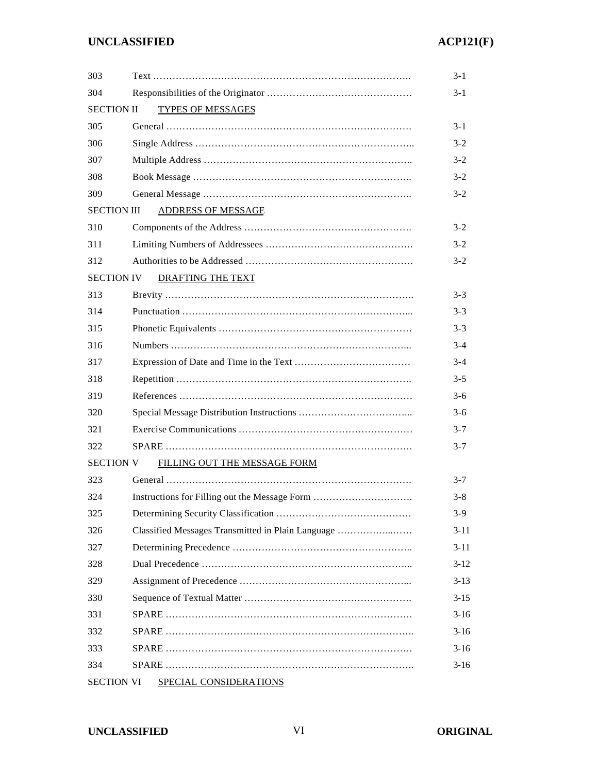| 303                |                                                   | $3-1$    |
|--------------------|---------------------------------------------------|----------|
| 304                |                                                   | $3-1$    |
| <b>SECTION II</b>  | <b>TYPES OF MESSAGES</b>                          |          |
| 305                |                                                   | $3-1$    |
| 306                |                                                   | $3 - 2$  |
| 307                |                                                   | $3 - 2$  |
| 308                |                                                   | $3 - 2$  |
| 309                |                                                   | $3 - 2$  |
| <b>SECTION III</b> | <b>ADDRESS OF MESSAGE</b>                         |          |
| 310                |                                                   | $3 - 2$  |
| 311                |                                                   | $3 - 2$  |
| 312                |                                                   | $3 - 2$  |
| <b>SECTION IV</b>  | <b>DRAFTING THE TEXT</b>                          |          |
| 313                |                                                   | $3 - 3$  |
| 314                |                                                   | $3 - 3$  |
| 315                |                                                   | $3 - 3$  |
| 316                |                                                   | $3 - 4$  |
| 317                |                                                   | $3 - 4$  |
| 318                |                                                   | $3 - 5$  |
| 319                |                                                   | $3-6$    |
| 320                |                                                   | $3 - 6$  |
| 321                |                                                   | $3 - 7$  |
| 322                |                                                   | $3 - 7$  |
| <b>SECTION V</b>   | FILLING OUT THE MESSAGE FORM                      |          |
| 323                |                                                   | $3 - 7$  |
| 324                | Instructions for Filling out the Message Form     | $3 - 8$  |
| 325                |                                                   | $3-9$    |
| 326                | Classified Messages Transmitted in Plain Language | $3 - 11$ |
| 327                |                                                   | $3-11$   |
| 328                |                                                   | $3-12$   |
| 329                |                                                   | $3 - 13$ |
| 330                |                                                   | $3 - 15$ |
| 331                |                                                   | $3-16$   |
| 332                |                                                   | $3-16$   |
| 333                |                                                   | $3-16$   |
| 334                |                                                   | $3-16$   |
| <b>SECTION VI</b>  | <b>SPECIAL CONSIDERATIONS</b>                     |          |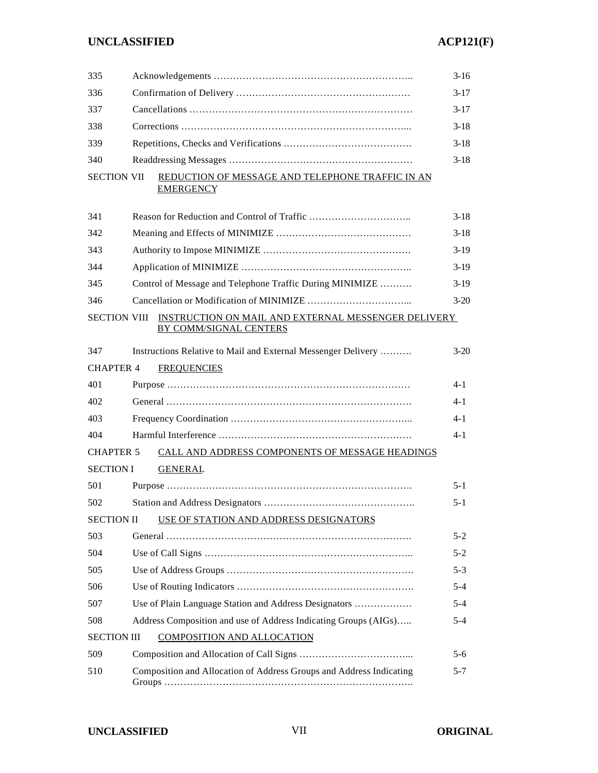## **UNCLASSIFIED ACP121(F)**

| 335                 |  |                                                                               | $3-16$   |  |  |
|---------------------|--|-------------------------------------------------------------------------------|----------|--|--|
| 336                 |  |                                                                               |          |  |  |
| 337                 |  |                                                                               |          |  |  |
| 338                 |  |                                                                               |          |  |  |
| 339                 |  |                                                                               | $3-18$   |  |  |
| 340                 |  |                                                                               | $3 - 18$ |  |  |
| <b>SECTION VII</b>  |  | REDUCTION OF MESSAGE AND TELEPHONE TRAFFIC IN AN<br><b>EMERGENCY</b>          |          |  |  |
| 341                 |  |                                                                               | $3-18$   |  |  |
| 342                 |  |                                                                               | $3-18$   |  |  |
| 343                 |  |                                                                               | $3-19$   |  |  |
| 344                 |  |                                                                               | $3-19$   |  |  |
| 345                 |  | Control of Message and Telephone Traffic During MINIMIZE                      | $3-19$   |  |  |
| 346                 |  |                                                                               | $3 - 20$ |  |  |
| <b>SECTION VIII</b> |  | INSTRUCTION ON MAIL AND EXTERNAL MESSENGER DELIVERY<br>BY COMM/SIGNAL CENTERS |          |  |  |
| 347                 |  | Instructions Relative to Mail and External Messenger Delivery                 | $3 - 20$ |  |  |
| <b>CHAPTER 4</b>    |  | <b>FREQUENCIES</b>                                                            |          |  |  |
| 401                 |  |                                                                               | 4-1      |  |  |
| 402                 |  |                                                                               | $4 - 1$  |  |  |
| 403                 |  |                                                                               | 4-1      |  |  |
| 404                 |  |                                                                               | $4 - 1$  |  |  |
| <b>CHAPTER 5</b>    |  | CALL AND ADDRESS COMPONENTS OF MESSAGE HEADINGS                               |          |  |  |
| <b>SECTION I</b>    |  | <b>GENERAL</b>                                                                |          |  |  |
| 501                 |  |                                                                               | $5 - 1$  |  |  |
| 502                 |  |                                                                               | $5 - 1$  |  |  |
| <b>SECTION II</b>   |  | USE OF STATION AND ADDRESS DESIGNATORS                                        |          |  |  |
| 503                 |  |                                                                               | 5-2      |  |  |
| 504                 |  |                                                                               | $5 - 2$  |  |  |
| 505                 |  |                                                                               | $5 - 3$  |  |  |
| 506                 |  |                                                                               | $5 - 4$  |  |  |
| 507                 |  | Use of Plain Language Station and Address Designators                         | $5 - 4$  |  |  |
| 508                 |  | Address Composition and use of Address Indicating Groups (AIGs)               | $5 - 4$  |  |  |
| <b>SECTION III</b>  |  | <b>COMPOSITION AND ALLOCATION</b>                                             |          |  |  |
| 509                 |  |                                                                               | $5-6$    |  |  |
| 510                 |  | Composition and Allocation of Address Groups and Address Indicating           | 5-7      |  |  |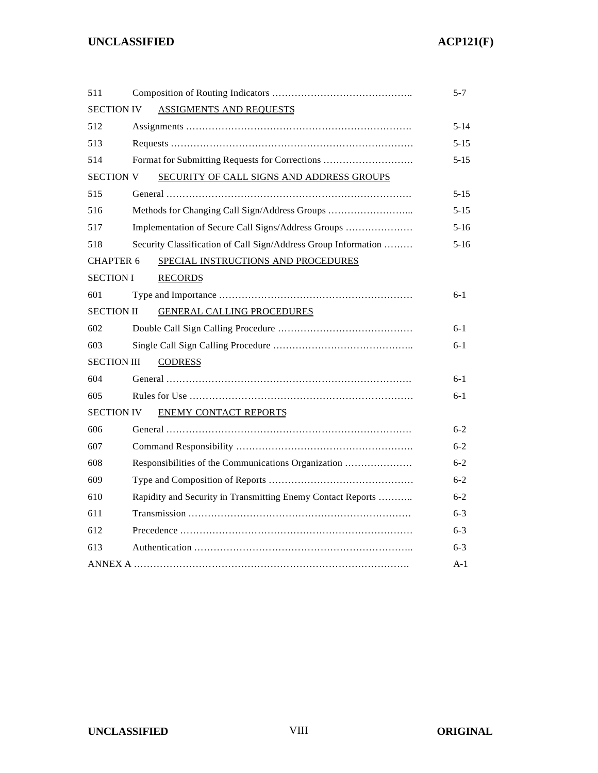| 511                |                                                                | 5-7      |
|--------------------|----------------------------------------------------------------|----------|
| <b>SECTION IV</b>  | <b>ASSIGMENTS AND REQUESTS</b>                                 |          |
| 512                |                                                                | $5 - 14$ |
| 513                |                                                                | $5 - 15$ |
| 514                | Format for Submitting Requests for Corrections                 | 5-15     |
| <b>SECTION V</b>   | SECURITY OF CALL SIGNS AND ADDRESS GROUPS                      |          |
| 515                |                                                                | 5-15     |
| 516                | Methods for Changing Call Sign/Address Groups                  | $5 - 15$ |
| 517                | Implementation of Secure Call Signs/Address Groups             | $5-16$   |
| 518                | Security Classification of Call Sign/Address Group Information | $5-16$   |
| <b>CHAPTER 6</b>   | SPECIAL INSTRUCTIONS AND PROCEDURES                            |          |
| <b>SECTION I</b>   | <b>RECORDS</b>                                                 |          |
| 601                |                                                                | $6 - 1$  |
| <b>SECTION II</b>  | <b>GENERAL CALLING PROCEDURES</b>                              |          |
| 602                |                                                                | $6-1$    |
| 603                |                                                                | $6 - 1$  |
| <b>SECTION III</b> | <b>CODRESS</b>                                                 |          |
| 604                |                                                                | $6-1$    |
| 605                |                                                                | $6 - 1$  |
| <b>SECTION IV</b>  | <b>ENEMY CONTACT REPORTS</b>                                   |          |
| 606                |                                                                | $6 - 2$  |
| 607                |                                                                | $6 - 2$  |
| 608                | Responsibilities of the Communications Organization            | $6 - 2$  |
| 609                |                                                                | $6-2$    |
| 610                | Rapidity and Security in Transmitting Enemy Contact Reports    | $6 - 2$  |
| 611                |                                                                | $6 - 3$  |
| 612                |                                                                | $6 - 3$  |
| 613                |                                                                | $6 - 3$  |
|                    |                                                                | A-1      |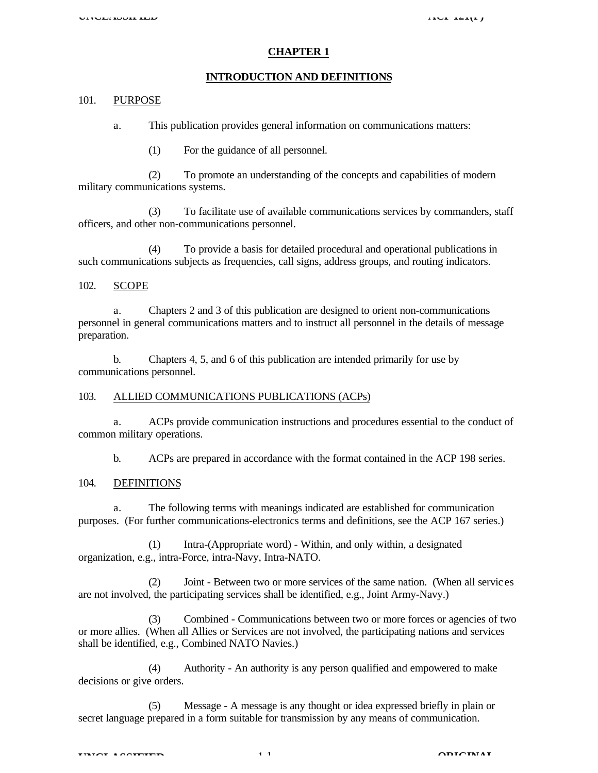#### **CHAPTER 1**

#### **INTRODUCTION AND DEFINITIONS**

#### 101. PURPOSE

a. This publication provides general information on communications matters:

(1) For the guidance of all personnel.

(2) To promote an understanding of the concepts and capabilities of modern military communications systems.

(3) To facilitate use of available communications services by commanders, staff officers, and other non-communications personnel.

(4) To provide a basis for detailed procedural and operational publications in such communications subjects as frequencies, call signs, address groups, and routing indicators.

#### 102. SCOPE

a. Chapters 2 and 3 of this publication are designed to orient non-communications personnel in general communications matters and to instruct all personnel in the details of message preparation.

b. Chapters 4, 5, and 6 of this publication are intended primarily for use by communications personnel.

#### 103. ALLIED COMMUNICATIONS PUBLICATIONS (ACPs)

a. ACPs provide communication instructions and procedures essential to the conduct of common military operations.

b. ACPs are prepared in accordance with the format contained in the ACP 198 series.

#### 104. DEFINITIONS

a. The following terms with meanings indicated are established for communication purposes. (For further communications-electronics terms and definitions, see the ACP 167 series.)

(1) Intra-(Appropriate word) - Within, and only within, a designated organization, e.g., intra-Force, intra-Navy, Intra-NATO.

(2) Joint - Between two or more services of the same nation. (When all servic es are not involved, the participating services shall be identified, e.g., Joint Army-Navy.)

(3) Combined - Communications between two or more forces or agencies of two or more allies. (When all Allies or Services are not involved, the participating nations and services shall be identified, e.g., Combined NATO Navies.)

(4) Authority - An authority is any person qualified and empowered to make decisions or give orders.

(5) Message - A message is any thought or idea expressed briefly in plain or secret language prepared in a form suitable for transmission by any means of communication.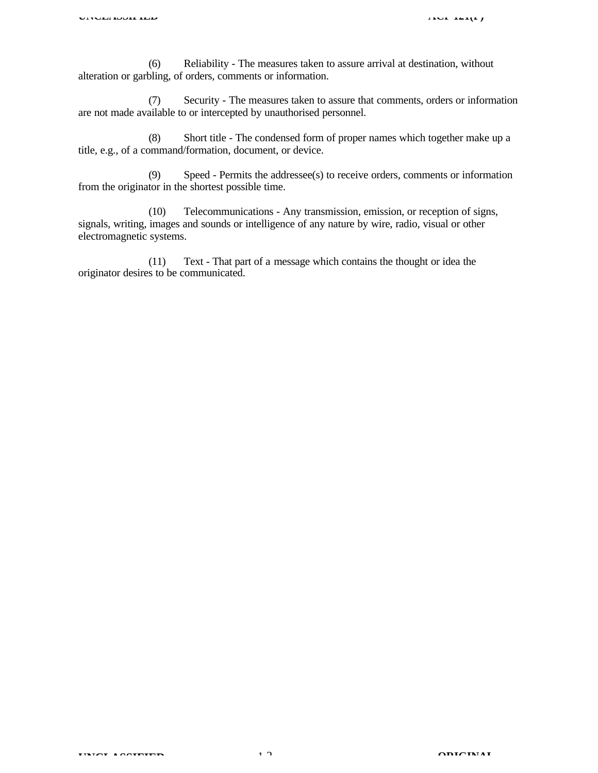(6) Reliability - The measures taken to assure arrival at destination, without alteration or garbling, of orders, comments or information.

(7) Security - The measures taken to assure that comments, orders or information are not made available to or intercepted by unauthorised personnel.

(8) Short title - The condensed form of proper names which together make up a title, e.g., of a command/formation, document, or device.

(9) Speed - Permits the addressee(s) to receive orders, comments or information from the originator in the shortest possible time.

(10) Telecommunications - Any transmission, emission, or reception of signs, signals, writing, images and sounds or intelligence of any nature by wire, radio, visual or other electromagnetic systems.

(11) Text - That part of a message which contains the thought or idea the originator desires to be communicated.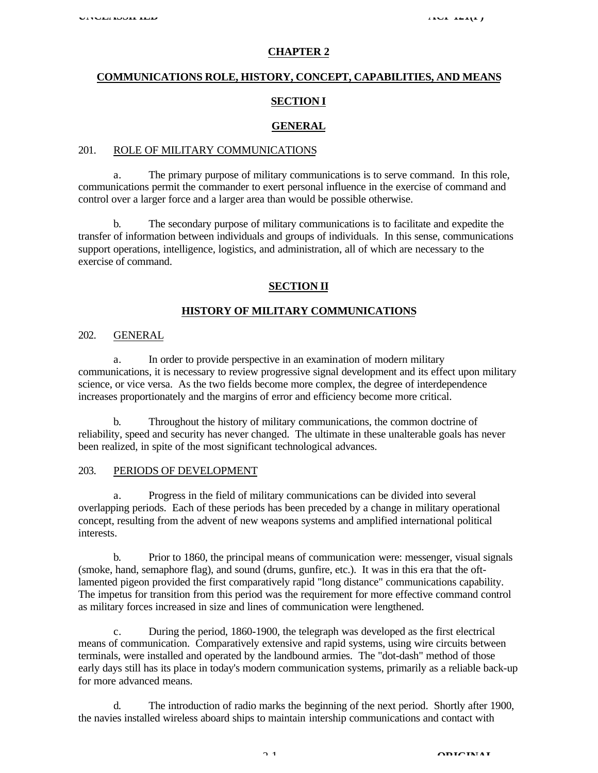#### **CHAPTER 2**

## **COMMUNICATIONS ROLE, HISTORY, CONCEPT, CAPABILITIES, AND MEANS SECTION I**

#### **GENERAL**

#### 201. ROLE OF MILITARY COMMUNICATIONS

a. The primary purpose of military communications is to serve command. In this role, communications permit the commander to exert personal influence in the exercise of command and control over a larger force and a larger area than would be possible otherwise.

The secondary purpose of military communications is to facilitate and expedite the transfer of information between individuals and groups of individuals. In this sense, communications support operations, intelligence, logistics, and administration, all of which are necessary to the exercise of command.

#### **SECTION II**

#### **HISTORY OF MILITARY COMMUNICATIONS**

#### 202. GENERAL

a. In order to provide perspective in an examination of modern military communications, it is necessary to review progressive signal development and its effect upon military science, or vice versa. As the two fields become more complex, the degree of interdependence increases proportionately and the margins of error and efficiency become more critical.

b. Throughout the history of military communications, the common doctrine of reliability, speed and security has never changed. The ultimate in these unalterable goals has never been realized, in spite of the most significant technological advances.

#### 203. PERIODS OF DEVELOPMENT

a. Progress in the field of military communications can be divided into several overlapping periods. Each of these periods has been preceded by a change in military operational concept, resulting from the advent of new weapons systems and amplified international political interests.

b. Prior to 1860, the principal means of communication were: messenger, visual signals (smoke, hand, semaphore flag), and sound (drums, gunfire, etc.). It was in this era that the oftlamented pigeon provided the first comparatively rapid "long distance" communications capability. The impetus for transition from this period was the requirement for more effective command control as military forces increased in size and lines of communication were lengthened.

c. During the period, 1860-1900, the telegraph was developed as the first electrical means of communication. Comparatively extensive and rapid systems, using wire circuits between terminals, were installed and operated by the landbound armies. The "dot-dash" method of those early days still has its place in today's modern communication systems, primarily as a reliable back-up for more advanced means.

d. The introduction of radio marks the beginning of the next period. Shortly after 1900, the navies installed wireless aboard ships to maintain intership communications and contact with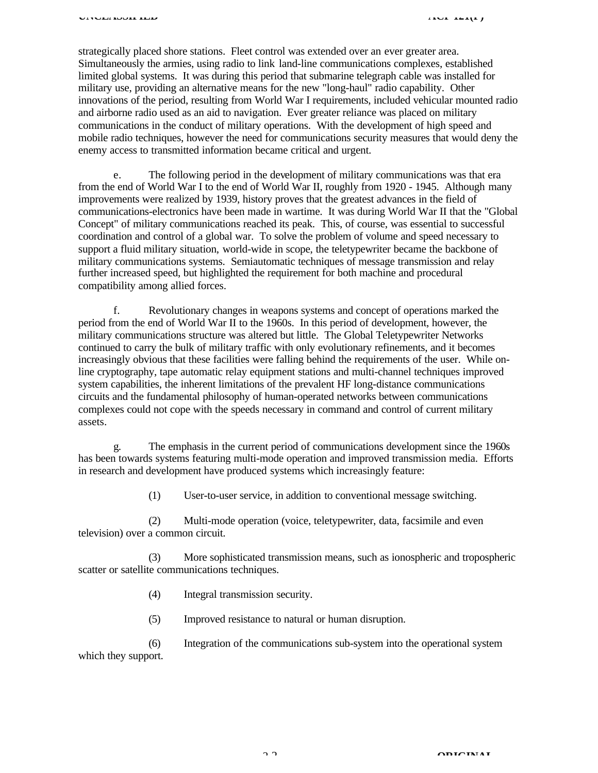strategically placed shore stations. Fleet control was extended over an ever greater area. Simultaneously the armies, using radio to link land-line communications complexes, established limited global systems. It was during this period that submarine telegraph cable was installed for military use, providing an alternative means for the new "long-haul" radio capability. Other innovations of the period, resulting from World War I requirements, included vehicular mounted radio and airborne radio used as an aid to navigation. Ever greater reliance was placed on military communications in the conduct of military operations. With the development of high speed and mobile radio techniques, however the need for communications security measures that would deny the enemy access to transmitted information became critical and urgent.

e. The following period in the development of military communications was that era from the end of World War I to the end of World War II, roughly from 1920 - 1945. Although many improvements were realized by 1939, history proves that the greatest advances in the field of communications-electronics have been made in wartime. It was during World War II that the "Global Concept" of military communications reached its peak. This, of course, was essential to successful coordination and control of a global war. To solve the problem of volume and speed necessary to support a fluid military situation, world-wide in scope, the teletypewriter became the backbone of military communications systems. Semiautomatic techniques of message transmission and relay further increased speed, but highlighted the requirement for both machine and procedural compatibility among allied forces.

f. Revolutionary changes in weapons systems and concept of operations marked the period from the end of World War II to the 1960s. In this period of development, however, the military communications structure was altered but little. The Global Teletypewriter Networks continued to carry the bulk of military traffic with only evolutionary refinements, and it becomes increasingly obvious that these facilities were falling behind the requirements of the user. While online cryptography, tape automatic relay equipment stations and multi-channel techniques improved system capabilities, the inherent limitations of the prevalent HF long-distance communications circuits and the fundamental philosophy of human-operated networks between communications complexes could not cope with the speeds necessary in command and control of current military assets.

g. The emphasis in the current period of communications development since the 1960s has been towards systems featuring multi-mode operation and improved transmission media. Efforts in research and development have produced systems which increasingly feature:

(1) User-to-user service, in addition to conventional message switching.

(2) Multi-mode operation (voice, teletypewriter, data, facsimile and even television) over a common circuit.

(3) More sophisticated transmission means, such as ionospheric and tropospheric scatter or satellite communications techniques.

- (4) Integral transmission security.
- (5) Improved resistance to natural or human disruption.

(6) Integration of the communications sub-system into the operational system which they support.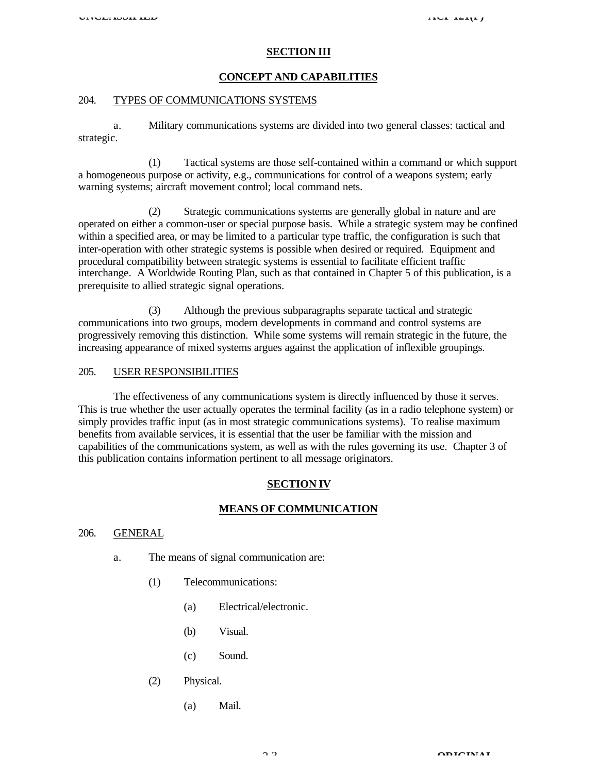#### **SECTION III**

#### **CONCEPT AND CAPABILITIES**

#### 204. TYPES OF COMMUNICATIONS SYSTEMS

a. Military communications systems are divided into two general classes: tactical and strategic.

(1) Tactical systems are those self-contained within a command or which support a homogeneous purpose or activity, e.g., communications for control of a weapons system; early warning systems; aircraft movement control; local command nets.

(2) Strategic communications systems are generally global in nature and are operated on either a common-user or special purpose basis. While a strategic system may be confined within a specified area, or may be limited to a particular type traffic, the configuration is such that inter-operation with other strategic systems is possible when desired or required. Equipment and procedural compatibility between strategic systems is essential to facilitate efficient traffic interchange. A Worldwide Routing Plan, such as that contained in Chapter 5 of this publication, is a prerequisite to allied strategic signal operations.

(3) Although the previous subparagraphs separate tactical and strategic communications into two groups, modern developments in command and control systems are progressively removing this distinction. While some systems will remain strategic in the future, the increasing appearance of mixed systems argues against the application of inflexible groupings.

#### 205. USER RESPONSIBILITIES

The effectiveness of any communications system is directly influenced by those it serves. This is true whether the user actually operates the terminal facility (as in a radio telephone system) or simply provides traffic input (as in most strategic communications systems). To realise maximum benefits from available services, it is essential that the user be familiar with the mission and capabilities of the communications system, as well as with the rules governing its use. Chapter 3 of this publication contains information pertinent to all message originators.

#### **SECTION IV**

#### **MEANS OF COMMUNICATION**

#### 206. GENERAL

- a. The means of signal communication are:
	- (1) Telecommunications:
		- (a) Electrical/electronic.
		- (b) Visual.
		- (c) Sound.
	- (2) Physical.
		- (a) Mail.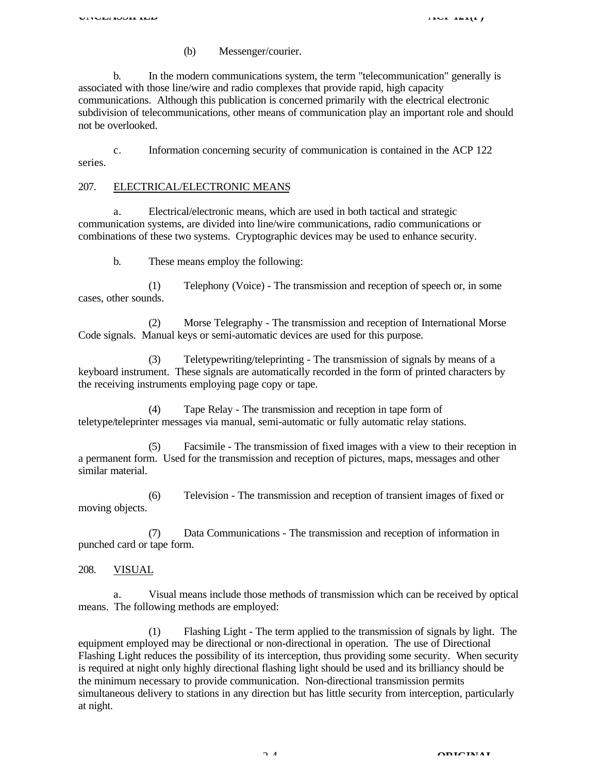(b) Messenger/courier.

b. In the modern communications system, the term "telecommunication" generally is associated with those line/wire and radio complexes that provide rapid, high capacity communications. Although this publication is concerned primarily with the electrical electronic subdivision of telecommunications, other means of communication play an important role and should not be overlooked.

c. Information concerning security of communication is contained in the ACP 122 series.

#### 207. ELECTRICAL/ELECTRONIC MEANS

a. Electrical/electronic means, which are used in both tactical and strategic communication systems, are divided into line/wire communications, radio communications or combinations of these two systems. Cryptographic devices may be used to enhance security.

b. These means employ the following:

(1) Telephony (Voice) - The transmission and reception of speech or, in some cases, other sounds.

(2) Morse Telegraphy - The transmission and reception of International Morse Code signals. Manual keys or semi-automatic devices are used for this purpose.

(3) Teletypewriting/teleprinting - The transmission of signals by means of a keyboard instrument. These signals are automatically recorded in the form of printed characters by the receiving instruments employing page copy or tape.

(4) Tape Relay - The transmission and reception in tape form of teletype/teleprinter messages via manual, semi-automatic or fully automatic relay stations.

(5) Facsimile - The transmission of fixed images with a view to their reception in a permanent form. Used for the transmission and reception of pictures, maps, messages and other similar material.

(6) Television - The transmission and reception of transient images of fixed or moving objects.

(7) Data Communications - The transmission and reception of information in punched card or tape form.

208. VISUAL

Visual means include those methods of transmission which can be received by optical means. The following methods are employed:

(1) Flashing Light - The term applied to the transmission of signals by light. The equipment employed may be directional or non-directional in operation. The use of Directional Flashing Light reduces the possibility of its interception, thus providing some security. When security is required at night only highly directional flashing light should be used and its brilliancy should be the minimum necessary to provide communication. Non-directional transmission permits simultaneous delivery to stations in any direction but has little security from interception, particularly at night.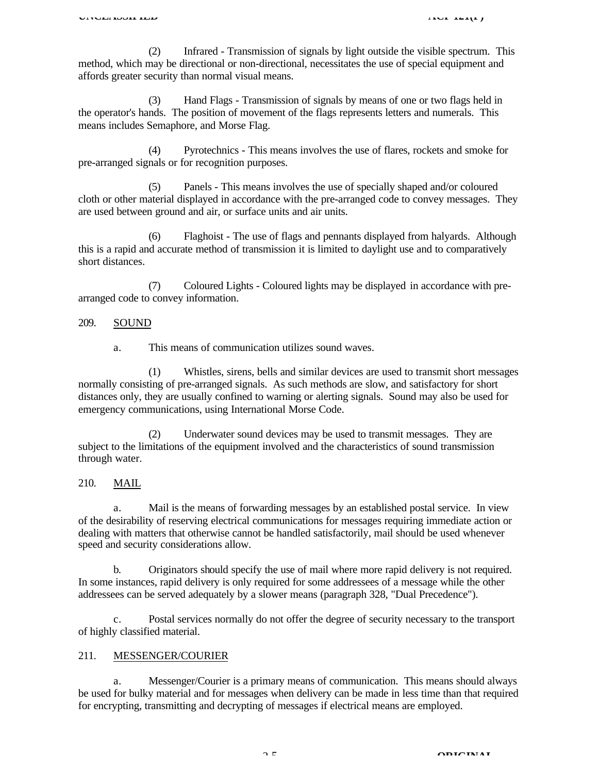(2) Infrared - Transmission of signals by light outside the visible spectrum. This method, which may be directional or non-directional, necessitates the use of special equipment and affords greater security than normal visual means.

(3) Hand Flags - Transmission of signals by means of one or two flags held in the operator's hands. The position of movement of the flags represents letters and numerals. This means includes Semaphore, and Morse Flag.

(4) Pyrotechnics - This means involves the use of flares, rockets and smoke for pre-arranged signals or for recognition purposes.

(5) Panels - This means involves the use of specially shaped and/or coloured cloth or other material displayed in accordance with the pre-arranged code to convey messages. They are used between ground and air, or surface units and air units.

(6) Flaghoist - The use of flags and pennants displayed from halyards. Although this is a rapid and accurate method of transmission it is limited to daylight use and to comparatively short distances.

(7) Coloured Lights - Coloured lights may be displayed in accordance with prearranged code to convey information.

#### 209. SOUND

a. This means of communication utilizes sound waves.

(1) Whistles, sirens, bells and similar devices are used to transmit short messages normally consisting of pre-arranged signals. As such methods are slow, and satisfactory for short distances only, they are usually confined to warning or alerting signals. Sound may also be used for emergency communications, using International Morse Code.

(2) Underwater sound devices may be used to transmit messages. They are subject to the limitations of the equipment involved and the characteristics of sound transmission through water.

### 210. MAIL

a. Mail is the means of forwarding messages by an established postal service. In view of the desirability of reserving electrical communications for messages requiring immediate action or dealing with matters that otherwise cannot be handled satisfactorily, mail should be used whenever speed and security considerations allow.

b. Originators should specify the use of mail where more rapid delivery is not required. In some instances, rapid delivery is only required for some addressees of a message while the other addressees can be served adequately by a slower means (paragraph 328, "Dual Precedence").

c. Postal services normally do not offer the degree of security necessary to the transport of highly classified material.

#### 211. MESSENGER/COURIER

a. Messenger/Courier is a primary means of communication. This means should always be used for bulky material and for messages when delivery can be made in less time than that required for encrypting, transmitting and decrypting of messages if electrical means are employed.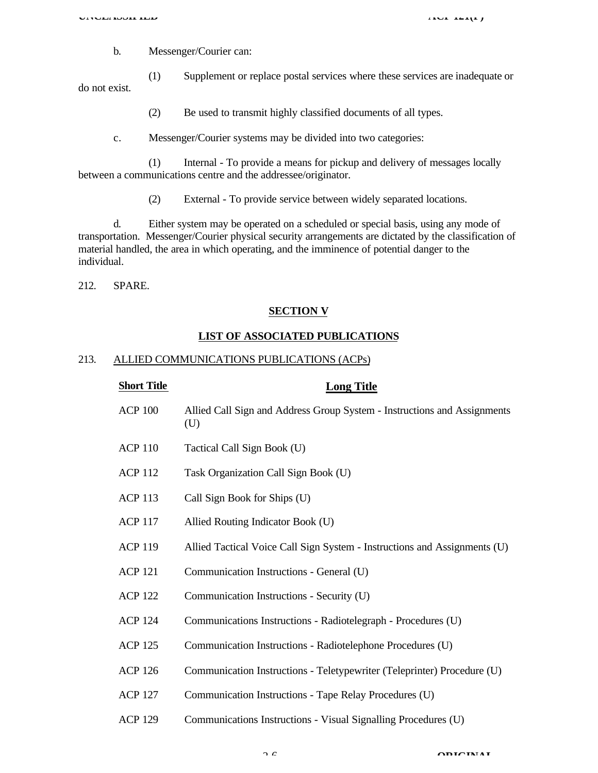b. Messenger/Courier can:

(1) Supplement or replace postal services where these services are inadequate or do not exist.

- (2) Be used to transmit highly classified documents of all types.
- c. Messenger/Courier systems may be divided into two categories:

(1) Internal - To provide a means for pickup and delivery of messages locally between a communications centre and the addressee/originator.

(2) External - To provide service between widely separated locations.

d. Either system may be operated on a scheduled or special basis, using any mode of transportation. Messenger/Courier physical security arrangements are dictated by the classification of material handled, the area in which operating, and the imminence of potential danger to the individual.

212. SPARE.

#### **SECTION V**

#### **LIST OF ASSOCIATED PUBLICATIONS**

#### 213. ALLIED COMMUNICATIONS PUBLICATIONS (ACPs)

| <b>Short Title</b> | <b>Long Title</b>                                                               |
|--------------------|---------------------------------------------------------------------------------|
| <b>ACP 100</b>     | Allied Call Sign and Address Group System - Instructions and Assignments<br>(U) |
| <b>ACP 110</b>     | Tactical Call Sign Book (U)                                                     |
| <b>ACP 112</b>     | Task Organization Call Sign Book (U)                                            |
| <b>ACP 113</b>     | Call Sign Book for Ships (U)                                                    |
| <b>ACP 117</b>     | Allied Routing Indicator Book (U)                                               |
| <b>ACP 119</b>     | Allied Tactical Voice Call Sign System - Instructions and Assignments (U)       |
| <b>ACP 121</b>     | Communication Instructions - General (U)                                        |
| <b>ACP 122</b>     | Communication Instructions - Security (U)                                       |
| <b>ACP 124</b>     | Communications Instructions - Radiotelegraph - Procedures (U)                   |
| <b>ACP 125</b>     | Communication Instructions - Radiotelephone Procedures (U)                      |
| <b>ACP 126</b>     | Communication Instructions - Teletypewriter (Teleprinter) Procedure (U)         |
| <b>ACP 127</b>     | Communication Instructions - Tape Relay Procedures (U)                          |
| <b>ACP 129</b>     | Communications Instructions - Visual Signalling Procedures (U)                  |
|                    |                                                                                 |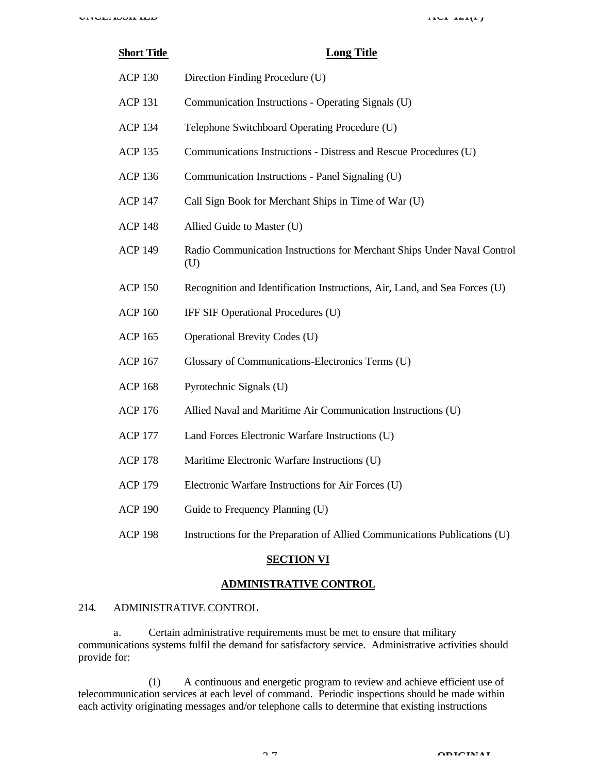# **Short Title Long Title** ACP 130 Direction Finding Procedure (U) ACP 131 Communication Instructions - Operating Signals (U) ACP 134 Telephone Switchboard Operating Procedure (U) ACP 135 Communications Instructions - Distress and Rescue Procedures (U) ACP 136 Communication Instructions - Panel Signaling (U) ACP 147 Call Sign Book for Merchant Ships in Time of War (U) ACP 148 Allied Guide to Master (U) ACP 149 Radio Communication Instructions for Merchant Ships Under Naval Control (U) ACP 150 Recognition and Identification Instructions, Air, Land, and Sea Forces (U) ACP 160 IFF SIF Operational Procedures (U) ACP 165 Operational Brevity Codes (U) ACP 167 Glossary of Communications-Electronics Terms (U) ACP 168 Pyrotechnic Signals (U)

- ACP 176 Allied Naval and Maritime Air Communication Instructions (U)
- ACP 177 Land Forces Electronic Warfare Instructions (U)
- ACP 178 Maritime Electronic Warfare Instructions (U)
- ACP 179 Electronic Warfare Instructions for Air Forces (U)
- ACP 190 Guide to Frequency Planning (U)
- ACP 198 Instructions for the Preparation of Allied Communications Publications (U)

#### **SECTION VI**

#### **ADMINISTRATIVE CONTROL**

#### 214. ADMINISTRATIVE CONTROL

a. Certain administrative requirements must be met to ensure that military communications systems fulfil the demand for satisfactory service. Administrative activities should provide for:

(1) A continuous and energetic program to review and achieve efficient use of telecommunication services at each level of command. Periodic inspections should be made within each activity originating messages and/or telephone calls to determine that existing instructions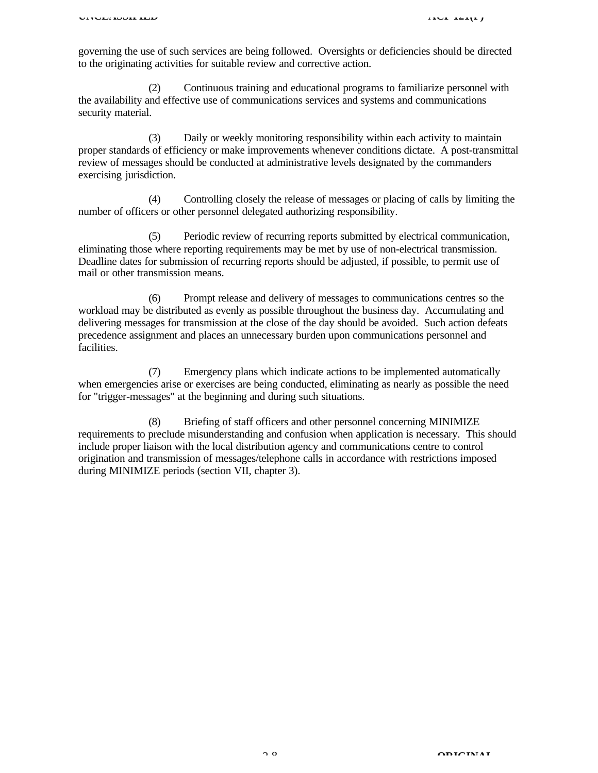governing the use of such services are being followed. Oversights or deficiencies should be directed to the originating activities for suitable review and corrective action.

(2) Continuous training and educational programs to familiarize personnel with the availability and effective use of communications services and systems and communications security material.

(3) Daily or weekly monitoring responsibility within each activity to maintain proper standards of efficiency or make improvements whenever conditions dictate. A post-transmittal review of messages should be conducted at administrative levels designated by the commanders exercising jurisdiction.

(4) Controlling closely the release of messages or placing of calls by limiting the number of officers or other personnel delegated authorizing responsibility.

(5) Periodic review of recurring reports submitted by electrical communication, eliminating those where reporting requirements may be met by use of non-electrical transmission. Deadline dates for submission of recurring reports should be adjusted, if possible, to permit use of mail or other transmission means.

(6) Prompt release and delivery of messages to communications centres so the workload may be distributed as evenly as possible throughout the business day. Accumulating and delivering messages for transmission at the close of the day should be avoided. Such action defeats precedence assignment and places an unnecessary burden upon communications personnel and facilities.

(7) Emergency plans which indicate actions to be implemented automatically when emergencies arise or exercises are being conducted, eliminating as nearly as possible the need for "trigger-messages" at the beginning and during such situations.

(8) Briefing of staff officers and other personnel concerning MINIMIZE requirements to preclude misunderstanding and confusion when application is necessary. This should include proper liaison with the local distribution agency and communications centre to control origination and transmission of messages/telephone calls in accordance with restrictions imposed during MINIMIZE periods (section VII, chapter 3).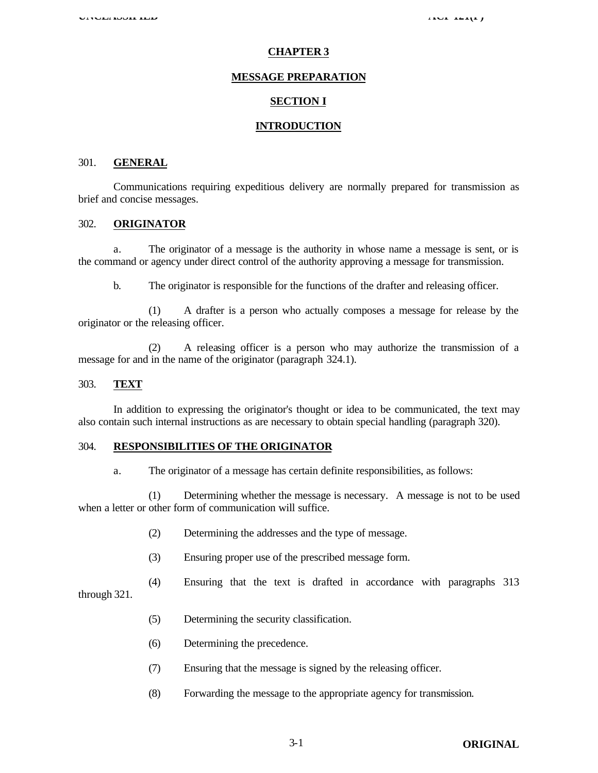#### **CHAPTER 3**

#### **MESSAGE PREPARATION**

#### **SECTION I**

#### **INTRODUCTION**

#### 301. **GENERAL**

Communications requiring expeditious delivery are normally prepared for transmission as brief and concise messages.

#### 302. **ORIGINATOR**

a. The originator of a message is the authority in whose name a message is sent, or is the command or agency under direct control of the authority approving a message for transmission.

b. The originator is responsible for the functions of the drafter and releasing officer.

(1) A drafter is a person who actually composes a message for release by the originator or the releasing officer.

(2) A releasing officer is a person who may authorize the transmission of a message for and in the name of the originator (paragraph 324.1).

#### 303. **TEXT**

In addition to expressing the originator's thought or idea to be communicated, the text may also contain such internal instructions as are necessary to obtain special handling (paragraph 320).

#### 304. **RESPONSIBILITIES OF THE ORIGINATOR**

a. The originator of a message has certain definite responsibilities, as follows:

(1) Determining whether the message is necessary. A message is not to be used when a letter or other form of communication will suffice.

- (2) Determining the addresses and the type of message.
- (3) Ensuring proper use of the prescribed message form.
- (4) Ensuring that the text is drafted in accordance with paragraphs 313

through 321.

- (5) Determining the security classification.
- (6) Determining the precedence.
- (7) Ensuring that the message is signed by the releasing officer.
- (8) Forwarding the message to the appropriate agency for transmission.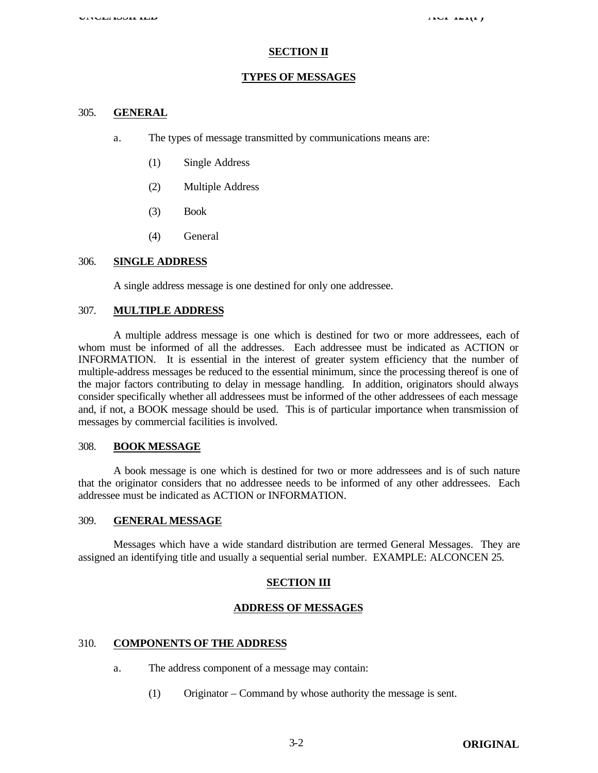#### **SECTION II**

#### **TYPES OF MESSAGES**

#### 305. **GENERAL**

- a. The types of message transmitted by communications means are:
	- (1) Single Address
	- (2) Multiple Address
	- (3) Book
	- (4) General

#### 306. **SINGLE ADDRESS**

A single address message is one destined for only one addressee.

#### 307. **MULTIPLE ADDRESS**

A multiple address message is one which is destined for two or more addressees, each of whom must be informed of all the addresses. Each addressee must be indicated as ACTION or INFORMATION. It is essential in the interest of greater system efficiency that the number of multiple-address messages be reduced to the essential minimum, since the processing thereof is one of the major factors contributing to delay in message handling. In addition, originators should always consider specifically whether all addressees must be informed of the other addressees of each message and, if not, a BOOK message should be used. This is of particular importance when transmission of messages by commercial facilities is involved.

#### 308. **BOOK MESSAGE**

A book message is one which is destined for two or more addressees and is of such nature that the originator considers that no addressee needs to be informed of any other addressees. Each addressee must be indicated as ACTION or INFORMATION.

#### 309. **GENERAL MESSAGE**

Messages which have a wide standard distribution are termed General Messages. They are assigned an identifying title and usually a sequential serial number. EXAMPLE: ALCONCEN 25.

#### **SECTION III**

#### **ADDRESS OF MESSAGES**

#### 310. **COMPONENTS OF THE ADDRESS**

- a. The address component of a message may contain:
	- (1) Originator Command by whose authority the message is sent.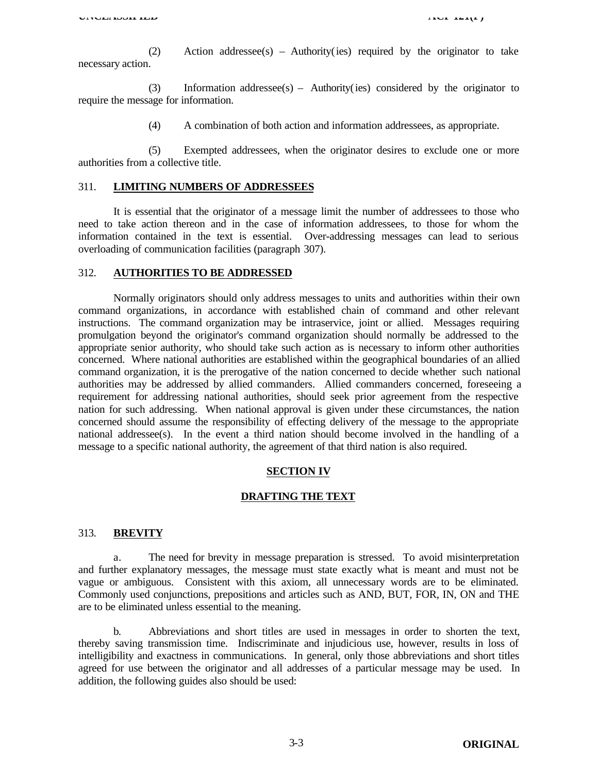**UNCLASSIFIED ACP** 121(F)

(2) Action addressee(s) – Authority(ies) required by the originator to take necessary action.

(3) Information addressee(s) – Authority(ies) considered by the originator to require the message for information.

(4) A combination of both action and information addressees, as appropriate.

(5) Exempted addressees, when the originator desires to exclude one or more authorities from a collective title.

#### 311. **LIMITING NUMBERS OF ADDRESSEES**

It is essential that the originator of a message limit the number of addressees to those who need to take action thereon and in the case of information addressees, to those for whom the information contained in the text is essential. Over-addressing messages can lead to serious overloading of communication facilities (paragraph 307).

#### 312. **AUTHORITIES TO BE ADDRESSED**

Normally originators should only address messages to units and authorities within their own command organizations, in accordance with established chain of command and other relevant instructions. The command organization may be intraservice, joint or allied. Messages requiring promulgation beyond the originator's command organization should normally be addressed to the appropriate senior authority, who should take such action as is necessary to inform other authorities concerned. Where national authorities are established within the geographical boundaries of an allied command organization, it is the prerogative of the nation concerned to decide whether such national authorities may be addressed by allied commanders. Allied commanders concerned, foreseeing a requirement for addressing national authorities, should seek prior agreement from the respective nation for such addressing. When national approval is given under these circumstances, the nation concerned should assume the responsibility of effecting delivery of the message to the appropriate national addressee(s). In the event a third nation should become involved in the handling of a message to a specific national authority, the agreement of that third nation is also required.

#### **SECTION IV**

#### **DRAFTING THE TEXT**

#### 313. **BREVITY**

a. The need for brevity in message preparation is stressed. To avoid misinterpretation and further explanatory messages, the message must state exactly what is meant and must not be vague or ambiguous. Consistent with this axiom, all unnecessary words are to be eliminated. Commonly used conjunctions, prepositions and articles such as AND, BUT, FOR, IN, ON and THE are to be eliminated unless essential to the meaning.

b. Abbreviations and short titles are used in messages in order to shorten the text, thereby saving transmission time. Indiscriminate and injudicious use, however, results in loss of intelligibility and exactness in communications. In general, only those abbreviations and short titles agreed for use between the originator and all addresses of a particular message may be used. In addition, the following guides also should be used: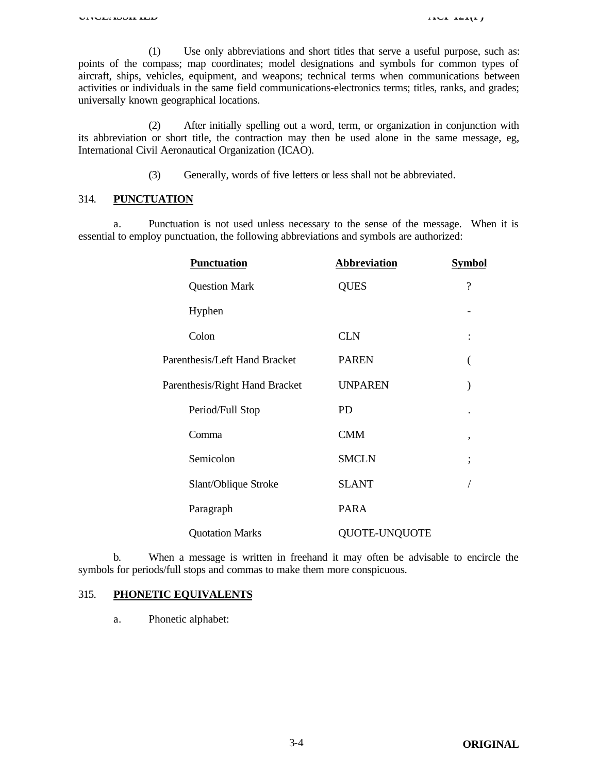(1) Use only abbreviations and short titles that serve a useful purpose, such as: points of the compass; map coordinates; model designations and symbols for common types of aircraft, ships, vehicles, equipment, and weapons; technical terms when communications between activities or individuals in the same field communications-electronics terms; titles, ranks, and grades; universally known geographical locations.

(2) After initially spelling out a word, term, or organization in conjunction with its abbreviation or short title, the contraction may then be used alone in the same message, eg, International Civil Aeronautical Organization (ICAO).

(3) Generally, words of five letters or less shall not be abbreviated.

#### 314. **PUNCTUATION**

a. Punctuation is not used unless necessary to the sense of the message. When it is essential to employ punctuation, the following abbreviations and symbols are authorized:

| <b>Punctuation</b>             | <b>Abbreviation</b> | <b>Symbol</b> |
|--------------------------------|---------------------|---------------|
| <b>Question Mark</b>           | <b>QUES</b>         | $\gamma$      |
| Hyphen                         |                     |               |
| Colon                          | <b>CLN</b>          |               |
| Parenthesis/Left Hand Bracket  | <b>PAREN</b>        |               |
| Parenthesis/Right Hand Bracket | <b>UNPAREN</b>      |               |
| Period/Full Stop               | <b>PD</b>           |               |
| Comma                          | <b>CMM</b>          | ,             |
| Semicolon                      | <b>SMCLN</b>        | ,             |
| Slant/Oblique Stroke           | <b>SLANT</b>        |               |
| Paragraph                      | <b>PARA</b>         |               |
| <b>Quotation Marks</b>         | QUOTE-UNQUOTE       |               |

b. When a message is written in freehand it may often be advisable to encircle the symbols for periods/full stops and commas to make them more conspicuous.

#### 315. **PHONETIC EQUIVALENTS**

a. Phonetic alphabet: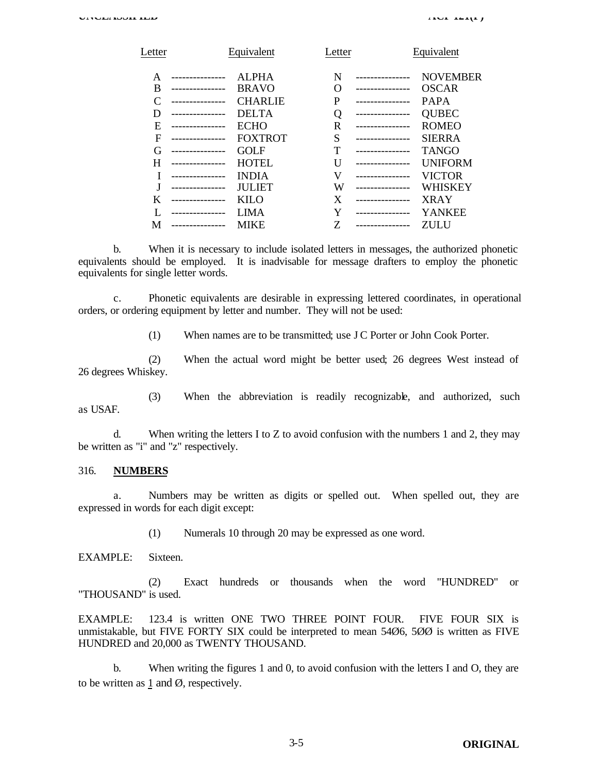|               |                |            | Equivalent      |
|---------------|----------------|------------|-----------------|
|               | <b>ALPHA</b>   | N          | <b>NOVEMBER</b> |
|               | <b>BRAVO</b>   | O          | <b>OSCAR</b>    |
|               | <b>CHARLIE</b> | P          | <b>PAPA</b>     |
|               | <b>DELTA</b>   | Q          | <b>QUBEC</b>    |
|               | <b>ECHO</b>    | R          | <b>ROMEO</b>    |
|               | <b>FOXTROT</b> | S          | <b>SIERRA</b>   |
|               | <b>GOLF</b>    | т          | <b>TANGO</b>    |
|               | <b>HOTEL</b>   | Ħ          | <b>UNIFORM</b>  |
|               | <b>INDIA</b>   | V          | <b>VICTOR</b>   |
|               | <b>JULIET</b>  | W          | WHISKEY         |
|               | <b>KILO</b>    | X          | <b>XRAY</b>     |
| ------------- | LIMA           | Y          | <b>YANKEE</b>   |
|               | <b>MIKE</b>    | Z          | ZULU            |
|               |                | Equivalent | Letter          |

b. When it is necessary to include isolated letters in messages, the authorized phonetic equivalents should be employed. It is inadvisable for message drafters to employ the phonetic equivalents for single letter words.

c. Phonetic equivalents are desirable in expressing lettered coordinates, in operational orders, or ordering equipment by letter and number. They will not be used:

(1) When names are to be transmitted; use J C Porter or John Cook Porter.

(2) When the actual word might be better used; 26 degrees West instead of 26 degrees Whiskey.

(3) When the abbreviation is readily recognizable, and authorized, such as USAF.

d. When writing the letters I to Z to avoid confusion with the numbers 1 and 2, they may be written as "i" and "z" respectively.

#### 316. **NUMBERS**

a. Numbers may be written as digits or spelled out. When spelled out, they are expressed in words for each digit except:

(1) Numerals 10 through 20 may be expressed as one word.

EXAMPLE: Sixteen.

(2) Exact hundreds or thousands when the word "HUNDRED" or "THOUSAND" is used.

EXAMPLE: 123.4 is written ONE TWO THREE POINT FOUR. FIVE FOUR SIX is unmistakable, but FIVE FORTY SIX could be interpreted to mean 54Ø6, 5ØØ is written as FIVE HUNDRED and 20,000 as TWENTY THOUSAND.

b. When writing the figures 1 and 0, to avoid confusion with the letters I and O, they are to be written as 1 and  $\emptyset$ , respectively.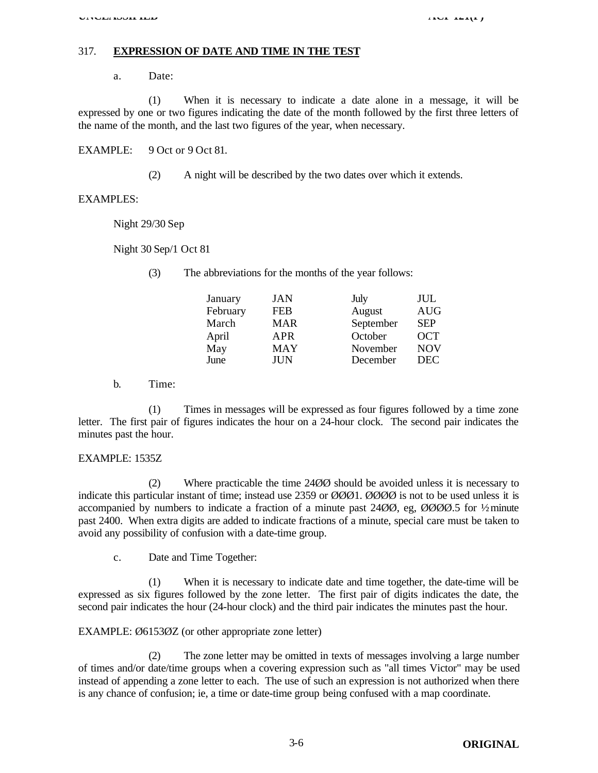#### 317. **EXPRESSION OF DATE AND TIME IN THE TEST**

a. Date:

(1) When it is necessary to indicate a date alone in a message, it will be expressed by one or two figures indicating the date of the month followed by the first three letters of the name of the month, and the last two figures of the year, when necessary.

EXAMPLE: 9 Oct or 9 Oct 81.

(2) A night will be described by the two dates over which it extends.

#### EXAMPLES:

Night 29/30 Sep

Night 30 Sep/1 Oct 81

(3) The abbreviations for the months of the year follows:

| January  | JAN        | July      | JUL        |
|----------|------------|-----------|------------|
| February | <b>FEB</b> | August    | <b>AUG</b> |
| March    | <b>MAR</b> | September | <b>SEP</b> |
| April    | APR        | October   | <b>OCT</b> |
| May      | <b>MAY</b> | November  | <b>NOV</b> |
| June     | JUN        | December  | <b>DEC</b> |

b. Time:

(1) Times in messages will be expressed as four figures followed by a time zone letter. The first pair of figures indicates the hour on a 24-hour clock. The second pair indicates the minutes past the hour.

#### EXAMPLE: 1535Z

(2) Where practicable the time 24ØØ should be avoided unless it is necessary to indicate this particular instant of time; instead use 2359 or ØØØ1. ØØØØ is not to be used unless it is accompanied by numbers to indicate a fraction of a minute past 24ØØ, eg, ØØØØ.5 for ½ minute past 2400. When extra digits are added to indicate fractions of a minute, special care must be taken to avoid any possibility of confusion with a date-time group.

c. Date and Time Together:

(1) When it is necessary to indicate date and time together, the date-time will be expressed as six figures followed by the zone letter. The first pair of digits indicates the date, the second pair indicates the hour (24-hour clock) and the third pair indicates the minutes past the hour.

#### EXAMPLE: Ø6153ØZ (or other appropriate zone letter)

(2) The zone letter may be omitted in texts of messages involving a large number of times and/or date/time groups when a covering expression such as "all times Victor" may be used instead of appending a zone letter to each. The use of such an expression is not authorized when there is any chance of confusion; ie, a time or date-time group being confused with a map coordinate.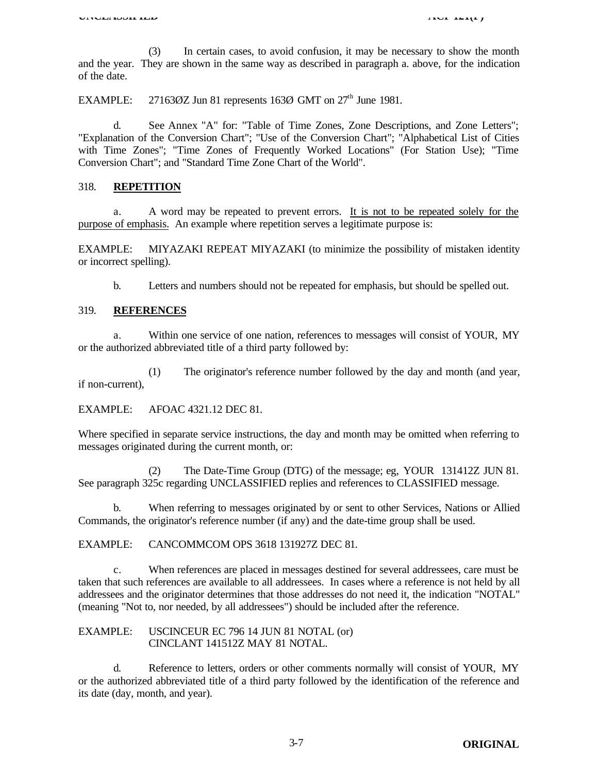(3) In certain cases, to avoid confusion, it may be necessary to show the month and the year. They are shown in the same way as described in paragraph a. above, for the indication of the date.

EXAMPLE: 27163 $\varnothing$ Z Jun 81 represents 163 $\varnothing$  GMT on 27<sup>th</sup> June 1981.

d. See Annex "A" for: "Table of Time Zones, Zone Descriptions, and Zone Letters"; "Explanation of the Conversion Chart"; "Use of the Conversion Chart"; "Alphabetical List of Cities with Time Zones"; "Time Zones of Frequently Worked Locations" (For Station Use); "Time Conversion Chart"; and "Standard Time Zone Chart of the World".

#### 318. **REPETITION**

a. A word may be repeated to prevent errors. It is not to be repeated solely for the purpose of emphasis. An example where repetition serves a legitimate purpose is:

EXAMPLE: MIYAZAKI REPEAT MIYAZAKI (to minimize the possibility of mistaken identity or incorrect spelling).

b. Letters and numbers should not be repeated for emphasis, but should be spelled out.

#### 319. **REFERENCES**

a. Within one service of one nation, references to messages will consist of YOUR, MY or the authorized abbreviated title of a third party followed by:

(1) The originator's reference number followed by the day and month (and year, if non-current),

EXAMPLE: AFOAC 4321.12 DEC 81.

Where specified in separate service instructions, the day and month may be omitted when referring to messages originated during the current month, or:

(2) The Date-Time Group (DTG) of the message; eg, YOUR 131412Z JUN 81. See paragraph 325c regarding UNCLASSIFIED replies and references to CLASSIFIED message.

b. When referring to messages originated by or sent to other Services, Nations or Allied Commands, the originator's reference number (if any) and the date-time group shall be used.

EXAMPLE: CANCOMMCOM OPS 3618 131927Z DEC 81.

c. When references are placed in messages destined for several addressees, care must be taken that such references are available to all addressees. In cases where a reference is not held by all addressees and the originator determines that those addresses do not need it, the indication "NOTAL" (meaning "Not to, nor needed, by all addressees") should be included after the reference.

EXAMPLE: USCINCEUR EC 796 14 JUN 81 NOTAL (or) CINCLANT 141512Z MAY 81 NOTAL.

d. Reference to letters, orders or other comments normally will consist of YOUR, MY or the authorized abbreviated title of a third party followed by the identification of the reference and its date (day, month, and year).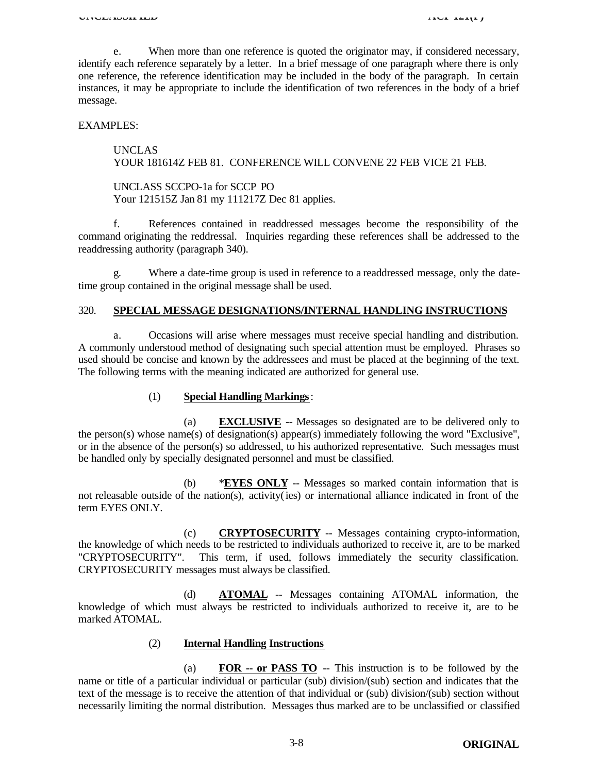e. When more than one reference is quoted the originator may, if considered necessary, identify each reference separately by a letter. In a brief message of one paragraph where there is only one reference, the reference identification may be included in the body of the paragraph. In certain instances, it may be appropriate to include the identification of two references in the body of a brief message.

EXAMPLES:

UNCLAS YOUR 181614Z FEB 81. CONFERENCE WILL CONVENE 22 FEB VICE 21 FEB.

UNCLASS SCCPO-1a for SCCP PO Your 121515Z Jan 81 my 111217Z Dec 81 applies.

f. References contained in readdressed messages become the responsibility of the command originating the reddressal. Inquiries regarding these references shall be addressed to the readdressing authority (paragraph 340).

g. Where a date-time group is used in reference to a readdressed message, only the datetime group contained in the original message shall be used.

#### 320. **SPECIAL MESSAGE DESIGNATIONS/INTERNAL HANDLING INSTRUCTIONS**

a. Occasions will arise where messages must receive special handling and distribution. A commonly understood method of designating such special attention must be employed. Phrases so used should be concise and known by the addressees and must be placed at the beginning of the text. The following terms with the meaning indicated are authorized for general use.

#### (1) **Special Handling Markings**:

(a) **EXCLUSIVE** -- Messages so designated are to be delivered only to the person(s) whose name(s) of designation(s) appear(s) immediately following the word "Exclusive", or in the absence of the person(s) so addressed, to his authorized representative. Such messages must be handled only by specially designated personnel and must be classified.

(b) \***EYES ONLY** -- Messages so marked contain information that is not releasable outside of the nation(s), activity(ies) or international alliance indicated in front of the term EYES ONLY.

(c) **CRYPTOSECURITY** -- Messages containing crypto-information, the knowledge of which needs to be restricted to individuals authorized to receive it, are to be marked "CRYPTOSECURITY". This term, if used, follows immediately the security classification. CRYPTOSECURITY messages must always be classified.

(d) **ATOMAL** -- Messages containing ATOMAL information, the knowledge of which must always be restricted to individuals authorized to receive it, are to be marked ATOMAL.

#### (2) **Internal Handling Instructions**

(a) **FOR -- or PASS TO** -- This instruction is to be followed by the name or title of a particular individual or particular (sub) division/(sub) section and indicates that the text of the message is to receive the attention of that individual or (sub) division/(sub) section without necessarily limiting the normal distribution. Messages thus marked are to be unclassified or classified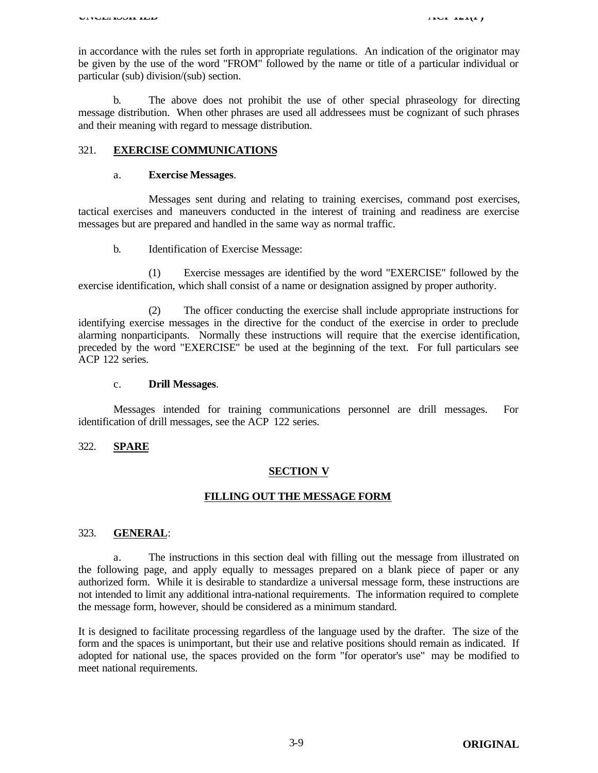in accordance with the rules set forth in appropriate regulations. An indication of the originator may be given by the use of the word "FROM" followed by the name or title of a particular individual or particular (sub) division/(sub) section.

b. The above does not prohibit the use of other special phraseology for directing message distribution. When other phrases are used all addressees must be cognizant of such phrases and their meaning with regard to message distribution.

#### 321. **EXERCISE COMMUNICATIONS**

#### a. **Exercise Messages**.

Messages sent during and relating to training exercises, command post exercises, tactical exercises and maneuvers conducted in the interest of training and readiness are exercise messages but are prepared and handled in the same way as normal traffic.

b. Identification of Exercise Message:

(1) Exercise messages are identified by the word "EXERCISE" followed by the exercise identification, which shall consist of a name or designation assigned by proper authority.

(2) The officer conducting the exercise shall include appropriate instructions for identifying exercise messages in the directive for the conduct of the exercise in order to preclude alarming nonparticipants. Normally these instructions will require that the exercise identification, preceded by the word "EXERCISE" be used at the beginning of the text. For full particulars see ACP 122 series.

#### c. **Drill Messages**.

Messages intended for training communications personnel are drill messages. For identification of drill messages, see the ACP 122 series.

#### 322. **SPARE**

#### **SECTION V**

#### **FILLING OUT THE MESSAGE FORM**

#### 323. **GENERAL**:

a. The instructions in this section deal with filling out the message from illustrated on the following page, and apply equally to messages prepared on a blank piece of paper or any authorized form. While it is desirable to standardize a universal message form, these instructions are not intended to limit any additional intra-national requirements. The information required to complete the message form, however, should be considered as a minimum standard.

It is designed to facilitate processing regardless of the language used by the drafter. The size of the form and the spaces is unimportant, but their use and relative positions should remain as indicated. If adopted for national use, the spaces provided on the form "for operator's use" may be modified to meet national requirements.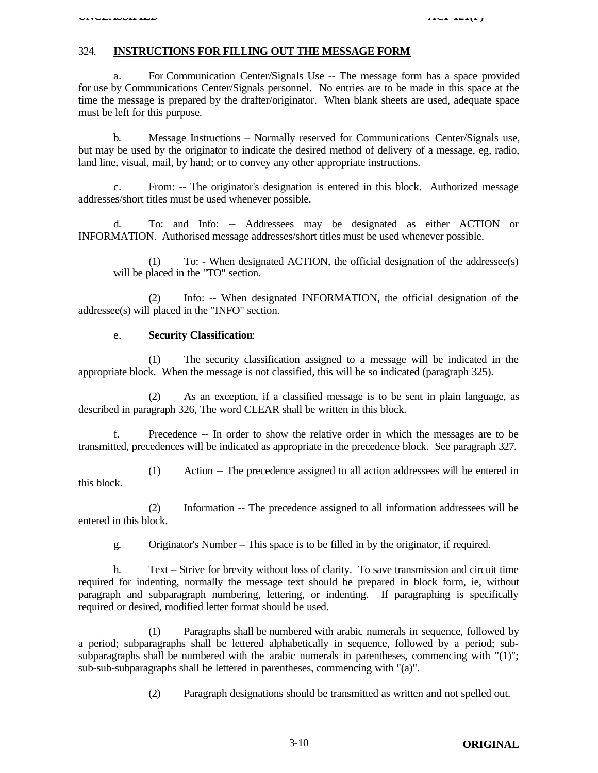#### 324. **INSTRUCTIONS FOR FILLING OUT THE MESSAGE FORM**

a. For Communication Center/Signals Use -- The message form has a space provided for use by Communications Center/Signals personnel. No entries are to be made in this space at the time the message is prepared by the drafter/originator. When blank sheets are used, adequate space must be left for this purpose.

b. Message Instructions – Normally reserved for Communications Center/Signals use, but may be used by the originator to indicate the desired method of delivery of a message, eg, radio, land line, visual, mail, by hand; or to convey any other appropriate instructions.

c. From: -- The originator's designation is entered in this block. Authorized message addresses/short titles must be used whenever possible.

d. To: and Info: -- Addressees may be designated as either ACTION or INFORMATION. Authorised message addresses/short titles must be used whenever possible.

(1) To: - When designated ACTION, the official designation of the addressee(s) will be placed in the "TO" section.

(2) Info: -- When designated INFORMATION, the official designation of the addressee(s) will placed in the "INFO" section.

#### e. **Security Classification**:

(1) The security classification assigned to a message will be indicated in the appropriate block. When the message is not classified, this will be so indicated (paragraph 325).

(2) As an exception, if a classified message is to be sent in plain language, as described in paragraph 326, The word CLEAR shall be written in this block.

f. Precedence -- In order to show the relative order in which the messages are to be transmitted, precedences will be indicated as appropriate in the precedence block. See paragraph 327.

(1) Action -- The precedence assigned to all action addressees will be entered in this block.

(2) Information -- The precedence assigned to all information addressees will be entered in this block.

g. Originator's Number – This space is to be filled in by the originator, if required.

h. Text – Strive for brevity without loss of clarity. To save transmission and circuit time required for indenting, normally the message text should be prepared in block form, ie, without paragraph and subparagraph numbering, lettering, or indenting. If paragraphing is specifically required or desired, modified letter format should be used.

(1) Paragraphs shall be numbered with arabic numerals in sequence, followed by a period; subparagraphs shall be lettered alphabetically in sequence, followed by a period; subsubparagraphs shall be numbered with the arabic numerals in parentheses, commencing with "(1)"; sub-sub-subparagraphs shall be lettered in parentheses, commencing with "(a)".

(2) Paragraph designations should be transmitted as written and not spelled out.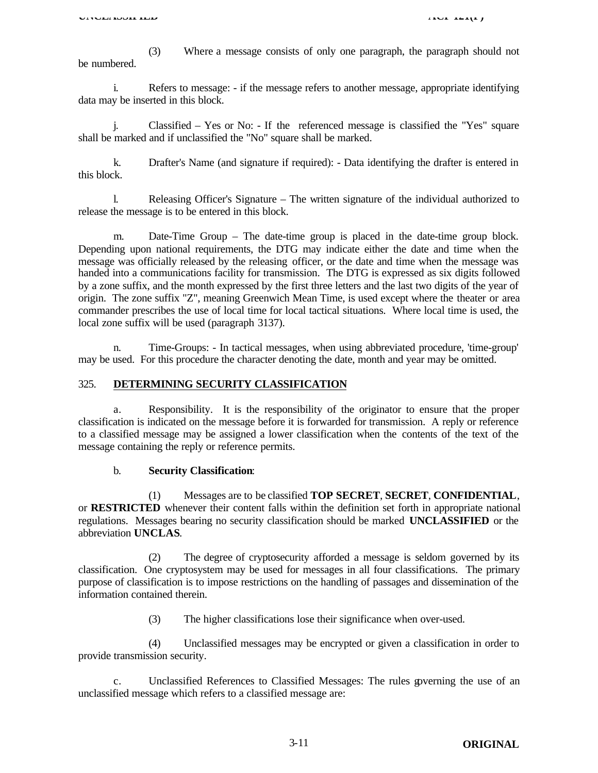(3) Where a message consists of only one paragraph, the paragraph should not be numbered.

i. Refers to message: - if the message refers to another message, appropriate identifying data may be inserted in this block.

j. Classified – Yes or No: - If the referenced message is classified the "Yes" square shall be marked and if unclassified the "No" square shall be marked.

k. Drafter's Name (and signature if required): - Data identifying the drafter is entered in this block.

l. Releasing Officer's Signature – The written signature of the individual authorized to release the message is to be entered in this block.

m. Date-Time Group – The date-time group is placed in the date-time group block. Depending upon national requirements, the DTG may indicate either the date and time when the message was officially released by the releasing officer, or the date and time when the message was handed into a communications facility for transmission. The DTG is expressed as six digits followed by a zone suffix, and the month expressed by the first three letters and the last two digits of the year of origin. The zone suffix "Z", meaning Greenwich Mean Time, is used except where the theater or area commander prescribes the use of local time for local tactical situations. Where local time is used, the local zone suffix will be used (paragraph 3137).

n. Time-Groups: - In tactical messages, when using abbreviated procedure, 'time-group' may be used. For this procedure the character denoting the date, month and year may be omitted.

#### 325. **DETERMINING SECURITY CLASSIFICATION**

a. Responsibility. It is the responsibility of the originator to ensure that the proper classification is indicated on the message before it is forwarded for transmission. A reply or reference to a classified message may be assigned a lower classification when the contents of the text of the message containing the reply or reference permits.

#### b. **Security Classification**:

(1) Messages are to be classified **TOP SECRET**, **SECRET**, **CONFIDENTIAL**, or **RESTRICTED** whenever their content falls within the definition set forth in appropriate national regulations. Messages bearing no security classification should be marked **UNCLASSIFIED** or the abbreviation **UNCLAS**.

(2) The degree of cryptosecurity afforded a message is seldom governed by its classification. One cryptosystem may be used for messages in all four classifications. The primary purpose of classification is to impose restrictions on the handling of passages and dissemination of the information contained therein.

(3) The higher classifications lose their significance when over-used.

(4) Unclassified messages may be encrypted or given a classification in order to provide transmission security.

c. Unclassified References to Classified Messages: The rules governing the use of an unclassified message which refers to a classified message are: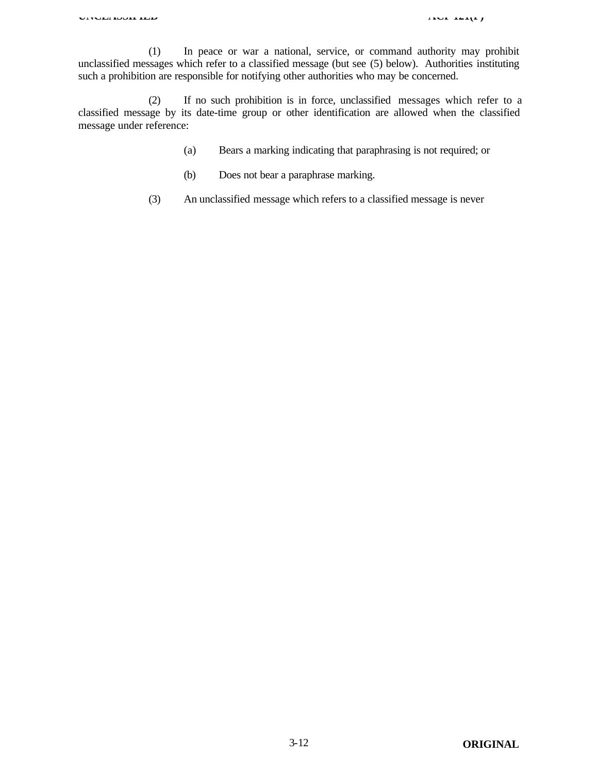(1) In peace or war a national, service, or command authority may prohibit unclassified messages which refer to a classified message (but see (5) below). Authorities instituting such a prohibition are responsible for notifying other authorities who may be concerned.

(2) If no such prohibition is in force, unclassified messages which refer to a classified message by its date-time group or other identification are allowed when the classified message under reference:

- (a) Bears a marking indicating that paraphrasing is not required; or
- (b) Does not bear a paraphrase marking.
- (3) An unclassified message which refers to a classified message is never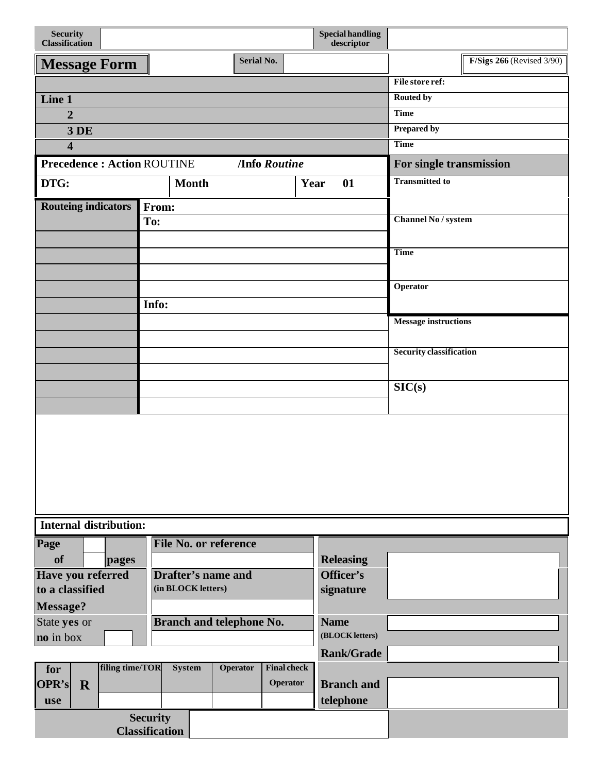| <b>Security</b><br><b>Classification</b> |                 |                                          |                                 |                     | <b>Special handling</b><br>descriptor |                                |                             |
|------------------------------------------|-----------------|------------------------------------------|---------------------------------|---------------------|---------------------------------------|--------------------------------|-----------------------------|
| <b>Message Form</b>                      |                 |                                          | <b>Serial No.</b>               |                     |                                       |                                | $F/Sigs 266$ (Revised 3/90) |
|                                          |                 |                                          |                                 |                     |                                       | File store ref:                |                             |
| Line 1                                   |                 |                                          |                                 |                     |                                       | <b>Routed by</b>               |                             |
| $\overline{2}$                           |                 |                                          |                                 |                     |                                       | <b>Time</b>                    |                             |
| 3 DE                                     |                 |                                          |                                 |                     |                                       | <b>Prepared by</b>             |                             |
| $\overline{\mathbf{4}}$                  |                 |                                          |                                 |                     |                                       | <b>Time</b>                    |                             |
| <b>Precedence: Action ROUTINE</b>        |                 |                                          |                                 | <b>Info Routine</b> |                                       | For single transmission        |                             |
| DTG:                                     |                 |                                          | <b>Month</b>                    |                     | Year<br>01                            | <b>Transmitted to</b>          |                             |
| <b>Routeing indicators</b>               |                 | From:                                    |                                 |                     |                                       |                                |                             |
|                                          |                 | To:                                      |                                 |                     |                                       | <b>Channel No / system</b>     |                             |
|                                          |                 |                                          |                                 |                     |                                       |                                |                             |
|                                          |                 |                                          |                                 |                     |                                       | <b>Time</b>                    |                             |
|                                          |                 |                                          |                                 |                     |                                       |                                |                             |
|                                          |                 |                                          |                                 |                     |                                       | Operator                       |                             |
|                                          |                 | Info:                                    |                                 |                     |                                       |                                |                             |
|                                          |                 |                                          |                                 |                     |                                       | Message instructions           |                             |
|                                          |                 |                                          |                                 |                     |                                       | <b>Security classification</b> |                             |
|                                          |                 |                                          |                                 |                     |                                       |                                |                             |
|                                          |                 |                                          |                                 |                     |                                       | SIC(s)                         |                             |
|                                          |                 |                                          |                                 |                     |                                       |                                |                             |
|                                          |                 |                                          |                                 |                     |                                       |                                |                             |
|                                          |                 |                                          |                                 |                     |                                       |                                |                             |
|                                          |                 |                                          |                                 |                     |                                       |                                |                             |
|                                          |                 |                                          |                                 |                     |                                       |                                |                             |
| <b>Internal distribution:</b>            |                 |                                          |                                 |                     |                                       |                                |                             |
| Page                                     |                 |                                          | <b>File No. or reference</b>    |                     |                                       |                                |                             |
| <b>of</b>                                | pages           |                                          | <b>Drafter's name and</b>       |                     | <b>Releasing</b><br>Officer's         |                                |                             |
| Have you referred<br>to a classified     |                 |                                          | (in BLOCK letters)              |                     | signature                             |                                |                             |
| Message?                                 |                 |                                          |                                 |                     |                                       |                                |                             |
| State yes or                             |                 |                                          | <b>Branch and telephone No.</b> |                     | <b>Name</b>                           |                                |                             |
| no in box                                |                 |                                          |                                 |                     | (BLOCK letters)                       |                                |                             |
|                                          |                 |                                          |                                 |                     | <b>Rank/Grade</b>                     |                                |                             |
| for                                      | filing time/TOR | <b>System</b>                            | <b>Operator</b>                 | <b>Final check</b>  |                                       |                                |                             |
| <b>OPR's</b><br>$\mathbf R$              |                 |                                          |                                 | Operator            | <b>Branch</b> and                     |                                |                             |
| use                                      |                 |                                          |                                 |                     | telephone                             |                                |                             |
|                                          |                 | <b>Security</b><br><b>Classification</b> |                                 |                     |                                       |                                |                             |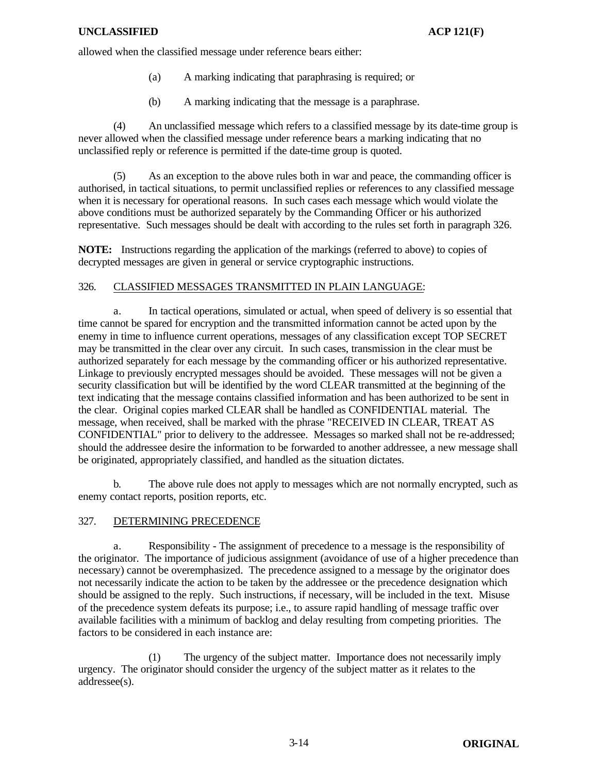allowed when the classified message under reference bears either:

- (a) A marking indicating that paraphrasing is required; or
- (b) A marking indicating that the message is a paraphrase.

(4) An unclassified message which refers to a classified message by its date-time group is never allowed when the classified message under reference bears a marking indicating that no unclassified reply or reference is permitted if the date-time group is quoted.

(5) As an exception to the above rules both in war and peace, the commanding officer is authorised, in tactical situations, to permit unclassified replies or references to any classified message when it is necessary for operational reasons. In such cases each message which would violate the above conditions must be authorized separately by the Commanding Officer or his authorized representative. Such messages should be dealt with according to the rules set forth in paragraph 326.

**NOTE:** Instructions regarding the application of the markings (referred to above) to copies of decrypted messages are given in general or service cryptographic instructions.

#### 326. CLASSIFIED MESSAGES TRANSMITTED IN PLAIN LANGUAGE:

a. In tactical operations, simulated or actual, when speed of delivery is so essential that time cannot be spared for encryption and the transmitted information cannot be acted upon by the enemy in time to influence current operations, messages of any classification except TOP SECRET may be transmitted in the clear over any circuit. In such cases, transmission in the clear must be authorized separately for each message by the commanding officer or his authorized representative. Linkage to previously encrypted messages should be avoided. These messages will not be given a security classification but will be identified by the word CLEAR transmitted at the beginning of the text indicating that the message contains classified information and has been authorized to be sent in the clear. Original copies marked CLEAR shall be handled as CONFIDENTIAL material. The message, when received, shall be marked with the phrase "RECEIVED IN CLEAR, TREAT AS CONFIDENTIAL" prior to delivery to the addressee. Messages so marked shall not be re-addressed; should the addressee desire the information to be forwarded to another addressee, a new message shall be originated, appropriately classified, and handled as the situation dictates.

b. The above rule does not apply to messages which are not normally encrypted, such as enemy contact reports, position reports, etc.

#### 327. DETERMINING PRECEDENCE

a. Responsibility - The assignment of precedence to a message is the responsibility of the originator. The importance of judicious assignment (avoidance of use of a higher precedence than necessary) cannot be overemphasized. The precedence assigned to a message by the originator does not necessarily indicate the action to be taken by the addressee or the precedence designation which should be assigned to the reply. Such instructions, if necessary, will be included in the text. Misuse of the precedence system defeats its purpose; i.e., to assure rapid handling of message traffic over available facilities with a minimum of backlog and delay resulting from competing priorities. The factors to be considered in each instance are:

(1) The urgency of the subject matter. Importance does not necessarily imply urgency. The originator should consider the urgency of the subject matter as it relates to the addressee(s).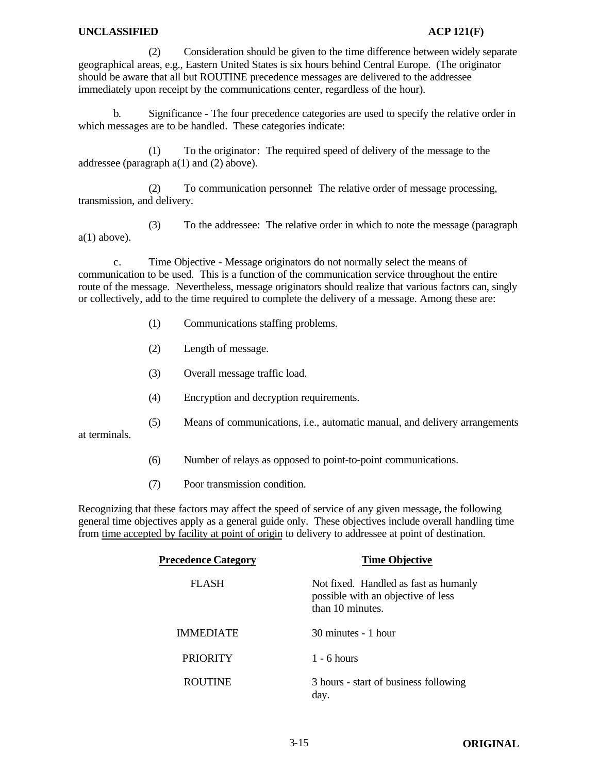#### **UNCLASSIFIED ACP 121(F)**

(2) Consideration should be given to the time difference between widely separate geographical areas, e.g., Eastern United States is six hours behind Central Europe. (The originator should be aware that all but ROUTINE precedence messages are delivered to the addressee immediately upon receipt by the communications center, regardless of the hour).

b. Significance - The four precedence categories are used to specify the relative order in which messages are to be handled. These categories indicate:

(1) To the originator: The required speed of delivery of the message to the addressee (paragraph a(1) and (2) above).

(2) To communication personnel: The relative order of message processing, transmission, and delivery.

(3) To the addressee: The relative order in which to note the message (paragraph  $a(1)$  above).

c. Time Objective - Message originators do not normally select the means of communication to be used. This is a function of the communication service throughout the entire route of the message. Nevertheless, message originators should realize that various factors can, singly or collectively, add to the time required to complete the delivery of a message. Among these are:

- (1) Communications staffing problems.
- (2) Length of message.
- (3) Overall message traffic load.
- (4) Encryption and decryption requirements.
- (5) Means of communications, i.e., automatic manual, and delivery arrangements

at terminals.

- (6) Number of relays as opposed to point-to-point communications.
- (7) Poor transmission condition.

Recognizing that these factors may affect the speed of service of any given message, the following general time objectives apply as a general guide only. These objectives include overall handling time from time accepted by facility at point of origin to delivery to addressee at point of destination.

| <b>Precedence Category</b> | <b>Time Objective</b>                                                                           |
|----------------------------|-------------------------------------------------------------------------------------------------|
| FLASH                      | Not fixed. Handled as fast as humanly<br>possible with an objective of less<br>than 10 minutes. |
| <b>IMMEDIATE</b>           | 30 minutes - 1 hour                                                                             |
| <b>PRIORITY</b>            | $1 - 6$ hours                                                                                   |
| <b>ROUTINE</b>             | 3 hours - start of business following<br>day.                                                   |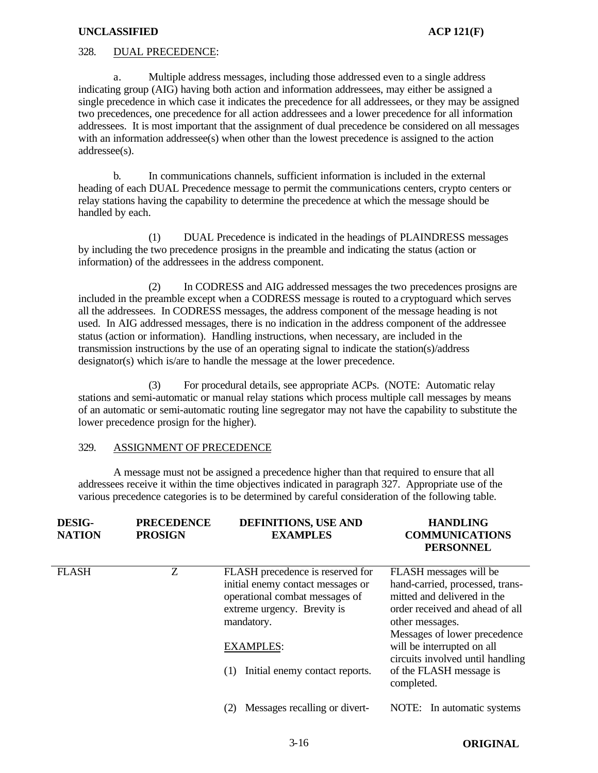#### **UNCLASSIFIED ACP 121(F)**

#### 328. DUAL PRECEDENCE:

a. Multiple address messages, including those addressed even to a single address indicating group (AIG) having both action and information addressees, may either be assigned a single precedence in which case it indicates the precedence for all addressees, or they may be assigned two precedences, one precedence for all action addressees and a lower precedence for all information addressees. It is most important that the assignment of dual precedence be considered on all messages with an information addressee(s) when other than the lowest precedence is assigned to the action addressee(s).

b. In communications channels, sufficient information is included in the external heading of each DUAL Precedence message to permit the communications centers, crypto centers or relay stations having the capability to determine the precedence at which the message should be handled by each.

(1) DUAL Precedence is indicated in the headings of PLAINDRESS messages by including the two precedence prosigns in the preamble and indicating the status (action or information) of the addressees in the address component.

(2) In CODRESS and AIG addressed messages the two precedences prosigns are included in the preamble except when a CODRESS message is routed to a cryptoguard which serves all the addressees. In CODRESS messages, the address component of the message heading is not used. In AIG addressed messages, there is no indication in the address component of the addressee status (action or information). Handling instructions, when necessary, are included in the transmission instructions by the use of an operating signal to indicate the station(s)/address designator(s) which is/are to handle the message at the lower precedence.

(3) For procedural details, see appropriate ACPs. (NOTE: Automatic relay stations and semi-automatic or manual relay stations which process multiple call messages by means of an automatic or semi-automatic routing line segregator may not have the capability to substitute the lower precedence prosign for the higher).

#### 329. ASSIGNMENT OF PRECEDENCE

A message must not be assigned a precedence higher than that required to ensure that all addressees receive it within the time objectives indicated in paragraph 327. Appropriate use of the various precedence categories is to be determined by careful consideration of the following table.

| <b>DESIG-</b><br><b>NATION</b> | <b>PRECEDENCE</b><br><b>PROSIGN</b> | <b>DEFINITIONS, USE AND</b><br><b>EXAMPLES</b>                                                                                                                                                                    | <b>HANDLING</b><br><b>COMMUNICATIONS</b><br><b>PERSONNEL</b>                                                                                                                                                                                                                              |
|--------------------------------|-------------------------------------|-------------------------------------------------------------------------------------------------------------------------------------------------------------------------------------------------------------------|-------------------------------------------------------------------------------------------------------------------------------------------------------------------------------------------------------------------------------------------------------------------------------------------|
| <b>FLASH</b>                   | Z                                   | FLASH precedence is reserved for<br>initial enemy contact messages or<br>operational combat messages of<br>extreme urgency. Brevity is<br>mandatory.<br><b>EXAMPLES:</b><br>Initial enemy contact reports.<br>(1) | FLASH messages will be<br>hand-carried, processed, trans-<br>mitted and delivered in the<br>order received and ahead of all<br>other messages.<br>Messages of lower precedence<br>will be interrupted on all<br>circuits involved until handling<br>of the FLASH message is<br>completed. |
|                                |                                     | Messages recalling or divert-<br>(2)                                                                                                                                                                              | NOTE: In automatic systems                                                                                                                                                                                                                                                                |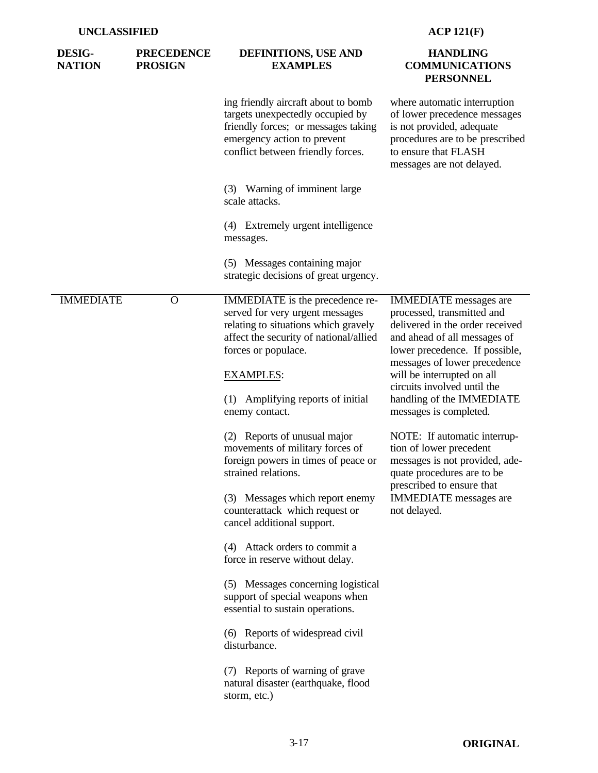| <b>DESIG-</b><br><b>NATION</b> | <b>PRECEDENCE</b><br><b>PROSIGN</b> | DEFINITIONS, USE AND<br><b>EXAMPLES</b>                                                                                                                                                                                                                                                                                                                                                                                                                                                                                                                                                                                                                                                                                        | <b>HANDLING</b><br><b>COMMUNICATIONS</b><br><b>PERSONNEL</b>                                                                                                                                                                                                                                                                                                                                                                                                                                                                  |
|--------------------------------|-------------------------------------|--------------------------------------------------------------------------------------------------------------------------------------------------------------------------------------------------------------------------------------------------------------------------------------------------------------------------------------------------------------------------------------------------------------------------------------------------------------------------------------------------------------------------------------------------------------------------------------------------------------------------------------------------------------------------------------------------------------------------------|-------------------------------------------------------------------------------------------------------------------------------------------------------------------------------------------------------------------------------------------------------------------------------------------------------------------------------------------------------------------------------------------------------------------------------------------------------------------------------------------------------------------------------|
|                                |                                     | ing friendly aircraft about to bomb<br>targets unexpectedly occupied by<br>friendly forces; or messages taking<br>emergency action to prevent<br>conflict between friendly forces.                                                                                                                                                                                                                                                                                                                                                                                                                                                                                                                                             | where automatic interruption<br>of lower precedence messages<br>is not provided, adequate<br>procedures are to be prescribed<br>to ensure that FLASH<br>messages are not delayed.                                                                                                                                                                                                                                                                                                                                             |
|                                |                                     | (3) Warning of imminent large<br>scale attacks.                                                                                                                                                                                                                                                                                                                                                                                                                                                                                                                                                                                                                                                                                |                                                                                                                                                                                                                                                                                                                                                                                                                                                                                                                               |
|                                |                                     | (4) Extremely urgent intelligence<br>messages.                                                                                                                                                                                                                                                                                                                                                                                                                                                                                                                                                                                                                                                                                 |                                                                                                                                                                                                                                                                                                                                                                                                                                                                                                                               |
|                                |                                     | (5) Messages containing major<br>strategic decisions of great urgency.                                                                                                                                                                                                                                                                                                                                                                                                                                                                                                                                                                                                                                                         |                                                                                                                                                                                                                                                                                                                                                                                                                                                                                                                               |
| <b>IMMEDIATE</b>               | O                                   | IMMEDIATE is the precedence re-<br>served for very urgent messages<br>relating to situations which gravely<br>affect the security of national/allied<br>forces or populace.<br><b>EXAMPLES:</b><br>(1) Amplifying reports of initial<br>enemy contact.<br>(2) Reports of unusual major<br>movements of military forces of<br>foreign powers in times of peace or<br>strained relations.<br>(3) Messages which report enemy<br>counterattack which request or<br>cancel additional support.<br>(4) Attack orders to commit a<br>force in reserve without delay.<br>(5) Messages concerning logistical<br>support of special weapons when<br>essential to sustain operations.<br>(6) Reports of widespread civil<br>disturbance. | <b>IMMEDIATE</b> messages are<br>processed, transmitted and<br>delivered in the order received<br>and ahead of all messages of<br>lower precedence. If possible,<br>messages of lower precedence<br>will be interrupted on all<br>circuits involved until the<br>handling of the IMMEDIATE<br>messages is completed.<br>NOTE: If automatic interrup-<br>tion of lower precedent<br>messages is not provided, ade-<br>quate procedures are to be<br>prescribed to ensure that<br><b>IMMEDIATE</b> messages are<br>not delayed. |
|                                |                                     | (7) Reports of warning of grave<br>natural disaster (earthquake, flood<br>storm, etc.)                                                                                                                                                                                                                                                                                                                                                                                                                                                                                                                                                                                                                                         |                                                                                                                                                                                                                                                                                                                                                                                                                                                                                                                               |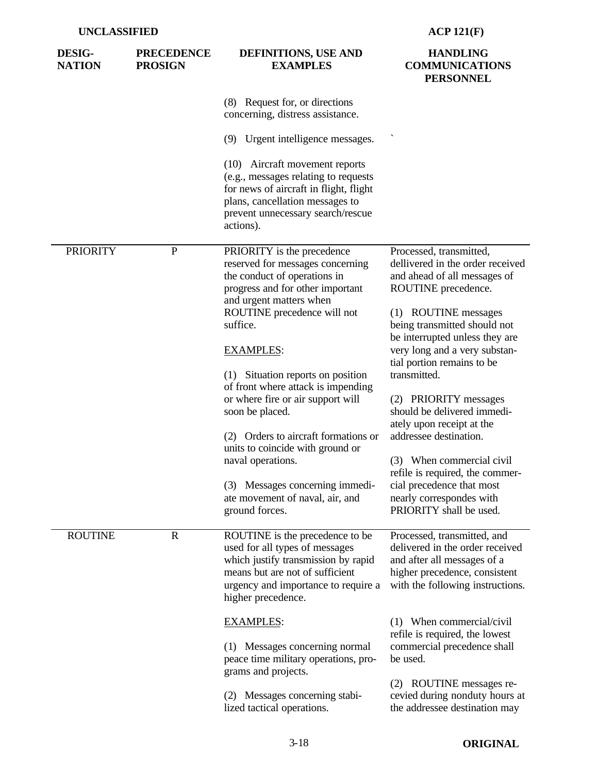| <b>DESIG-</b><br><b>NATION</b> | <b>PRECEDENCE</b><br><b>PROSIGN</b> | DEFINITIONS, USE AND<br><b>EXAMPLES</b>                                                                                                                                                                  | <b>HANDLING</b><br><b>COMMUNICATIONS</b><br><b>PERSONNEL</b>                                                                                                                                                 |
|--------------------------------|-------------------------------------|----------------------------------------------------------------------------------------------------------------------------------------------------------------------------------------------------------|--------------------------------------------------------------------------------------------------------------------------------------------------------------------------------------------------------------|
|                                |                                     | (8) Request for, or directions<br>concerning, distress assistance.                                                                                                                                       |                                                                                                                                                                                                              |
|                                |                                     | (9) Urgent intelligence messages.                                                                                                                                                                        |                                                                                                                                                                                                              |
|                                |                                     | (10) Aircraft movement reports<br>(e.g., messages relating to requests<br>for news of aircraft in flight, flight<br>plans, cancellation messages to<br>prevent unnecessary search/rescue<br>actions).    |                                                                                                                                                                                                              |
| <b>PRIORITY</b>                | $\mathbf{P}$                        | PRIORITY is the precedence<br>reserved for messages concerning<br>the conduct of operations in<br>progress and for other important<br>and urgent matters when                                            | Processed, transmitted,<br>dellivered in the order received<br>and ahead of all messages of<br>ROUTINE precedence.<br>(1) ROUTINE messages<br>being transmitted should not<br>be interrupted unless they are |
|                                |                                     | ROUTINE precedence will not<br>suffice.                                                                                                                                                                  |                                                                                                                                                                                                              |
|                                |                                     | <b>EXAMPLES:</b>                                                                                                                                                                                         | very long and a very substan-<br>tial portion remains to be                                                                                                                                                  |
|                                |                                     | (1) Situation reports on position<br>of front where attack is impending                                                                                                                                  | transmitted.                                                                                                                                                                                                 |
|                                |                                     | or where fire or air support will<br>soon be placed.                                                                                                                                                     | (2) PRIORITY messages<br>should be delivered immedi-                                                                                                                                                         |
|                                |                                     | (2) Orders to aircraft formations or<br>units to coincide with ground or                                                                                                                                 | ately upon receipt at the<br>addressee destination.                                                                                                                                                          |
|                                |                                     | naval operations.                                                                                                                                                                                        | (3) When commercial civil<br>refile is required, the commer-                                                                                                                                                 |
|                                |                                     | (3) Messages concerning immedi-<br>ate movement of naval, air, and<br>ground forces.                                                                                                                     | cial precedence that most<br>nearly correspondes with<br>PRIORITY shall be used.                                                                                                                             |
| <b>ROUTINE</b>                 | $\mathbf R$                         | ROUTINE is the precedence to be<br>used for all types of messages<br>which justify transmission by rapid<br>means but are not of sufficient<br>urgency and importance to require a<br>higher precedence. | Processed, transmitted, and<br>delivered in the order received<br>and after all messages of a<br>higher precedence, consistent<br>with the following instructions.                                           |
|                                |                                     | <b>EXAMPLES:</b>                                                                                                                                                                                         | (1) When commercial/civil<br>refile is required, the lowest                                                                                                                                                  |
|                                |                                     | (1) Messages concerning normal<br>peace time military operations, pro-<br>grams and projects.                                                                                                            | commercial precedence shall<br>be used.                                                                                                                                                                      |
|                                |                                     | (2) Messages concerning stabi-<br>lized tactical operations.                                                                                                                                             | (2) ROUTINE messages re-<br>cevied during nonduty hours at<br>the addressee destination may                                                                                                                  |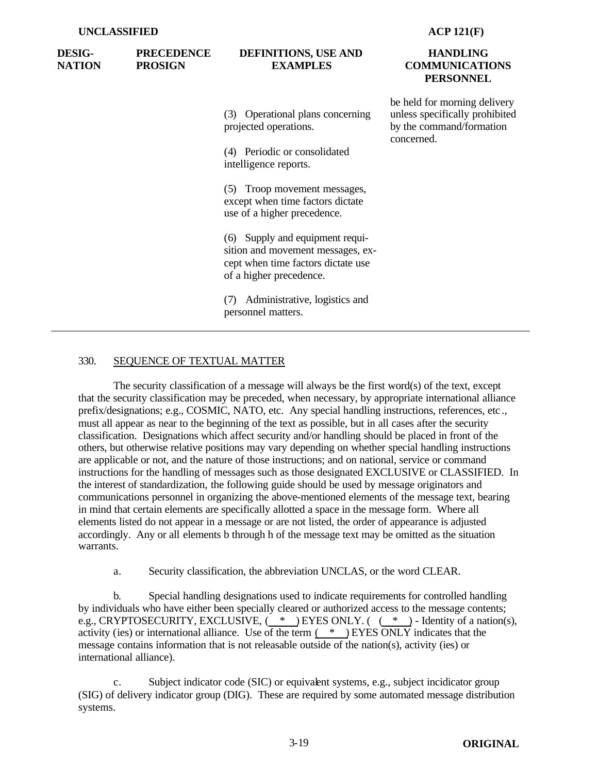| <b>DESIG-</b><br><b>NATION</b> | <b>PRECEDENCE</b><br><b>PROSIGN</b> | DEFINITIONS, USE AND<br><b>EXAMPLES</b>                                                                                               | <b>HANDLING</b><br><b>COMMUNICATIONS</b><br><b>PERSONNEL</b>                                             |  |
|--------------------------------|-------------------------------------|---------------------------------------------------------------------------------------------------------------------------------------|----------------------------------------------------------------------------------------------------------|--|
|                                |                                     | (3) Operational plans concerning<br>projected operations.                                                                             | be held for morning delivery<br>unless specifically prohibited<br>by the command/formation<br>concerned. |  |
|                                |                                     | (4) Periodic or consolidated<br>intelligence reports.                                                                                 |                                                                                                          |  |
|                                |                                     | (5) Troop movement messages,<br>except when time factors dictate<br>use of a higher precedence.                                       |                                                                                                          |  |
|                                |                                     | (6) Supply and equipment requi-<br>sition and movement messages, ex-<br>cept when time factors dictate use<br>of a higher precedence. |                                                                                                          |  |
|                                |                                     | Administrative, logistics and<br>(7)<br>personnel matters.                                                                            |                                                                                                          |  |

## 330. SEQUENCE OF TEXTUAL MATTER

The security classification of a message will always be the first word(s) of the text, except that the security classification may be preceded, when necessary, by appropriate international alliance prefix/designations; e.g., COSMIC, NATO, etc. Any special handling instructions, references, etc ., must all appear as near to the beginning of the text as possible, but in all cases after the security classification. Designations which affect security and/or handling should be placed in front of the others, but otherwise relative positions may vary depending on whether special handling instructions are applicable or not, and the nature of those instructions; and on national, service or command instructions for the handling of messages such as those designated EXCLUSIVE or CLASSIFIED. In the interest of standardization, the following guide should be used by message originators and communications personnel in organizing the above-mentioned elements of the message text, bearing in mind that certain elements are specifically allotted a space in the message form. Where all elements listed do not appear in a message or are not listed, the order of appearance is adjusted accordingly. Any or all elements b through h of the message text may be omitted as the situation warrants.

a. Security classification, the abbreviation UNCLAS, or the word CLEAR.

b. Special handling designations used to indicate requirements for controlled handling by individuals who have either been specially cleared or authorized access to the message contents; e.g., CRYPTOSECURITY, EXCLUSIVE,  $( * )$  EYES ONLY.  $( * )$  - Identity of a nation(s), activity (ies) or international alliance. Use of the term ( \* ) EYES ONLY indicates that the message contains information that is not releasable outside of the nation(s), activity (ies) or international alliance).

c. Subject indicator code (SIC) or equivalent systems, e.g., subject incidicator group (SIG) of delivery indicator group (DIG). These are required by some automated message distribution systems.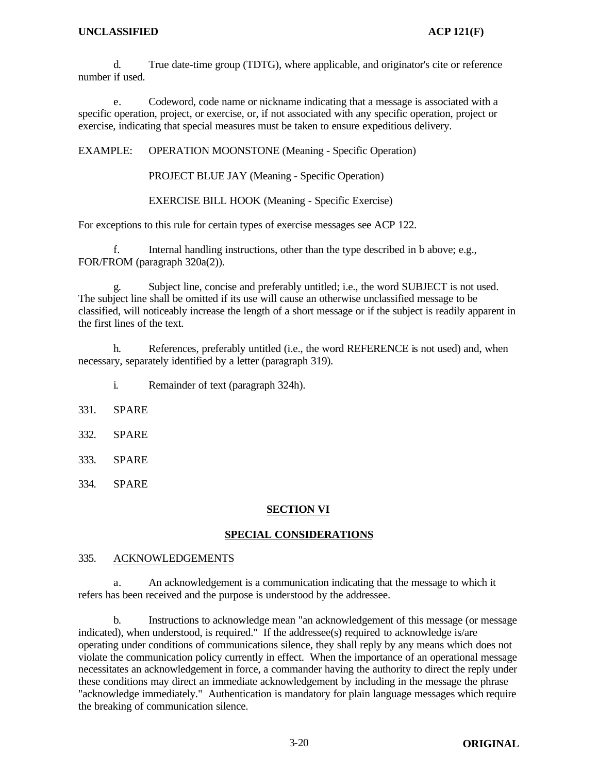d. True date-time group (TDTG), where applicable, and originator's cite or reference number if used.

e. Codeword, code name or nickname indicating that a message is associated with a specific operation, project, or exercise, or, if not associated with any specific operation, project or exercise, indicating that special measures must be taken to ensure expeditious delivery.

EXAMPLE: OPERATION MOONSTONE (Meaning - Specific Operation)

PROJECT BLUE JAY (Meaning - Specific Operation)

EXERCISE BILL HOOK (Meaning - Specific Exercise)

For exceptions to this rule for certain types of exercise messages see ACP 122.

f. Internal handling instructions, other than the type described in b above; e.g., FOR/FROM (paragraph 320a(2)).

Subject line, concise and preferably untitled; i.e., the word SUBJECT is not used. The subject line shall be omitted if its use will cause an otherwise unclassified message to be classified, will noticeably increase the length of a short message or if the subject is readily apparent in the first lines of the text.

h. References, preferably untitled (i.e., the word REFERENCE is not used) and, when necessary, separately identified by a letter (paragraph 319).

- i. Remainder of text (paragraph 324h).
- 331. SPARE
- 332. SPARE
- 333. SPARE
- 334. SPARE

## **SECTION VI**

# **SPECIAL CONSIDERATIONS**

## 335. ACKNOWLEDGEMENTS

a. An acknowledgement is a communication indicating that the message to which it refers has been received and the purpose is understood by the addressee.

b. Instructions to acknowledge mean "an acknowledgement of this message (or message indicated), when understood, is required." If the addressee(s) required to acknowledge is/are operating under conditions of communications silence, they shall reply by any means which does not violate the communication policy currently in effect. When the importance of an operational message necessitates an acknowledgement in force, a commander having the authority to direct the reply under these conditions may direct an immediate acknowledgement by including in the message the phrase "acknowledge immediately." Authentication is mandatory for plain language messages which require the breaking of communication silence.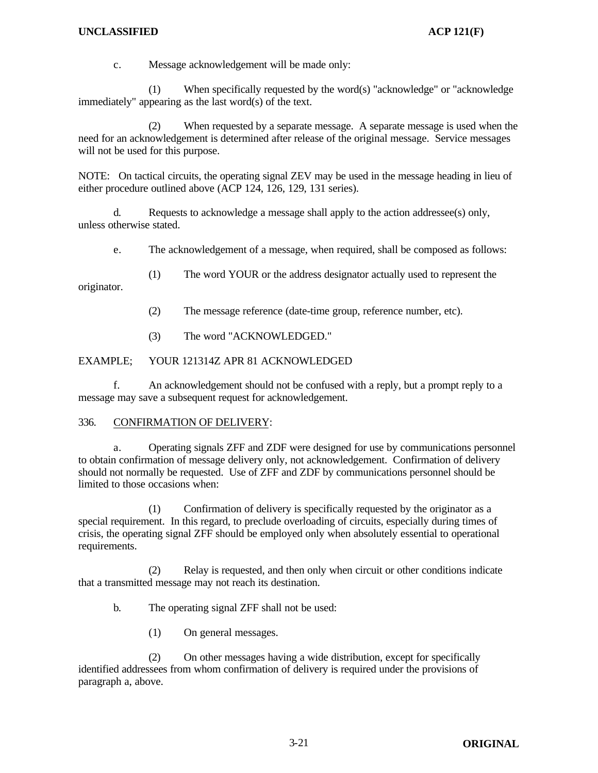## **UNCLASSIFIED ACP 121(F)**

c. Message acknowledgement will be made only:

(1) When specifically requested by the word(s) "acknowledge" or "acknowledge immediately" appearing as the last word(s) of the text.

(2) When requested by a separate message. A separate message is used when the need for an acknowledgement is determined after release of the original message. Service messages will not be used for this purpose.

NOTE: On tactical circuits, the operating signal ZEV may be used in the message heading in lieu of either procedure outlined above (ACP 124, 126, 129, 131 series).

d. Requests to acknowledge a message shall apply to the action addressee(s) only, unless otherwise stated.

e. The acknowledgement of a message, when required, shall be composed as follows:

(1) The word YOUR or the address designator actually used to represent the originator.

- (2) The message reference (date-time group, reference number, etc).
- (3) The word "ACKNOWLEDGED."

EXAMPLE; YOUR 121314Z APR 81 ACKNOWLEDGED

f. An acknowledgement should not be confused with a reply, but a prompt reply to a message may save a subsequent request for acknowledgement.

## 336. CONFIRMATION OF DELIVERY:

a. Operating signals ZFF and ZDF were designed for use by communications personnel to obtain confirmation of message delivery only, not acknowledgement. Confirmation of delivery should not normally be requested. Use of ZFF and ZDF by communications personnel should be limited to those occasions when:

(1) Confirmation of delivery is specifically requested by the originator as a special requirement. In this regard, to preclude overloading of circuits, especially during times of crisis, the operating signal ZFF should be employed only when absolutely essential to operational requirements.

(2) Relay is requested, and then only when circuit or other conditions indicate that a transmitted message may not reach its destination.

- b. The operating signal ZFF shall not be used:
	- (1) On general messages.

(2) On other messages having a wide distribution, except for specifically identified addressees from whom confirmation of delivery is required under the provisions of paragraph a, above.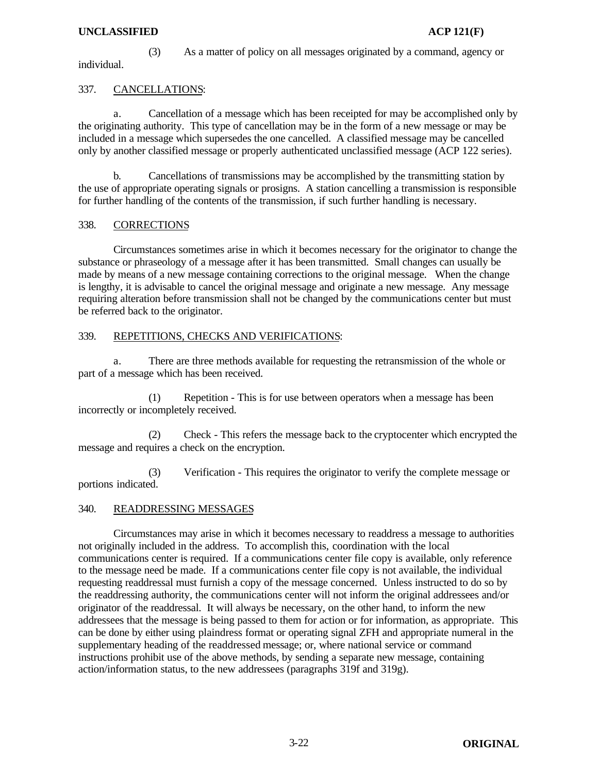## **UNCLASSIFIED ACP 121(F)**

(3) As a matter of policy on all messages originated by a command, agency or individual.

## 337. CANCELLATIONS:

a. Cancellation of a message which has been receipted for may be accomplished only by the originating authority. This type of cancellation may be in the form of a new message or may be included in a message which supersedes the one cancelled. A classified message may be cancelled only by another classified message or properly authenticated unclassified message (ACP 122 series).

b. Cancellations of transmissions may be accomplished by the transmitting station by the use of appropriate operating signals or prosigns. A station cancelling a transmission is responsible for further handling of the contents of the transmission, if such further handling is necessary.

## 338. CORRECTIONS

Circumstances sometimes arise in which it becomes necessary for the originator to change the substance or phraseology of a message after it has been transmitted. Small changes can usually be made by means of a new message containing corrections to the original message. When the change is lengthy, it is advisable to cancel the original message and originate a new message. Any message requiring alteration before transmission shall not be changed by the communications center but must be referred back to the originator.

## 339. REPETITIONS, CHECKS AND VERIFICATIONS:

a. There are three methods available for requesting the retransmission of the whole or part of a message which has been received.

(1) Repetition - This is for use between operators when a message has been incorrectly or incompletely received.

(2) Check - This refers the message back to the cryptocenter which encrypted the message and requires a check on the encryption.

(3) Verification - This requires the originator to verify the complete message or portions indicated.

## 340. READDRESSING MESSAGES

Circumstances may arise in which it becomes necessary to readdress a message to authorities not originally included in the address. To accomplish this, coordination with the local communications center is required. If a communications center file copy is available, only reference to the message need be made. If a communications center file copy is not available, the individual requesting readdressal must furnish a copy of the message concerned. Unless instructed to do so by the readdressing authority, the communications center will not inform the original addressees and/or originator of the readdressal. It will always be necessary, on the other hand, to inform the new addressees that the message is being passed to them for action or for information, as appropriate. This can be done by either using plaindress format or operating signal ZFH and appropriate numeral in the supplementary heading of the readdressed message; or, where national service or command instructions prohibit use of the above methods, by sending a separate new message, containing action/information status, to the new addressees (paragraphs 319f and 319g).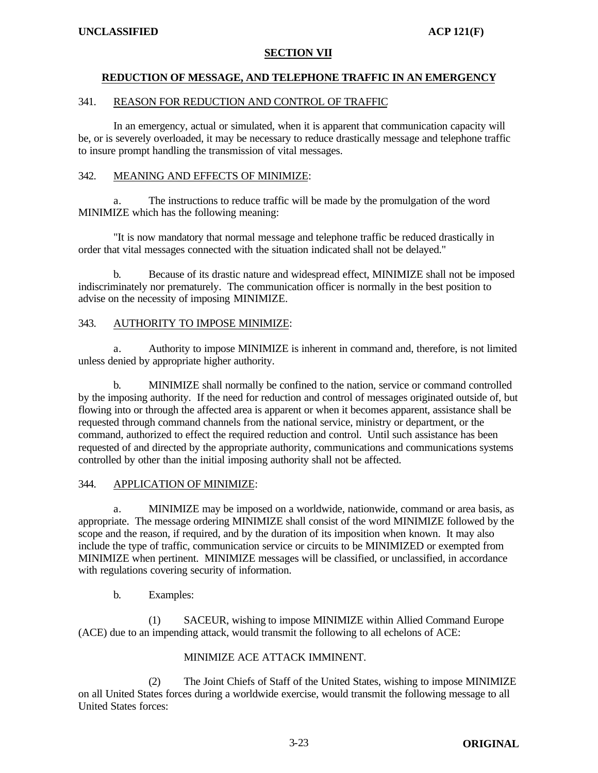# **SECTION VII**

# **REDUCTION OF MESSAGE, AND TELEPHONE TRAFFIC IN AN EMERGENCY**

## 341. REASON FOR REDUCTION AND CONTROL OF TRAFFIC

In an emergency, actual or simulated, when it is apparent that communication capacity will be, or is severely overloaded, it may be necessary to reduce drastically message and telephone traffic to insure prompt handling the transmission of vital messages.

## 342. MEANING AND EFFECTS OF MINIMIZE:

a. The instructions to reduce traffic will be made by the promulgation of the word MINIMIZE which has the following meaning:

"It is now mandatory that normal message and telephone traffic be reduced drastically in order that vital messages connected with the situation indicated shall not be delayed."

b. Because of its drastic nature and widespread effect, MINIMIZE shall not be imposed indiscriminately nor prematurely. The communication officer is normally in the best position to advise on the necessity of imposing MINIMIZE.

## 343. AUTHORITY TO IMPOSE MINIMIZE:

Authority to impose MINIMIZE is inherent in command and, therefore, is not limited unless denied by appropriate higher authority.

b. MINIMIZE shall normally be confined to the nation, service or command controlled by the imposing authority. If the need for reduction and control of messages originated outside of, but flowing into or through the affected area is apparent or when it becomes apparent, assistance shall be requested through command channels from the national service, ministry or department, or the command, authorized to effect the required reduction and control. Until such assistance has been requested of and directed by the appropriate authority, communications and communications systems controlled by other than the initial imposing authority shall not be affected.

## 344. APPLICATION OF MINIMIZE:

a. MINIMIZE may be imposed on a worldwide, nationwide, command or area basis, as appropriate. The message ordering MINIMIZE shall consist of the word MINIMIZE followed by the scope and the reason, if required, and by the duration of its imposition when known. It may also include the type of traffic, communication service or circuits to be MINIMIZED or exempted from MINIMIZE when pertinent. MINIMIZE messages will be classified, or unclassified, in accordance with regulations covering security of information.

## b. Examples:

(1) SACEUR, wishing to impose MINIMIZE within Allied Command Europe (ACE) due to an impending attack, would transmit the following to all echelons of ACE:

## MINIMIZE ACE ATTACK IMMINENT.

(2) The Joint Chiefs of Staff of the United States, wishing to impose MINIMIZE on all United States forces during a worldwide exercise, would transmit the following message to all United States forces: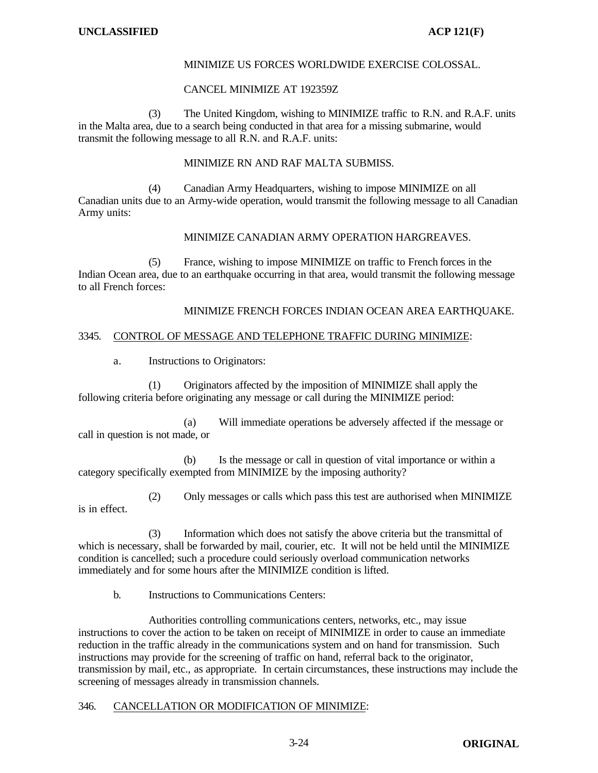## MINIMIZE US FORCES WORLDWIDE EXERCISE COLOSSAL.

## CANCEL MINIMIZE AT 192359Z

(3) The United Kingdom, wishing to MINIMIZE traffic to R.N. and R.A.F. units in the Malta area, due to a search being conducted in that area for a missing submarine, would transmit the following message to all R.N. and R.A.F. units:

MINIMIZE RN AND RAF MALTA SUBMISS.

(4) Canadian Army Headquarters, wishing to impose MINIMIZE on all Canadian units due to an Army-wide operation, would transmit the following message to all Canadian Army units:

## MINIMIZE CANADIAN ARMY OPERATION HARGREAVES.

(5) France, wishing to impose MINIMIZE on traffic to French forces in the Indian Ocean area, due to an earthquake occurring in that area, would transmit the following message to all French forces:

## MINIMIZE FRENCH FORCES INDIAN OCEAN AREA EARTHQUAKE.

## 3345. CONTROL OF MESSAGE AND TELEPHONE TRAFFIC DURING MINIMIZE:

a. Instructions to Originators:

(1) Originators affected by the imposition of MINIMIZE shall apply the following criteria before originating any message or call during the MINIMIZE period:

(a) Will immediate operations be adversely affected if the message or call in question is not made, or

(b) Is the message or call in question of vital importance or within a category specifically exempted from MINIMIZE by the imposing authority?

(2) Only messages or calls which pass this test are authorised when MINIMIZE is in effect.

(3) Information which does not satisfy the above criteria but the transmittal of which is necessary, shall be forwarded by mail, courier, etc. It will not be held until the MINIMIZE condition is cancelled; such a procedure could seriously overload communication networks immediately and for some hours after the MINIMIZE condition is lifted.

b. Instructions to Communications Centers:

Authorities controlling communications centers, networks, etc., may issue instructions to cover the action to be taken on receipt of MINIMIZE in order to cause an immediate reduction in the traffic already in the communications system and on hand for transmission. Such instructions may provide for the screening of traffic on hand, referral back to the originator, transmission by mail, etc., as appropriate. In certain circumstances, these instructions may include the screening of messages already in transmission channels.

#### 346. CANCELLATION OR MODIFICATION OF MINIMIZE: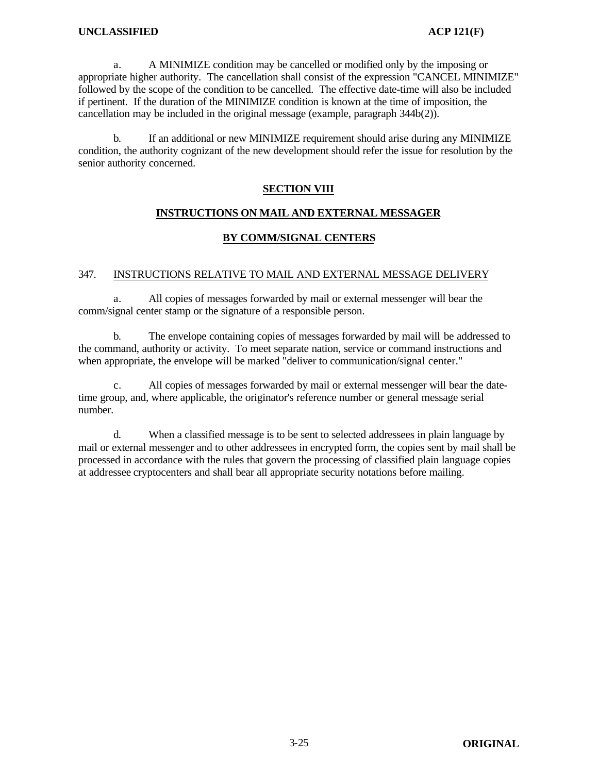## **UNCLASSIFIED ACP 121(F)**

a. A MINIMIZE condition may be cancelled or modified only by the imposing or appropriate higher authority. The cancellation shall consist of the expression "CANCEL MINIMIZE" followed by the scope of the condition to be cancelled. The effective date-time will also be included if pertinent. If the duration of the MINIMIZE condition is known at the time of imposition, the cancellation may be included in the original message (example, paragraph 344b(2)).

b. If an additional or new MINIMIZE requirement should arise during any MINIMIZE condition, the authority cognizant of the new development should refer the issue for resolution by the senior authority concerned.

## **SECTION VIII**

## **INSTRUCTIONS ON MAIL AND EXTERNAL MESSAGER**

## **BY COMM/SIGNAL CENTERS**

## 347. INSTRUCTIONS RELATIVE TO MAIL AND EXTERNAL MESSAGE DELIVERY

a. All copies of messages forwarded by mail or external messenger will bear the comm/signal center stamp or the signature of a responsible person.

b. The envelope containing copies of messages forwarded by mail will be addressed to the command, authority or activity. To meet separate nation, service or command instructions and when appropriate, the envelope will be marked "deliver to communication/signal center."

c. All copies of messages forwarded by mail or external messenger will bear the datetime group, and, where applicable, the originator's reference number or general message serial number.

d. When a classified message is to be sent to selected addressees in plain language by mail or external messenger and to other addressees in encrypted form, the copies sent by mail shall be processed in accordance with the rules that govern the processing of classified plain language copies at addressee cryptocenters and shall bear all appropriate security notations before mailing.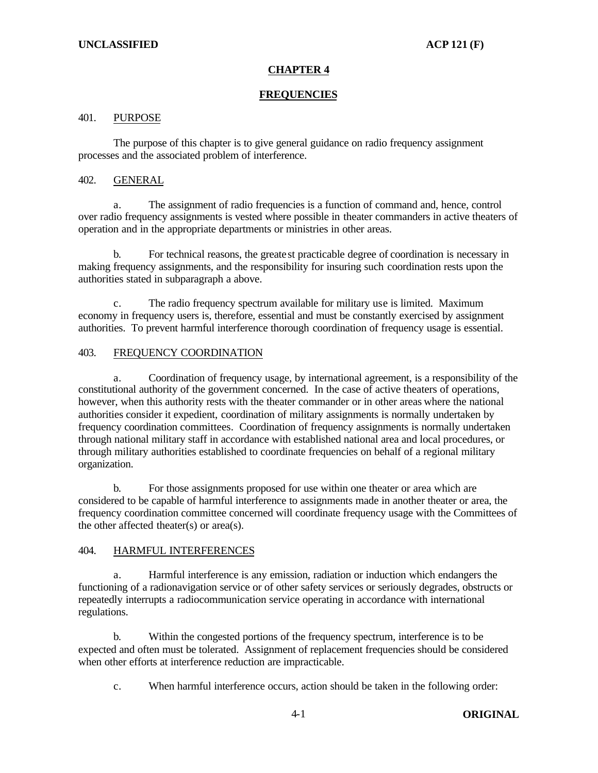# **CHAPTER 4**

## **FREQUENCIES**

## 401. PURPOSE

The purpose of this chapter is to give general guidance on radio frequency assignment processes and the associated problem of interference.

## 402. GENERAL

a. The assignment of radio frequencies is a function of command and, hence, control over radio frequency assignments is vested where possible in theater commanders in active theaters of operation and in the appropriate departments or ministries in other areas.

b. For technical reasons, the greate st practicable degree of coordination is necessary in making frequency assignments, and the responsibility for insuring such coordination rests upon the authorities stated in subparagraph a above.

c. The radio frequency spectrum available for military use is limited. Maximum economy in frequency users is, therefore, essential and must be constantly exercised by assignment authorities. To prevent harmful interference thorough coordination of frequency usage is essential.

# 403. FREQUENCY COORDINATION

a. Coordination of frequency usage, by international agreement, is a responsibility of the constitutional authority of the government concerned. In the case of active theaters of operations, however, when this authority rests with the theater commander or in other areas where the national authorities consider it expedient, coordination of military assignments is normally undertaken by frequency coordination committees. Coordination of frequency assignments is normally undertaken through national military staff in accordance with established national area and local procedures, or through military authorities established to coordinate frequencies on behalf of a regional military organization.

b. For those assignments proposed for use within one theater or area which are considered to be capable of harmful interference to assignments made in another theater or area, the frequency coordination committee concerned will coordinate frequency usage with the Committees of the other affected theater(s) or area(s).

## 404. HARMFUL INTERFERENCES

a. Harmful interference is any emission, radiation or induction which endangers the functioning of a radionavigation service or of other safety services or seriously degrades, obstructs or repeatedly interrupts a radiocommunication service operating in accordance with international regulations.

b. Within the congested portions of the frequency spectrum, interference is to be expected and often must be tolerated. Assignment of replacement frequencies should be considered when other efforts at interference reduction are impracticable.

c. When harmful interference occurs, action should be taken in the following order: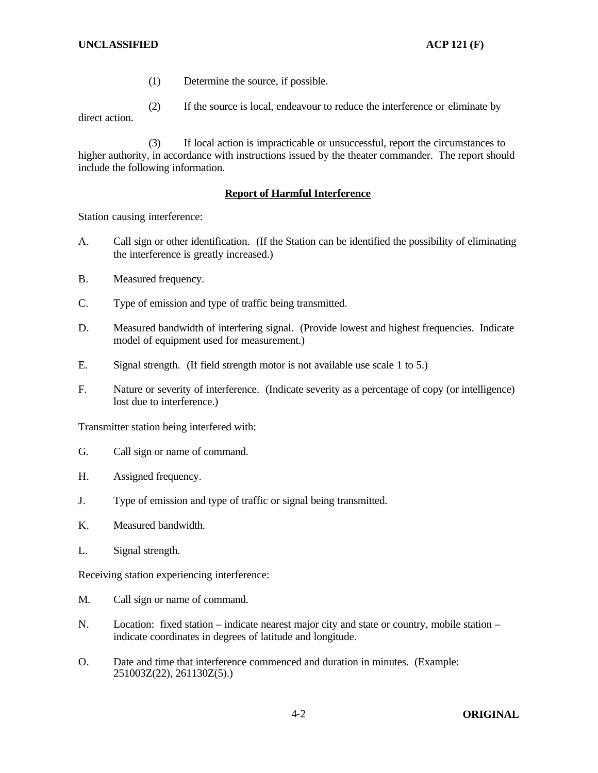## **UNCLASSIFIED ACP 121 (F)**

- (1) Determine the source, if possible.
- (2) If the source is local, endeavour to reduce the interference or eliminate by

direct action.

(3) If local action is impracticable or unsuccessful, report the circumstances to higher authority, in accordance with instructions issued by the theater commander. The report should include the following information.

## **Report of Harmful Interference**

Station causing interference:

- A. Call sign or other identification. (If the Station can be identified the possibility of eliminating the interference is greatly increased.)
- B. Measured frequency.
- C. Type of emission and type of traffic being transmitted.
- D. Measured bandwidth of interfering signal. (Provide lowest and highest frequencies. Indicate model of equipment used for measurement.)
- E. Signal strength. (If field strength motor is not available use scale 1 to 5.)
- F. Nature or severity of interference. (Indicate severity as a percentage of copy (or intelligence) lost due to interference.)

Transmitter station being interfered with:

- G. Call sign or name of command.
- H. Assigned frequency.
- J. Type of emission and type of traffic or signal being transmitted.
- K. Measured bandwidth.
- L. Signal strength.

Receiving station experiencing interference:

- M. Call sign or name of command.
- N. Location: fixed station indicate nearest major city and state or country, mobile station indicate coordinates in degrees of latitude and longitude.
- O. Date and time that interference commenced and duration in minutes. (Example: 251003Z(22), 261130Z(5).)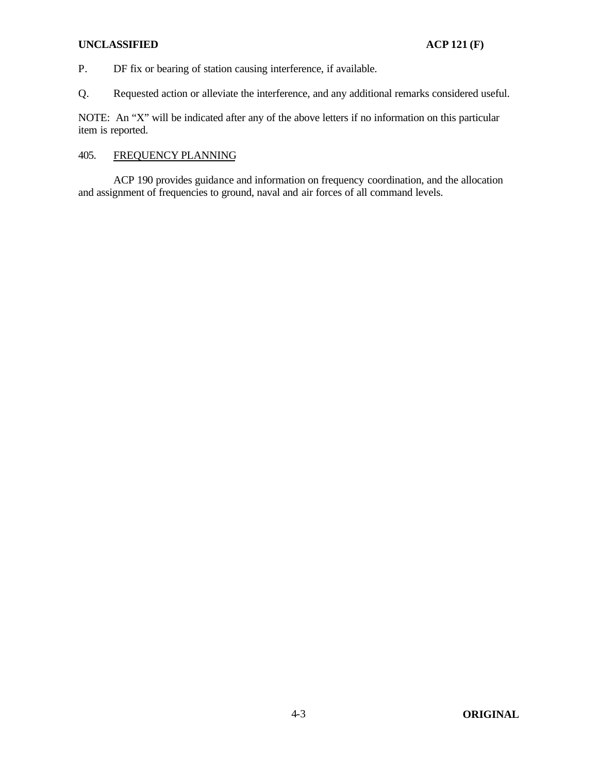## **UNCLASSIFIED ACP 121 (F)**

P. DF fix or bearing of station causing interference, if available.

Q. Requested action or alleviate the interference, and any additional remarks considered useful.

NOTE: An "X" will be indicated after any of the above letters if no information on this particular item is reported.

## 405. FREQUENCY PLANNING

ACP 190 provides guidance and information on frequency coordination, and the allocation and assignment of frequencies to ground, naval and air forces of all command levels.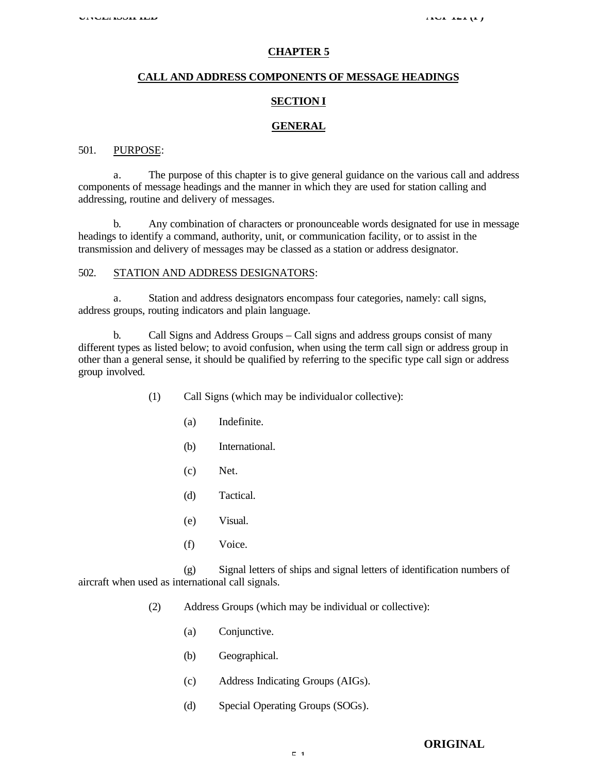#### **CHAPTER 5**

#### **CALL AND ADDRESS COMPONENTS OF MESSAGE HEADINGS**

### **SECTION I**

#### **GENERAL**

### 501. PURPOSE:

a. The purpose of this chapter is to give general guidance on the various call and address components of message headings and the manner in which they are used for station calling and addressing, routine and delivery of messages.

b. Any combination of characters or pronounceable words designated for use in message headings to identify a command, authority, unit, or communication facility, or to assist in the transmission and delivery of messages may be classed as a station or address designator.

## 502. STATION AND ADDRESS DESIGNATORS:

a. Station and address designators encompass four categories, namely: call signs, address groups, routing indicators and plain language.

b. Call Signs and Address Groups – Call signs and address groups consist of many different types as listed below; to avoid confusion, when using the term call sign or address group in other than a general sense, it should be qualified by referring to the specific type call sign or address group involved.

- (1) Call Signs (which may be individual or collective):
	- (a) Indefinite.
	- (b) International.
	- (c) Net.
	- (d) Tactical.
	- (e) Visual.
	- (f) Voice.

(g) Signal letters of ships and signal letters of identification numbers of aircraft when used as international call signals.

- (2) Address Groups (which may be individual or collective):
	- (a) Conjunctive.
	- (b) Geographical.
	- (c) Address Indicating Groups (AIGs).
	- (d) Special Operating Groups (SOGs).

### **ORIGINAL**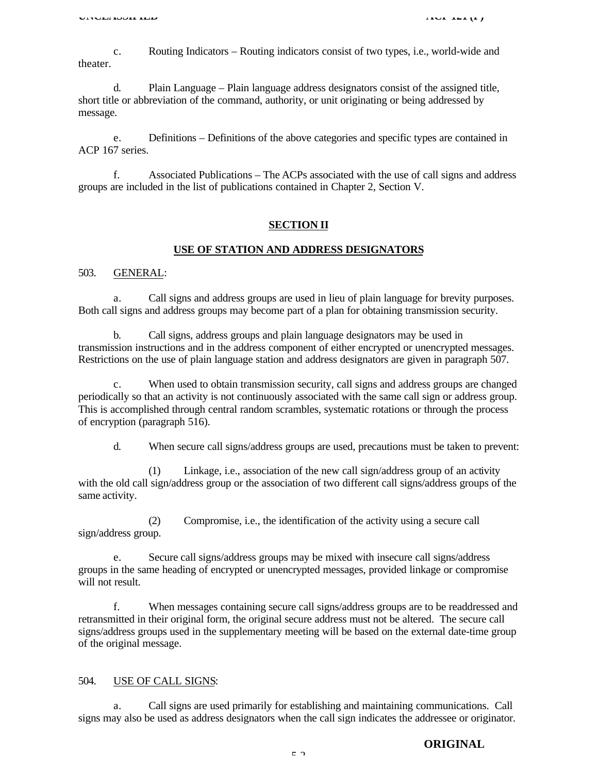c. Routing Indicators – Routing indicators consist of two types, i.e., world-wide and theater.

d. Plain Language – Plain language address designators consist of the assigned title, short title or abbreviation of the command, authority, or unit originating or being addressed by message.

e. Definitions – Definitions of the above categories and specific types are contained in ACP 167 series.

f. Associated Publications – The ACPs associated with the use of call signs and address groups are included in the list of publications contained in Chapter 2, Section V.

#### **SECTION II**

#### **USE OF STATION AND ADDRESS DESIGNATORS**

## 503. GENERAL:

a. Call signs and address groups are used in lieu of plain language for brevity purposes. Both call signs and address groups may become part of a plan for obtaining transmission security.

b. Call signs, address groups and plain language designators may be used in transmission instructions and in the address component of either encrypted or unencrypted messages. Restrictions on the use of plain language station and address designators are given in paragraph 507.

c. When used to obtain transmission security, call signs and address groups are changed periodically so that an activity is not continuously associated with the same call sign or address group. This is accomplished through central random scrambles, systematic rotations or through the process of encryption (paragraph 516).

d. When secure call signs/address groups are used, precautions must be taken to prevent:

(1) Linkage, i.e., association of the new call sign/address group of an activity with the old call sign/address group or the association of two different call signs/address groups of the same activity.

(2) Compromise, i.e., the identification of the activity using a secure call sign/address group.

e. Secure call signs/address groups may be mixed with insecure call signs/address groups in the same heading of encrypted or unencrypted messages, provided linkage or compromise will not result.

f. When messages containing secure call signs/address groups are to be readdressed and retransmitted in their original form, the original secure address must not be altered. The secure call signs/address groups used in the supplementary meeting will be based on the external date-time group of the original message.

#### 504. USE OF CALL SIGNS:

a. Call signs are used primarily for establishing and maintaining communications. Call signs may also be used as address designators when the call sign indicates the addressee or originator.

#### **ORIGINAL**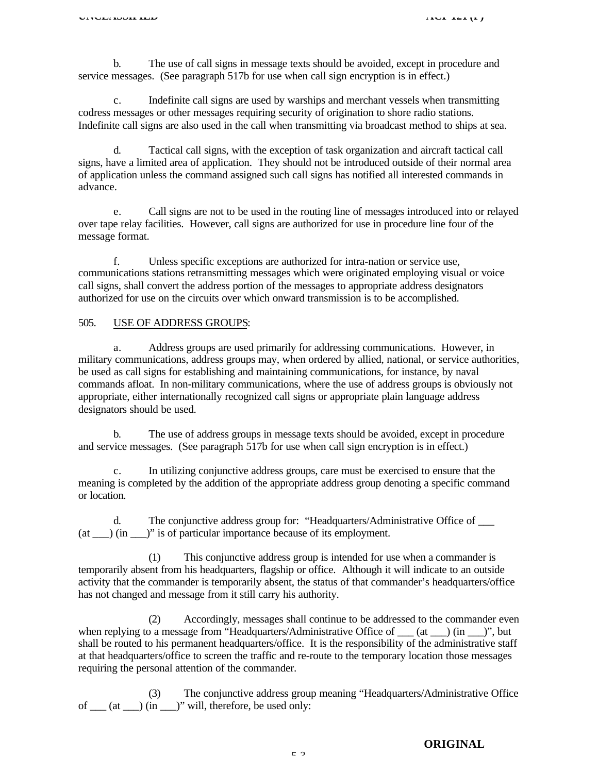b. The use of call signs in message texts should be avoided, except in procedure and service messages. (See paragraph 517b for use when call sign encryption is in effect.)

c. Indefinite call signs are used by warships and merchant vessels when transmitting codress messages or other messages requiring security of origination to shore radio stations. Indefinite call signs are also used in the call when transmitting via broadcast method to ships at sea.

d. Tactical call signs, with the exception of task organization and aircraft tactical call signs, have a limited area of application. They should not be introduced outside of their normal area of application unless the command assigned such call signs has notified all interested commands in advance.

e. Call signs are not to be used in the routing line of messages introduced into or relayed over tape relay facilities. However, call signs are authorized for use in procedure line four of the message format.

f. Unless specific exceptions are authorized for intra-nation or service use, communications stations retransmitting messages which were originated employing visual or voice call signs, shall convert the address portion of the messages to appropriate address designators authorized for use on the circuits over which onward transmission is to be accomplished.

## 505. USE OF ADDRESS GROUPS:

a. Address groups are used primarily for addressing communications. However, in military communications, address groups may, when ordered by allied, national, or service authorities, be used as call signs for establishing and maintaining communications, for instance, by naval commands afloat. In non-military communications, where the use of address groups is obviously not appropriate, either internationally recognized call signs or appropriate plain language address designators should be used.

b. The use of address groups in message texts should be avoided, except in procedure and service messages. (See paragraph 517b for use when call sign encryption is in effect.)

c. In utilizing conjunctive address groups, care must be exercised to ensure that the meaning is completed by the addition of the appropriate address group denoting a specific command or location.

d. The conjunctive address group for: "Headquarters/Administrative Office of \_\_\_  $(at \rightarrow)$  (in  $'$ )" is of particular importance because of its employment.

(1) This conjunctive address group is intended for use when a commander is temporarily absent from his headquarters, flagship or office. Although it will indicate to an outside activity that the commander is temporarily absent, the status of that commander's headquarters/office has not changed and message from it still carry his authority.

(2) Accordingly, messages shall continue to be addressed to the commander even when replying to a message from "Headquarters/Administrative Office of  $(at)$  (in  $'$ )", but shall be routed to his permanent headquarters/office. It is the responsibility of the administrative staff at that headquarters/office to screen the traffic and re-route to the temporary location those messages requiring the personal attention of the commander.

(3) The conjunctive address group meaning "Headquarters/Administrative Office of  $\frac{d}{dx}$  (at  $\frac{d}{dx}$ ) (in  $\frac{d}{dx}$ )" will, therefore, be used only:

5-3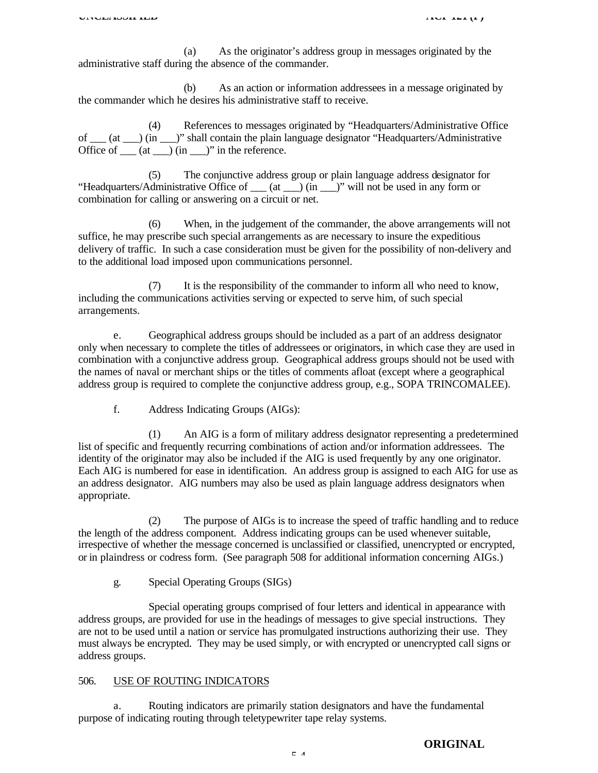(a) As the originator's address group in messages originated by the administrative staff during the absence of the commander.

(b) As an action or information addressees in a message originated by the commander which he desires his administrative staff to receive.

(4) References to messages originated by "Headquarters/Administrative Office of \_\_\_ (at \_\_\_) (in \_\_\_)" shall contain the plain language designator "Headquarters/Administrative Office of  $\rule{1em}{0.15mm}$  (at  $\rule{1em}{0.15mm}$ ) in the reference.

(5) The conjunctive address group or plain language address designator for "Headquarters/Administrative Office of \_\_\_ (at \_\_\_) (in \_\_\_)" will not be used in any form or combination for calling or answering on a circuit or net.

(6) When, in the judgement of the commander, the above arrangements will not suffice, he may prescribe such special arrangements as are necessary to insure the expeditious delivery of traffic. In such a case consideration must be given for the possibility of non-delivery and to the additional load imposed upon communications personnel.

(7) It is the responsibility of the commander to inform all who need to know, including the communications activities serving or expected to serve him, of such special arrangements.

e. Geographical address groups should be included as a part of an address designator only when necessary to complete the titles of addressees or originators, in which case they are used in combination with a conjunctive address group. Geographical address groups should not be used with the names of naval or merchant ships or the titles of comments afloat (except where a geographical address group is required to complete the conjunctive address group, e.g., SOPA TRINCOMALEE).

f. Address Indicating Groups (AIGs):

(1) An AIG is a form of military address designator representing a predetermined list of specific and frequently recurring combinations of action and/or information addressees. The identity of the originator may also be included if the AIG is used frequently by any one originator. Each AIG is numbered for ease in identification. An address group is assigned to each AIG for use as an address designator. AIG numbers may also be used as plain language address designators when appropriate.

(2) The purpose of AIGs is to increase the speed of traffic handling and to reduce the length of the address component. Address indicating groups can be used whenever suitable, irrespective of whether the message concerned is unclassified or classified, unencrypted or encrypted, or in plaindress or codress form. (See paragraph 508 for additional information concerning AIGs.)

g. Special Operating Groups (SIGs)

Special operating groups comprised of four letters and identical in appearance with address groups, are provided for use in the headings of messages to give special instructions. They are not to be used until a nation or service has promulgated instructions authorizing their use. They must always be encrypted. They may be used simply, or with encrypted or unencrypted call signs or address groups.

#### 506. USE OF ROUTING INDICATORS

a. Routing indicators are primarily station designators and have the fundamental purpose of indicating routing through teletypewriter tape relay systems.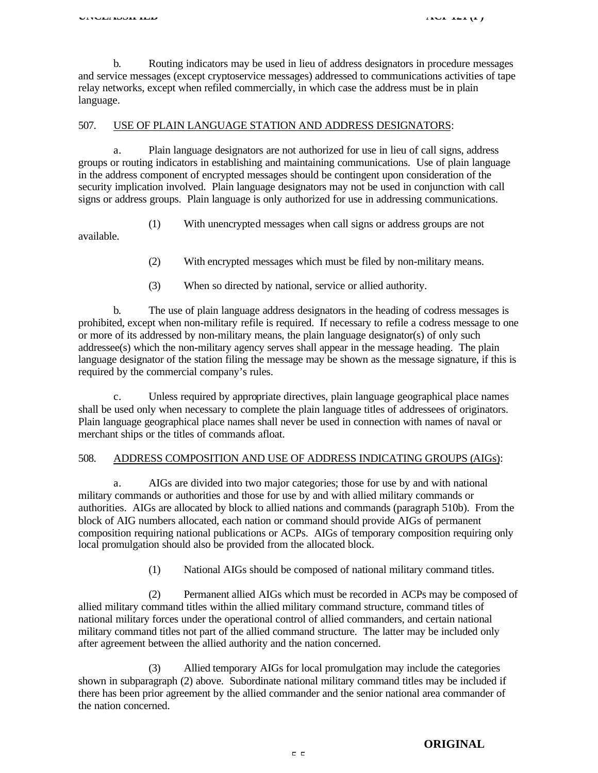b. Routing indicators may be used in lieu of address designators in procedure messages and service messages (except cryptoservice messages) addressed to communications activities of tape relay networks, except when refiled commercially, in which case the address must be in plain language.

#### 507. USE OF PLAIN LANGUAGE STATION AND ADDRESS DESIGNATORS:

a. Plain language designators are not authorized for use in lieu of call signs, address groups or routing indicators in establishing and maintaining communications. Use of plain language in the address component of encrypted messages should be contingent upon consideration of the security implication involved. Plain language designators may not be used in conjunction with call signs or address groups. Plain language is only authorized for use in addressing communications.

(1) With unencrypted messages when call signs or address groups are not

available.

- (2) With encrypted messages which must be filed by non-military means.
- (3) When so directed by national, service or allied authority.

b. The use of plain language address designators in the heading of codress messages is prohibited, except when non-military refile is required. If necessary to refile a codress message to one or more of its addressed by non-military means, the plain language designator(s) of only such addressee(s) which the non-military agency serves shall appear in the message heading. The plain language designator of the station filing the message may be shown as the message signature, if this is required by the commercial company's rules.

c. Unless required by appropriate directives, plain language geographical place names shall be used only when necessary to complete the plain language titles of addressees of originators. Plain language geographical place names shall never be used in connection with names of naval or merchant ships or the titles of commands afloat.

## 508. ADDRESS COMPOSITION AND USE OF ADDRESS INDICATING GROUPS (AIGs):

a. AIGs are divided into two major categories; those for use by and with national military commands or authorities and those for use by and with allied military commands or authorities. AIGs are allocated by block to allied nations and commands (paragraph 510b). From the block of AIG numbers allocated, each nation or command should provide AIGs of permanent composition requiring national publications or ACPs. AIGs of temporary composition requiring only local promulgation should also be provided from the allocated block.

(1) National AIGs should be composed of national military command titles.

(2) Permanent allied AIGs which must be recorded in ACPs may be composed of allied military command titles within the allied military command structure, command titles of national military forces under the operational control of allied commanders, and certain national military command titles not part of the allied command structure. The latter may be included only after agreement between the allied authority and the nation concerned.

(3) Allied temporary AIGs for local promulgation may include the categories shown in subparagraph (2) above. Subordinate national military command titles may be included if there has been prior agreement by the allied commander and the senior national area commander of the nation concerned.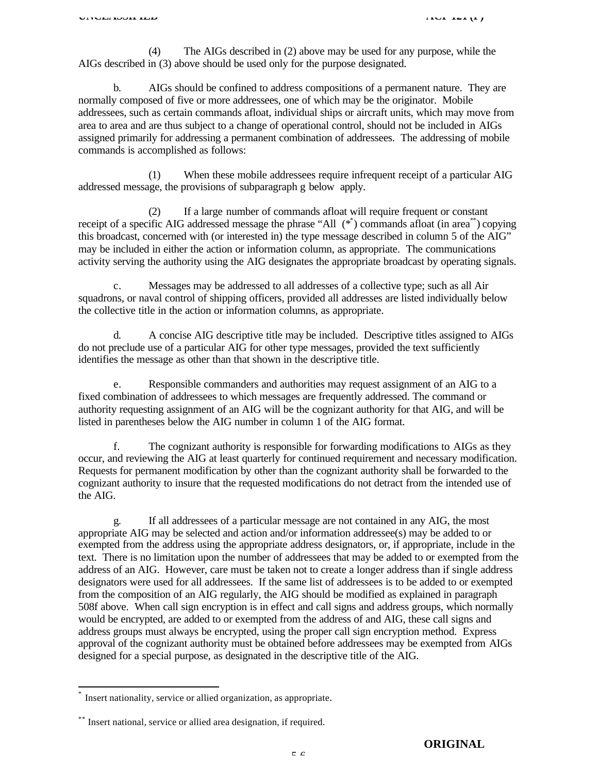(4) The AIGs described in (2) above may be used for any purpose, while the AIGs described in (3) above should be used only for the purpose designated.

b. AIGs should be confined to address compositions of a permanent nature. They are normally composed of five or more addressees, one of which may be the originator. Mobile addressees, such as certain commands afloat, individual ships or aircraft units, which may move from area to area and are thus subject to a change of operational control, should not be included in AIGs assigned primarily for addressing a permanent combination of addressees. The addressing of mobile commands is accomplished as follows:

(1) When these mobile addressees require infrequent receipt of a particular AIG addressed message, the provisions of subparagraph g below apply.

(2) If a large number of commands afloat will require frequent or constant receipt of a specific AIG addressed message the phrase "All  $(*^*)$  commands afloat (in area<sup>\*\*</sup>) copying this broadcast, concerned with (or interested in) the type message described in column 5 of the AIG" may be included in either the action or information column, as appropriate. The communications activity serving the authority using the AIG designates the appropriate broadcast by operating signals.

c. Messages may be addressed to all addresses of a collective type; such as all Air squadrons, or naval control of shipping officers, provided all addresses are listed individually below the collective title in the action or information columns, as appropriate.

d. A concise AIG descriptive title may be included. Descriptive titles assigned to AIGs do not preclude use of a particular AIG for other type messages, provided the text sufficiently identifies the message as other than that shown in the descriptive title.

e. Responsible commanders and authorities may request assignment of an AIG to a fixed combination of addressees to which messages are frequently addressed. The command or authority requesting assignment of an AIG will be the cognizant authority for that AIG, and will be listed in parentheses below the AIG number in column 1 of the AIG format.

f. The cognizant authority is responsible for forwarding modifications to AIGs as they occur, and reviewing the AIG at least quarterly for continued requirement and necessary modification. Requests for permanent modification by other than the cognizant authority shall be forwarded to the cognizant authority to insure that the requested modifications do not detract from the intended use of the AIG.

g. If all addressees of a particular message are not contained in any AIG, the most appropriate AIG may be selected and action and/or information addressee(s) may be added to or exempted from the address using the appropriate address designators, or, if appropriate, include in the text. There is no limitation upon the number of addressees that may be added to or exempted from the address of an AIG. However, care must be taken not to create a longer address than if single address designators were used for all addressees. If the same list of addressees is to be added to or exempted from the composition of an AIG regularly, the AIG should be modified as explained in paragraph 508f above. When call sign encryption is in effect and call signs and address groups, which normally would be encrypted, are added to or exempted from the address of and AIG, these call signs and address groups must always be encrypted, using the proper call sign encryption method. Express approval of the cognizant authority must be obtained before addressees may be exempted from AIGs designed for a special purpose, as designated in the descriptive title of the AIG.

 $\overline{1}$ 

<sup>\*</sup> Insert nationality, service or allied organization, as appropriate.

<sup>\*\*</sup> Insert national, service or allied area designation, if required.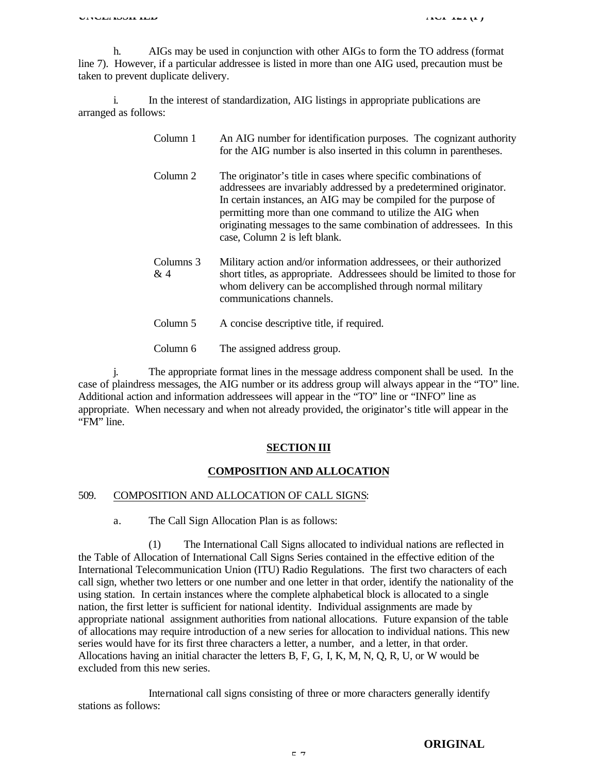h. AIGs may be used in conjunction with other AIGs to form the TO address (format line 7). However, if a particular addressee is listed in more than one AIG used, precaution must be taken to prevent duplicate delivery.

i. In the interest of standardization, AIG listings in appropriate publications are arranged as follows:

| Column 1            | An AIG number for identification purposes. The cognizant authority<br>for the AIG number is also inserted in this column in parentheses.                                                                                                                                                                                                                                    |
|---------------------|-----------------------------------------------------------------------------------------------------------------------------------------------------------------------------------------------------------------------------------------------------------------------------------------------------------------------------------------------------------------------------|
| Column 2            | The originator's title in cases where specific combinations of<br>addressees are invariably addressed by a predetermined originator.<br>In certain instances, an AIG may be compiled for the purpose of<br>permitting more than one command to utilize the AIG when<br>originating messages to the same combination of addressees. In this<br>case, Column 2 is left blank. |
| Columns 3<br>$\&$ 4 | Military action and/or information addressees, or their authorized<br>short titles, as appropriate. Addressees should be limited to those for<br>whom delivery can be accomplished through normal military<br>communications channels.                                                                                                                                      |
| Column 5            | A concise descriptive title, if required.                                                                                                                                                                                                                                                                                                                                   |
| Column 6            | The assigned address group.                                                                                                                                                                                                                                                                                                                                                 |

j. The appropriate format lines in the message address component shall be used. In the case of plaindress messages, the AIG number or its address group will always appear in the "TO" line. Additional action and information addressees will appear in the "TO" line or "INFO" line as appropriate. When necessary and when not already provided, the originator's title will appear in the "FM" line.

#### **SECTION III**

#### **COMPOSITION AND ALLOCATION**

#### 509. COMPOSITION AND ALLOCATION OF CALL SIGNS:

a. The Call Sign Allocation Plan is as follows:

(1) The International Call Signs allocated to individual nations are reflected in the Table of Allocation of International Call Signs Series contained in the effective edition of the International Telecommunication Union (ITU) Radio Regulations. The first two characters of each call sign, whether two letters or one number and one letter in that order, identify the nationality of the using station. In certain instances where the complete alphabetical block is allocated to a single nation, the first letter is sufficient for national identity. Individual assignments are made by appropriate national assignment authorities from national allocations. Future expansion of the table of allocations may require introduction of a new series for allocation to individual nations. This new series would have for its first three characters a letter, a number, and a letter, in that order. Allocations having an initial character the letters B, F, G, I, K, M, N, Q, R, U, or W would be excluded from this new series.

International call signs consisting of three or more characters generally identify stations as follows: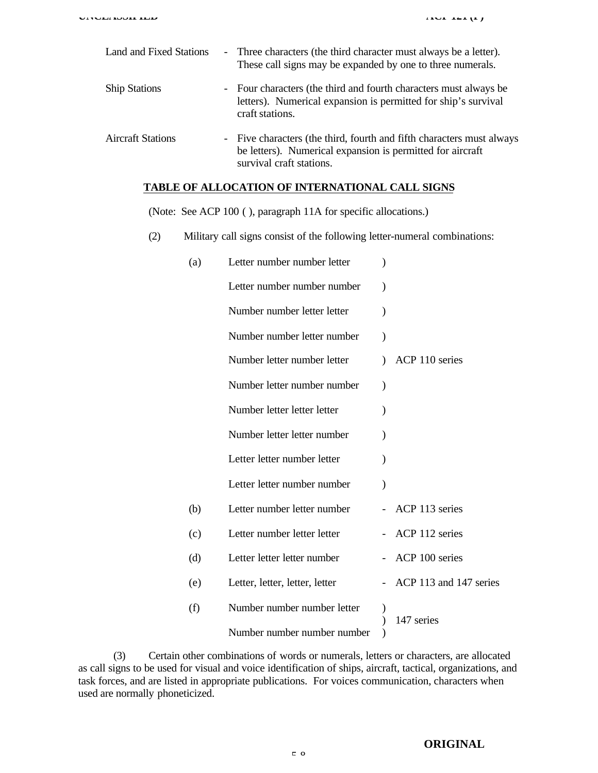| <b>Land and Fixed Stations</b> | - Three characters (the third character must always be a letter).<br>These call signs may be expanded by one to three numerals.                                 |
|--------------------------------|-----------------------------------------------------------------------------------------------------------------------------------------------------------------|
| <b>Ship Stations</b>           | - Four characters (the third and fourth characters must always be<br>letters). Numerical expansion is permitted for ship's survival<br>craft stations.          |
| <b>Aircraft Stations</b>       | - Five characters (the third, fourth and fifth characters must always<br>be letters). Numerical expansion is permitted for aircraft<br>survival craft stations. |

## **TABLE OF ALLOCATION OF INTERNATIONAL CALL SIGNS**

(Note: See ACP 100 ( ), paragraph 11A for specific allocations.)

(2) Military call signs consist of the following letter-numeral combinations:

| (a) | Letter number number letter    |               |                        |
|-----|--------------------------------|---------------|------------------------|
|     | Letter number number number    |               |                        |
|     | Number number letter letter    | $\mathcal{E}$ |                        |
|     | Number number letter number    | $\lambda$     |                        |
|     | Number letter number letter    |               | ACP 110 series         |
|     | Number letter number number    | $\mathcal{E}$ |                        |
|     | Number letter letter letter    |               |                        |
|     | Number letter letter number    |               |                        |
|     | Letter letter number letter    |               |                        |
|     | Letter letter number number    | $\mathcal{E}$ |                        |
| (b) | Letter number letter number    |               | ACP 113 series         |
| (c) | Letter number letter letter    |               | ACP 112 series         |
| (d) | Letter letter letter number    |               | ACP 100 series         |
| (e) | Letter, letter, letter, letter |               | ACP 113 and 147 series |
| (f) | Number number number letter    |               | 147 series             |
|     | Number number number number    |               |                        |

(3) Certain other combinations of words or numerals, letters or characters, are allocated as call signs to be used for visual and voice identification of ships, aircraft, tactical, organizations, and task forces, and are listed in appropriate publications. For voices communication, characters when used are normally phoneticized.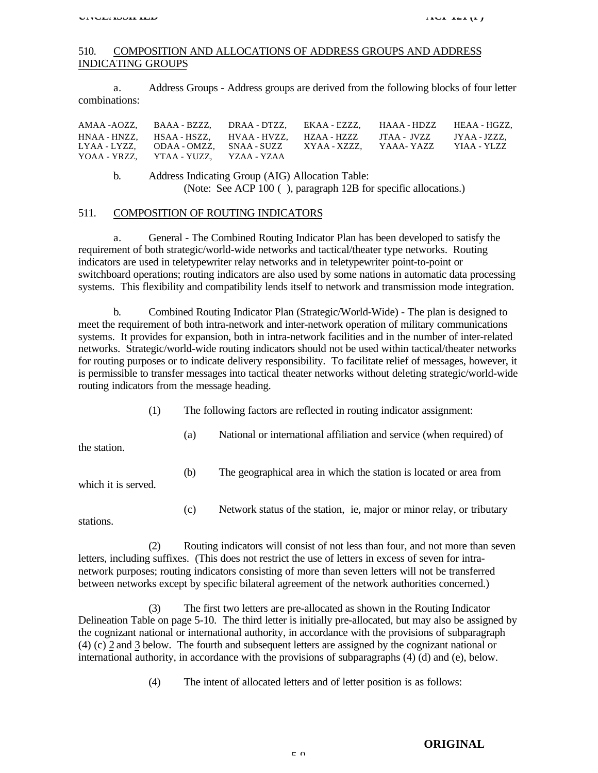## 510. COMPOSITION AND ALLOCATIONS OF ADDRESS GROUPS AND ADDRESS INDICATING GROUPS

a. Address Groups - Address groups are derived from the following blocks of four letter combinations:

|                                               | AMAA -AOZZ. BAAA - BZZZ. DRAA - DTZZ. EKAA - EZZZ. HAAA - HDZZ HEAA - HGZZ.                             |  |
|-----------------------------------------------|---------------------------------------------------------------------------------------------------------|--|
|                                               | HNAA - HNZZ.       HSAA - HSZZ.       HVAA - HVZZ.     HZAA - HZZZ       JTAA - JVZZ       JYAA - JZZZ. |  |
|                                               | LYAA - LYZZ.     ODAA - OMZZ.     SNAA - SUZZ       XYAA - XZZZ.     YAAA- YAZZ     YIAA - YLZZ         |  |
| YOAA - YRZZ.     YTAA - YUZZ.     YZAA - YZAA |                                                                                                         |  |

b. Address Indicating Group (AIG) Allocation Table: (Note: See ACP 100 ( ), paragraph 12B for specific allocations.)

#### 511. COMPOSITION OF ROUTING INDICATORS

a. General - The Combined Routing Indicator Plan has been developed to satisfy the requirement of both strategic/world-wide networks and tactical/theater type networks. Routing indicators are used in teletypewriter relay networks and in teletypewriter point-to-point or switchboard operations; routing indicators are also used by some nations in automatic data processing systems. This flexibility and compatibility lends itself to network and transmission mode integration.

b. Combined Routing Indicator Plan (Strategic/World-Wide) - The plan is designed to meet the requirement of both intra-network and inter-network operation of military communications systems. It provides for expansion, both in intra-network facilities and in the number of inter-related networks. Strategic/world-wide routing indicators should not be used within tactical/theater networks for routing purposes or to indicate delivery responsibility. To facilitate relief of messages, however, it is permissible to transfer messages into tactical theater networks without deleting strategic/world-wide routing indicators from the message heading.

- (1) The following factors are reflected in routing indicator assignment:
	- (a) National or international affiliation and service (when required) of

the station.

(b) The geographical area in which the station is located or area from

which it is served.

(c) Network status of the station, ie, major or minor relay, or tributary

stations.

(2) Routing indicators will consist of not less than four, and not more than seven letters, including suffixes. (This does not restrict the use of letters in excess of seven for intranetwork purposes; routing indicators consisting of more than seven letters will not be transferred between networks except by specific bilateral agreement of the network authorities concerned.)

(3) The first two letters are pre-allocated as shown in the Routing Indicator Delineation Table on page 5-10. The third letter is initially pre-allocated, but may also be assigned by the cognizant national or international authority, in accordance with the provisions of subparagraph (4) (c) 2 and 3 below. The fourth and subsequent letters are assigned by the cognizant national or international authority, in accordance with the provisions of subparagraphs (4) (d) and (e), below.

(4) The intent of allocated letters and of letter position is as follows: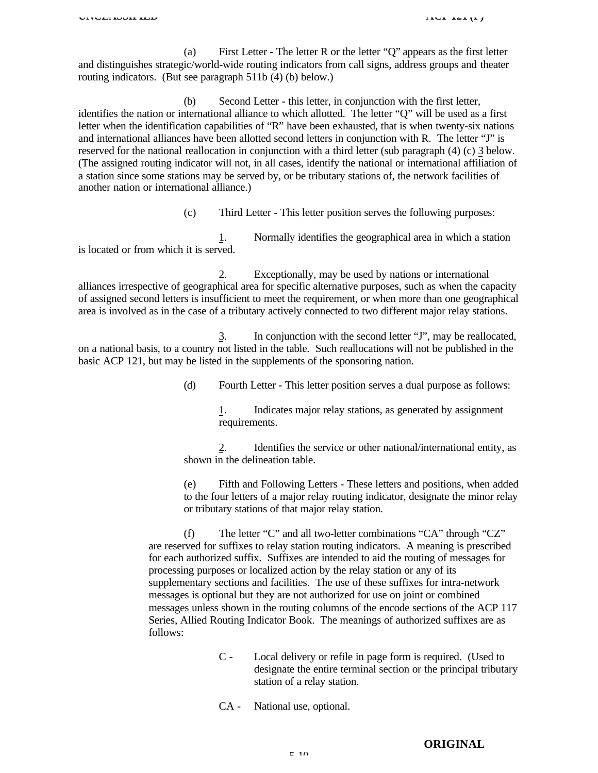(a) First Letter - The letter R or the letter "Q" appears as the first letter and distinguishes strategic/world-wide routing indicators from call signs, address groups and theater routing indicators. (But see paragraph 511b (4) (b) below.)

(b) Second Letter - this letter, in conjunction with the first letter, identifies the nation or international alliance to which allotted. The letter "Q" will be used as a first letter when the identification capabilities of "R" have been exhausted, that is when twenty-six nations and international alliances have been allotted second letters in conjunction with R. The letter "J" is reserved for the national reallocation in conjunction with a third letter (sub paragraph (4) (c) 3 below. (The assigned routing indicator will not, in all cases, identify the national or international affiliation of a station since some stations may be served by, or be tributary stations of, the network facilities of another nation or international alliance.)

(c) Third Letter - This letter position serves the following purposes:

1. Normally identifies the geographical area in which a station is located or from which it is served.

2. Exceptionally, may be used by nations or international alliances irrespective of geographical area for specific alternative purposes, such as when the capacity of assigned second letters is insufficient to meet the requirement, or when more than one geographical area is involved as in the case of a tributary actively connected to two different major relay stations.

3. In conjunction with the second letter "J", may be reallocated, on a national basis, to a country not listed in the table. Such reallocations will not be published in the basic ACP 121, but may be listed in the supplements of the sponsoring nation.

(d) Fourth Letter - This letter position serves a dual purpose as follows:

1. Indicates major relay stations, as generated by assignment requirements.

2. Identifies the service or other national/international entity, as shown in the delineation table.

(e) Fifth and Following Letters - These letters and positions, when added to the four letters of a major relay routing indicator, designate the minor relay or tributary stations of that major relay station.

(f) The letter "C" and all two-letter combinations "CA" through "CZ" are reserved for suffixes to relay station routing indicators. A meaning is prescribed for each authorized suffix. Suffixes are intended to aid the routing of messages for processing purposes or localized action by the relay station or any of its supplementary sections and facilities. The use of these suffixes for intra-network messages is optional but they are not authorized for use on joint or combined messages unless shown in the routing columns of the encode sections of the ACP 117 Series, Allied Routing Indicator Book. The meanings of authorized suffixes are as follows:

- C Local delivery or refile in page form is required. (Used to designate the entire terminal section or the principal tributary station of a relay station.
- CA National use, optional.

**ORIGINAL**

 $5-10$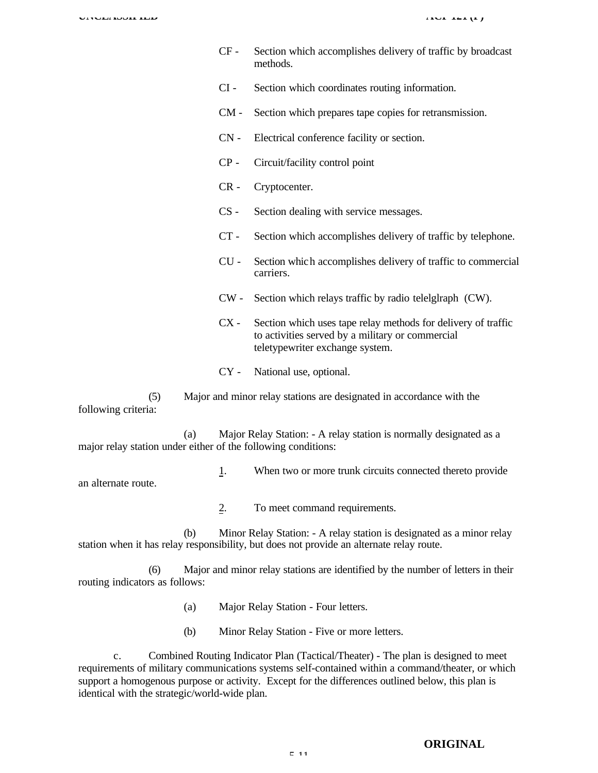- CF Section which accomplishes delivery of traffic by broadcast methods.
- CI Section which coordinates routing information.
- CM Section which prepares tape copies for retransmission.
- CN Electrical conference facility or section.
- CP Circuit/facility control point
- CR Cryptocenter.
- CS Section dealing with service messages.
- CT Section which accomplishes delivery of traffic by telephone.
- CU Section which accomplishes delivery of traffic to commercial carriers.
- CW Section which relays traffic by radio telelglraph (CW).
- CX Section which uses tape relay methods for delivery of traffic to activities served by a military or commercial teletypewriter exchange system.
- CY National use, optional.

(5) Major and minor relay stations are designated in accordance with the following criteria:

(a) Major Relay Station: - A relay station is normally designated as a major relay station under either of the following conditions:

- 1. When two or more trunk circuits connected thereto provide an alternate route.
	- 2. To meet command requirements.

(b) Minor Relay Station: - A relay station is designated as a minor relay station when it has relay responsibility, but does not provide an alternate relay route.

(6) Major and minor relay stations are identified by the number of letters in their routing indicators as follows:

- (a) Major Relay Station Four letters.
- (b) Minor Relay Station Five or more letters.

c. Combined Routing Indicator Plan (Tactical/Theater) - The plan is designed to meet requirements of military communications systems self-contained within a command/theater, or which support a homogenous purpose or activity. Except for the differences outlined below, this plan is identical with the strategic/world-wide plan.

#### **ORIGINAL**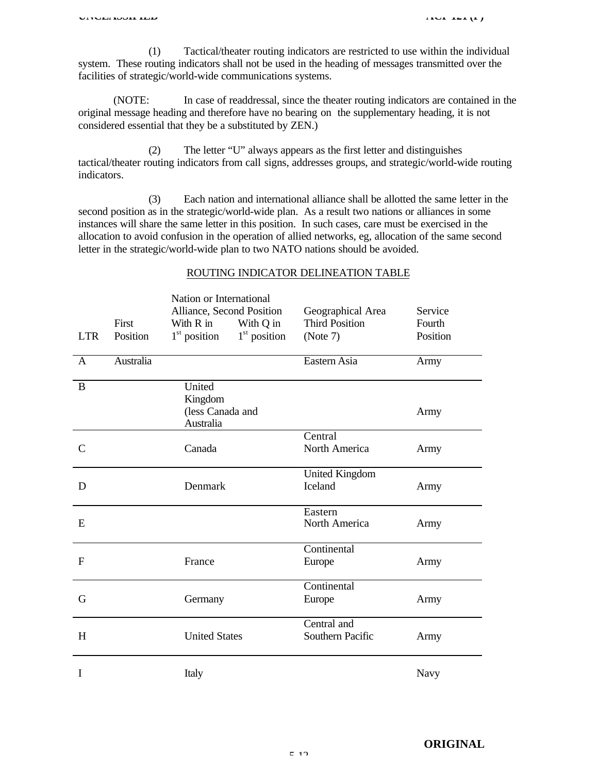(1) Tactical/theater routing indicators are restricted to use within the individual system. These routing indicators shall not be used in the heading of messages transmitted over the facilities of strategic/world-wide communications systems.

(NOTE: In case of readdressal, since the theater routing indicators are contained in the original message heading and therefore have no bearing on the supplementary heading, it is not considered essential that they be a substituted by ZEN.)

(2) The letter "U" always appears as the first letter and distinguishes tactical/theater routing indicators from call signs, addresses groups, and strategic/world-wide routing indicators.

(3) Each nation and international alliance shall be allotted the same letter in the second position as in the strategic/world-wide plan. As a result two nations or alliances in some instances will share the same letter in this position. In such cases, care must be exercised in the allocation to avoid confusion in the operation of allied networks, eg, allocation of the same second letter in the strategic/world-wide plan to two NATO nations should be avoided.

| <b>LTR</b>    | First<br>Position | Nation or International<br>Alliance, Second Position<br>With R in<br>With Q in<br>$1st$ position<br>$1st$ position | Geographical Area<br><b>Third Position</b><br>(Note 7) | Service<br>Fourth<br>Position |
|---------------|-------------------|--------------------------------------------------------------------------------------------------------------------|--------------------------------------------------------|-------------------------------|
| $\mathbf{A}$  | Australia         |                                                                                                                    | Eastern Asia                                           | Army                          |
| $\bf{B}$      |                   | United<br>Kingdom<br>(less Canada and<br>Australia                                                                 |                                                        | Army                          |
| $\mathcal{C}$ |                   | Canada                                                                                                             | Central<br>North America                               | Army                          |
| D             |                   | Denmark                                                                                                            | <b>United Kingdom</b><br>Iceland                       | Army                          |
| E             |                   |                                                                                                                    | Eastern<br>North America                               | Army                          |
| $\mathbf F$   |                   | France                                                                                                             | Continental<br>Europe                                  | Army                          |
| G             |                   | Germany                                                                                                            | Continental<br>Europe                                  | Army                          |
| H             |                   | <b>United States</b>                                                                                               | Central and<br>Southern Pacific                        | Army                          |
| I             |                   | Italy                                                                                                              |                                                        | <b>Navy</b>                   |

#### ROUTING INDICATOR DELINEATION TABLE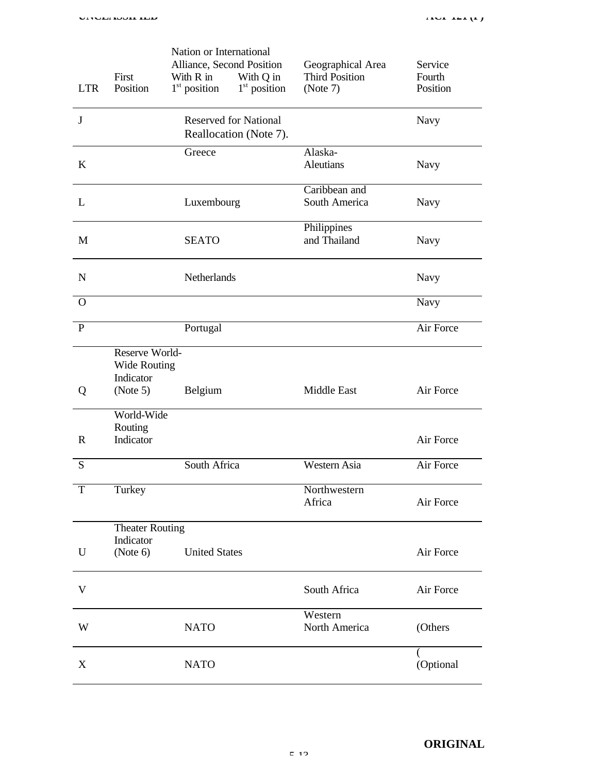| <b>LTR</b>   | First<br>Position                                              | Nation or International<br>Alliance, Second Position<br>With R in<br>$1st$ position | With Q in<br>$1st$ position | Geographical Area<br><b>Third Position</b><br>(Note 7) | Service<br>Fourth<br>Position |
|--------------|----------------------------------------------------------------|-------------------------------------------------------------------------------------|-----------------------------|--------------------------------------------------------|-------------------------------|
| J            |                                                                | <b>Reserved for National</b><br>Reallocation (Note 7).                              |                             |                                                        | Navy                          |
| K            |                                                                | Greece                                                                              |                             | Alaska-<br><b>Aleutians</b>                            | <b>Navy</b>                   |
| L            |                                                                | Luxembourg                                                                          |                             | Caribbean and<br>South America                         | Navy                          |
| M            |                                                                | <b>SEATO</b>                                                                        |                             | Philippines<br>and Thailand                            | <b>Navy</b>                   |
| $\mathbf N$  |                                                                | Netherlands                                                                         |                             |                                                        | <b>Navy</b>                   |
| $\Omega$     |                                                                |                                                                                     |                             |                                                        | <b>Navy</b>                   |
| $\mathbf{P}$ |                                                                | Portugal                                                                            |                             |                                                        | Air Force                     |
| Q            | Reserve World-<br><b>Wide Routing</b><br>Indicator<br>(Note 5) | Belgium                                                                             |                             | Middle East                                            | Air Force                     |
| $\mathbf R$  | World-Wide<br>Routing<br>Indicator                             |                                                                                     |                             |                                                        | Air Force                     |
| S            |                                                                | South Africa                                                                        |                             | Western Asia                                           | Air Force                     |
| T            | Turkey                                                         |                                                                                     |                             | Northwestern<br>Africa                                 | Air Force                     |
| U            | <b>Theater Routing</b><br>Indicator<br>(Note 6)                | <b>United States</b>                                                                |                             |                                                        | Air Force                     |
| V            |                                                                |                                                                                     |                             | South Africa                                           | Air Force                     |
| W            |                                                                | <b>NATO</b>                                                                         |                             | Western<br>North America                               | (Others                       |
| X            |                                                                | <b>NATO</b>                                                                         |                             |                                                        | (Optional                     |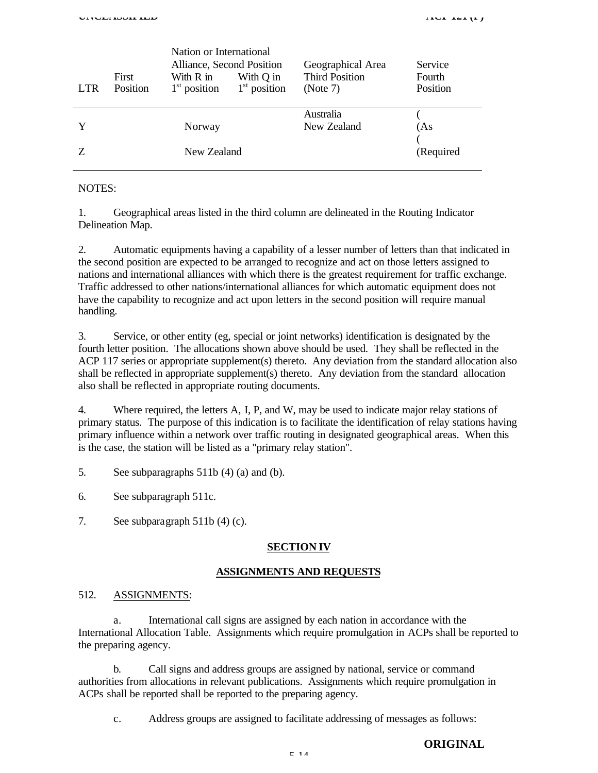| <b>LTR</b> | <b>First</b><br>Position | Nation or International<br>Alliance, Second Position<br>With R in<br>$1st$ position | With Q in<br>$1st$ position | Geographical Area<br><b>Third Position</b><br>(Note 7) | Service<br>Fourth<br>Position |
|------------|--------------------------|-------------------------------------------------------------------------------------|-----------------------------|--------------------------------------------------------|-------------------------------|
| Y          |                          | Norway                                                                              |                             | Australia<br>New Zealand                               | (As                           |
| Z          |                          | New Zealand                                                                         |                             |                                                        | (Required                     |

NOTES:

1. Geographical areas listed in the third column are delineated in the Routing Indicator Delineation Map.

2. Automatic equipments having a capability of a lesser number of letters than that indicated in the second position are expected to be arranged to recognize and act on those letters assigned to nations and international alliances with which there is the greatest requirement for traffic exchange. Traffic addressed to other nations/international alliances for which automatic equipment does not have the capability to recognize and act upon letters in the second position will require manual handling.

3. Service, or other entity (eg, special or joint networks) identification is designated by the fourth letter position. The allocations shown above should be used. They shall be reflected in the ACP 117 series or appropriate supplement(s) thereto. Any deviation from the standard allocation also shall be reflected in appropriate supplement(s) thereto. Any deviation from the standard allocation also shall be reflected in appropriate routing documents.

4. Where required, the letters A, I, P, and W, may be used to indicate major relay stations of primary status. The purpose of this indication is to facilitate the identification of relay stations having primary influence within a network over traffic routing in designated geographical areas. When this is the case, the station will be listed as a "primary relay station".

5. See subparagraphs 511b (4) (a) and (b).

6. See subparagraph 511c.

7. See subparagraph 511b (4) (c).

#### **SECTION IV**

#### **ASSIGNMENTS AND REQUESTS**

## 512. ASSIGNMENTS:

a. International call signs are assigned by each nation in accordance with the International Allocation Table. Assignments which require promulgation in ACPs shall be reported to the preparing agency.

b. Call signs and address groups are assigned by national, service or command authorities from allocations in relevant publications. Assignments which require promulgation in ACPs shall be reported shall be reported to the preparing agency.

c. Address groups are assigned to facilitate addressing of messages as follows:

## **ORIGINAL**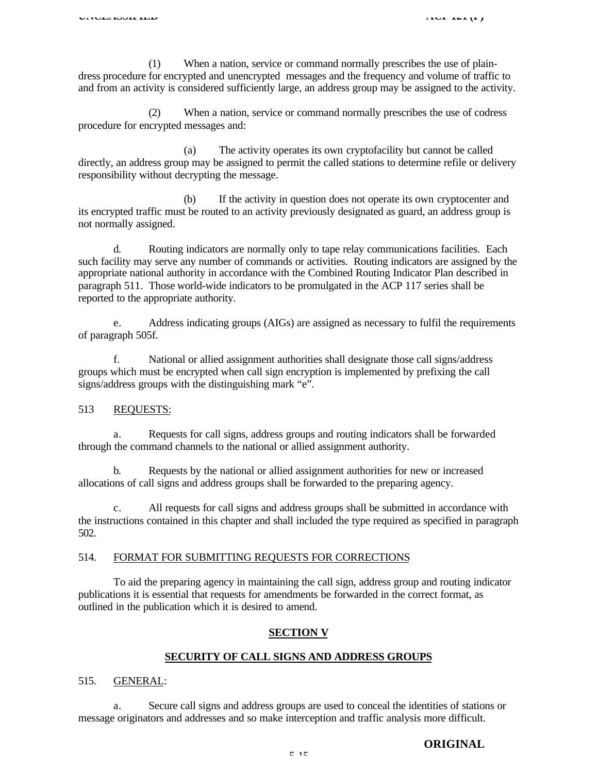(1) When a nation, service or command normally prescribes the use of plaindress procedure for encrypted and unencrypted messages and the frequency and volume of traffic to and from an activity is considered sufficiently large, an address group may be assigned to the activity.

(2) When a nation, service or command normally prescribes the use of codress procedure for encrypted messages and:

(a) The activity operates its own cryptofacility but cannot be called directly, an address group may be assigned to permit the called stations to determine refile or delivery responsibility without decrypting the message.

(b) If the activity in question does not operate its own cryptocenter and its encrypted traffic must be routed to an activity previously designated as guard, an address group is not normally assigned.

d. Routing indicators are normally only to tape relay communications facilities. Each such facility may serve any number of commands or activities. Routing indicators are assigned by the appropriate national authority in accordance with the Combined Routing Indicator Plan described in paragraph 511. Those world-wide indicators to be promulgated in the ACP 117 series shall be reported to the appropriate authority.

e. Address indicating groups (AIGs) are assigned as necessary to fulfil the requirements of paragraph 505f.

f. National or allied assignment authorities shall designate those call signs/address groups which must be encrypted when call sign encryption is implemented by prefixing the call signs/address groups with the distinguishing mark "e".

## 513 REQUESTS:

a. Requests for call signs, address groups and routing indicators shall be forwarded through the command channels to the national or allied assignment authority.

b. Requests by the national or allied assignment authorities for new or increased allocations of call signs and address groups shall be forwarded to the preparing agency.

c. All requests for call signs and address groups shall be submitted in accordance with the instructions contained in this chapter and shall included the type required as specified in paragraph 502.

#### 514. FORMAT FOR SUBMITTING REQUESTS FOR CORRECTIONS

To aid the preparing agency in maintaining the call sign, address group and routing indicator publications it is essential that requests for amendments be forwarded in the correct format, as outlined in the publication which it is desired to amend.

#### **SECTION V**

#### **SECURITY OF CALL SIGNS AND ADDRESS GROUPS**

#### 515. GENERAL:

a. Secure call signs and address groups are used to conceal the identities of stations or message originators and addresses and so make interception and traffic analysis more difficult.

## **ORIGINAL**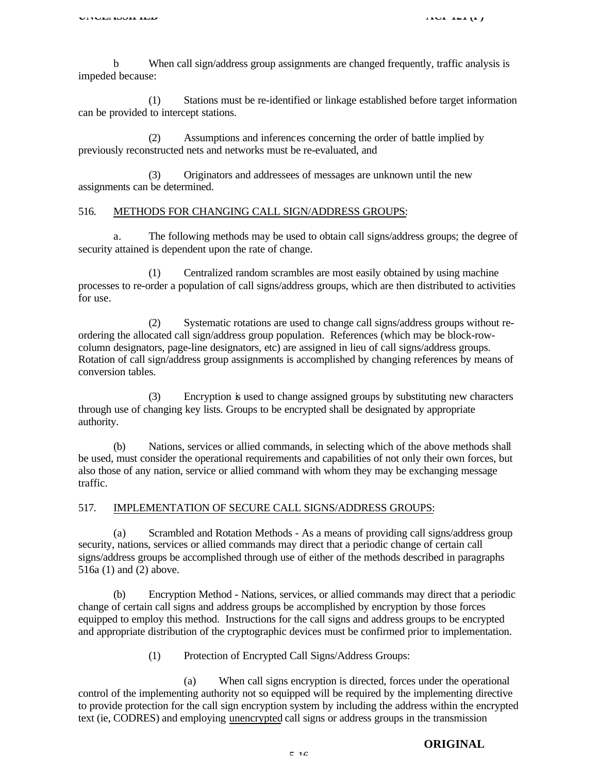b When call sign/address group assignments are changed frequently, traffic analysis is impeded because:

(1) Stations must be re-identified or linkage established before target information can be provided to intercept stations.

(2) Assumptions and inferences concerning the order of battle implied by previously reconstructed nets and networks must be re-evaluated, and

(3) Originators and addressees of messages are unknown until the new assignments can be determined.

#### 516. METHODS FOR CHANGING CALL SIGN/ADDRESS GROUPS:

a. The following methods may be used to obtain call signs/address groups; the degree of security attained is dependent upon the rate of change.

(1) Centralized random scrambles are most easily obtained by using machine processes to re-order a population of call signs/address groups, which are then distributed to activities for use.

(2) Systematic rotations are used to change call signs/address groups without reordering the allocated call sign/address group population. References (which may be block-rowcolumn designators, page-line designators, etc) are assigned in lieu of call signs/address groups. Rotation of call sign/address group assignments is accomplished by changing references by means of conversion tables.

(3) Encryption is used to change assigned groups by substituting new characters through use of changing key lists. Groups to be encrypted shall be designated by appropriate authority.

(b) Nations, services or allied commands, in selecting which of the above methods shall be used, must consider the operational requirements and capabilities of not only their own forces, but also those of any nation, service or allied command with whom they may be exchanging message traffic.

#### 517. IMPLEMENTATION OF SECURE CALL SIGNS/ADDRESS GROUPS:

Scrambled and Rotation Methods - As a means of providing call signs/address group security, nations, services or allied commands may direct that a periodic change of certain call signs/address groups be accomplished through use of either of the methods described in paragraphs 516a (1) and (2) above.

(b) Encryption Method - Nations, services, or allied commands may direct that a periodic change of certain call signs and address groups be accomplished by encryption by those forces equipped to employ this method. Instructions for the call signs and address groups to be encrypted and appropriate distribution of the cryptographic devices must be confirmed prior to implementation.

(1) Protection of Encrypted Call Signs/Address Groups:

(a) When call signs encryption is directed, forces under the operational control of the implementing authority not so equipped will be required by the implementing directive to provide protection for the call sign encryption system by including the address within the encrypted text (ie, CODRES) and employing unencrypted call signs or address groups in the transmission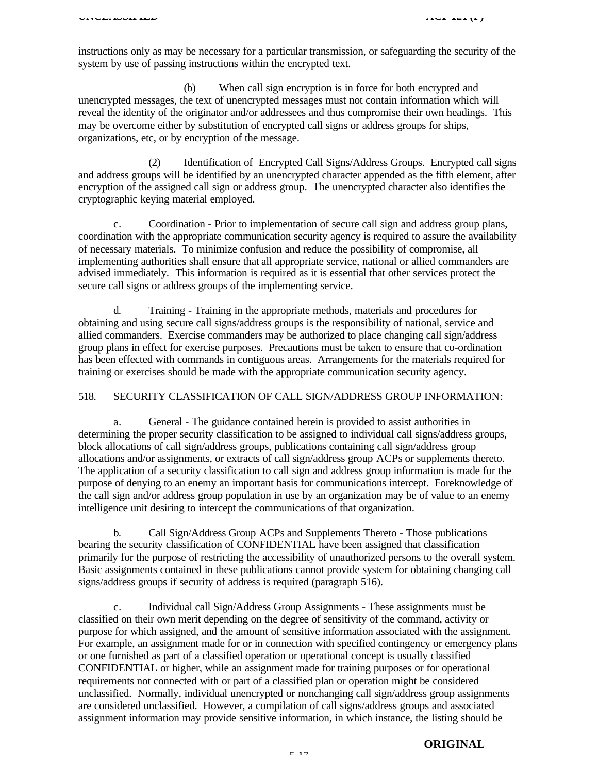instructions only as may be necessary for a particular transmission, or safeguarding the security of the system by use of passing instructions within the encrypted text.

(b) When call sign encryption is in force for both encrypted and unencrypted messages, the text of unencrypted messages must not contain information which will reveal the identity of the originator and/or addressees and thus compromise their own headings. This may be overcome either by substitution of encrypted call signs or address groups for ships, organizations, etc, or by encryption of the message.

(2) Identification of Encrypted Call Signs/Address Groups. Encrypted call signs and address groups will be identified by an unencrypted character appended as the fifth element, after encryption of the assigned call sign or address group. The unencrypted character also identifies the cryptographic keying material employed.

c. Coordination - Prior to implementation of secure call sign and address group plans, coordination with the appropriate communication security agency is required to assure the availability of necessary materials. To minimize confusion and reduce the possibility of compromise, all implementing authorities shall ensure that all appropriate service, national or allied commanders are advised immediately. This information is required as it is essential that other services protect the secure call signs or address groups of the implementing service.

d. Training - Training in the appropriate methods, materials and procedures for obtaining and using secure call signs/address groups is the responsibility of national, service and allied commanders. Exercise commanders may be authorized to place changing call sign/address group plans in effect for exercise purposes. Precautions must be taken to ensure that co-ordination has been effected with commands in contiguous areas. Arrangements for the materials required for training or exercises should be made with the appropriate communication security agency.

## 518. SECURITY CLASSIFICATION OF CALL SIGN/ADDRESS GROUP INFORMATION:

a. General - The guidance contained herein is provided to assist authorities in determining the proper security classification to be assigned to individual call signs/address groups, block allocations of call sign/address groups, publications containing call sign/address group allocations and/or assignments, or extracts of call sign/address group ACPs or supplements thereto. The application of a security classification to call sign and address group information is made for the purpose of denying to an enemy an important basis for communications intercept. Foreknowledge of the call sign and/or address group population in use by an organization may be of value to an enemy intelligence unit desiring to intercept the communications of that organization.

b. Call Sign/Address Group ACPs and Supplements Thereto - Those publications bearing the security classification of CONFIDENTIAL have been assigned that classification primarily for the purpose of restricting the accessibility of unauthorized persons to the overall system. Basic assignments contained in these publications cannot provide system for obtaining changing call signs/address groups if security of address is required (paragraph 516).

c. Individual call Sign/Address Group Assignments - These assignments must be classified on their own merit depending on the degree of sensitivity of the command, activity or purpose for which assigned, and the amount of sensitive information associated with the assignment. For example, an assignment made for or in connection with specified contingency or emergency plans or one furnished as part of a classified operation or operational concept is usually classified CONFIDENTIAL or higher, while an assignment made for training purposes or for operational requirements not connected with or part of a classified plan or operation might be considered unclassified. Normally, individual unencrypted or nonchanging call sign/address group assignments are considered unclassified. However, a compilation of call signs/address groups and associated assignment information may provide sensitive information, in which instance, the listing should be

#### **ORIGINAL**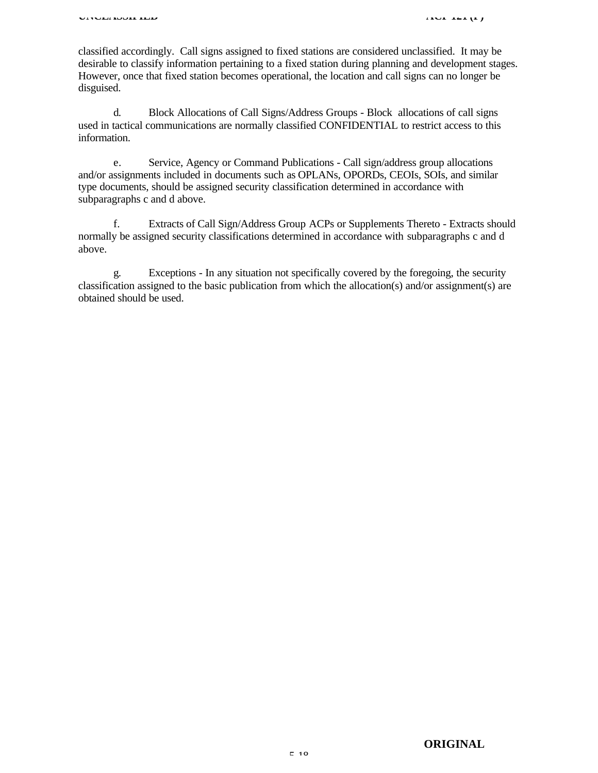classified accordingly. Call signs assigned to fixed stations are considered unclassified. It may be desirable to classify information pertaining to a fixed station during planning and development stages. However, once that fixed station becomes operational, the location and call signs can no longer be disguised.

d. Block Allocations of Call Signs/Address Groups - Block allocations of call signs used in tactical communications are normally classified CONFIDENTIAL to restrict access to this information.

e. Service, Agency or Command Publications - Call sign/address group allocations and/or assignments included in documents such as OPLANs, OPORDs, CEOIs, SOIs, and similar type documents, should be assigned security classification determined in accordance with subparagraphs c and d above.

f. Extracts of Call Sign/Address Group ACPs or Supplements Thereto - Extracts should normally be assigned security classifications determined in accordance with subparagraphs c and d above.

g. Exceptions - In any situation not specifically covered by the foregoing, the security classification assigned to the basic publication from which the allocation(s) and/or assignment(s) are obtained should be used.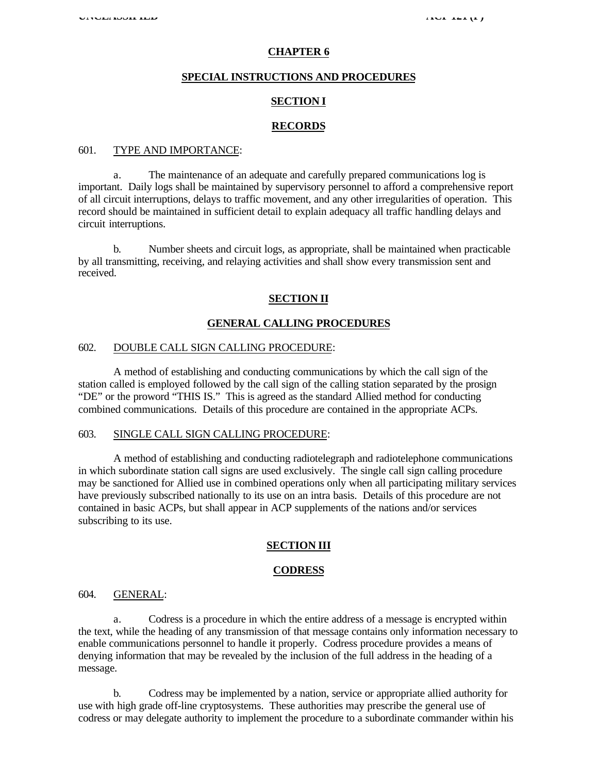#### **CHAPTER 6**

## **SPECIAL INSTRUCTIONS AND PROCEDURES**

### **SECTION I**

## **RECORDS**

### 601. TYPE AND IMPORTANCE:

a. The maintenance of an adequate and carefully prepared communications log is important. Daily logs shall be maintained by supervisory personnel to afford a comprehensive report of all circuit interruptions, delays to traffic movement, and any other irregularities of operation. This record should be maintained in sufficient detail to explain adequacy all traffic handling delays and circuit interruptions.

b. Number sheets and circuit logs, as appropriate, shall be maintained when practicable by all transmitting, receiving, and relaying activities and shall show every transmission sent and received.

#### **SECTION II**

#### **GENERAL CALLING PROCEDURES**

#### 602. DOUBLE CALL SIGN CALLING PROCEDURE:

A method of establishing and conducting communications by which the call sign of the station called is employed followed by the call sign of the calling station separated by the prosign "DE" or the proword "THIS IS." This is agreed as the standard Allied method for conducting combined communications. Details of this procedure are contained in the appropriate ACPs.

## 603. SINGLE CALL SIGN CALLING PROCEDURE:

A method of establishing and conducting radiotelegraph and radiotelephone communications in which subordinate station call signs are used exclusively. The single call sign calling procedure may be sanctioned for Allied use in combined operations only when all participating military services have previously subscribed nationally to its use on an intra basis. Details of this procedure are not contained in basic ACPs, but shall appear in ACP supplements of the nations and/or services subscribing to its use.

#### **SECTION III**

#### **CODRESS**

#### 604. GENERAL:

a. Codress is a procedure in which the entire address of a message is encrypted within the text, while the heading of any transmission of that message contains only information necessary to enable communications personnel to handle it properly. Codress procedure provides a means of denying information that may be revealed by the inclusion of the full address in the heading of a message.

b. Codress may be implemented by a nation, service or appropriate allied authority for use with high grade off-line cryptosystems. These authorities may prescribe the general use of codress or may delegate authority to implement the procedure to a subordinate commander within his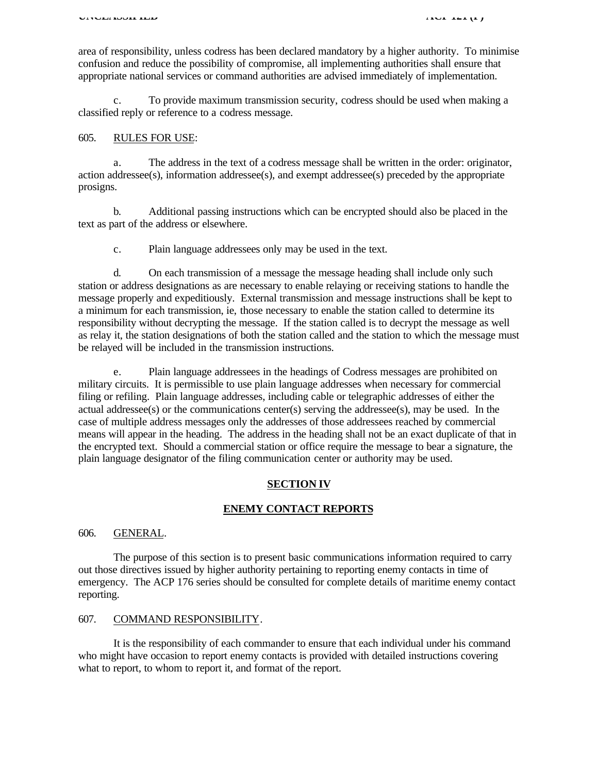area of responsibility, unless codress has been declared mandatory by a higher authority. To minimise confusion and reduce the possibility of compromise, all implementing authorities shall ensure that appropriate national services or command authorities are advised immediately of implementation.

To provide maximum transmission security, codress should be used when making a classified reply or reference to a codress message.

#### 605. RULES FOR USE:

a. The address in the text of a codress message shall be written in the order: originator, action addressee(s), information addressee(s), and exempt addressee(s) preceded by the appropriate prosigns.

b. Additional passing instructions which can be encrypted should also be placed in the text as part of the address or elsewhere.

c. Plain language addressees only may be used in the text.

d. On each transmission of a message the message heading shall include only such station or address designations as are necessary to enable relaying or receiving stations to handle the message properly and expeditiously. External transmission and message instructions shall be kept to a minimum for each transmission, ie, those necessary to enable the station called to determine its responsibility without decrypting the message. If the station called is to decrypt the message as well as relay it, the station designations of both the station called and the station to which the message must be relayed will be included in the transmission instructions.

e. Plain language addressees in the headings of Codress messages are prohibited on military circuits. It is permissible to use plain language addresses when necessary for commercial filing or refiling. Plain language addresses, including cable or telegraphic addresses of either the actual addressee(s) or the communications center(s) serving the addressee(s), may be used. In the case of multiple address messages only the addresses of those addressees reached by commercial means will appear in the heading. The address in the heading shall not be an exact duplicate of that in the encrypted text. Should a commercial station or office require the message to bear a signature, the plain language designator of the filing communication center or authority may be used.

#### **SECTION IV**

#### **ENEMY CONTACT REPORTS**

#### 606. GENERAL.

The purpose of this section is to present basic communications information required to carry out those directives issued by higher authority pertaining to reporting enemy contacts in time of emergency. The ACP 176 series should be consulted for complete details of maritime enemy contact reporting.

## 607. COMMAND RESPONSIBILITY.

It is the responsibility of each commander to ensure that each individual under his command who might have occasion to report enemy contacts is provided with detailed instructions covering what to report, to whom to report it, and format of the report.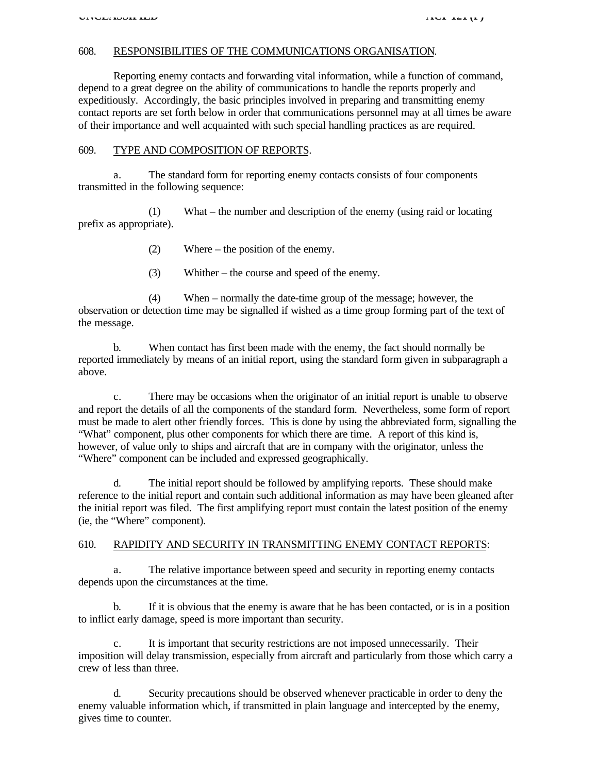## 608. RESPONSIBILITIES OF THE COMMUNICATIONS ORGANISATION.

Reporting enemy contacts and forwarding vital information, while a function of command, depend to a great degree on the ability of communications to handle the reports properly and expeditiously. Accordingly, the basic principles involved in preparing and transmitting enemy contact reports are set forth below in order that communications personnel may at all times be aware of their importance and well acquainted with such special handling practices as are required.

## 609. TYPE AND COMPOSITION OF REPORTS.

a. The standard form for reporting enemy contacts consists of four components transmitted in the following sequence:

(1) What – the number and description of the enemy (using raid or locating prefix as appropriate).

- (2) Where the position of the enemy.
- (3) Whither the course and speed of the enemy.

(4) When – normally the date-time group of the message; however, the observation or detection time may be signalled if wished as a time group forming part of the text of the message.

b. When contact has first been made with the enemy, the fact should normally be reported immediately by means of an initial report, using the standard form given in subparagraph a above.

c. There may be occasions when the originator of an initial report is unable to observe and report the details of all the components of the standard form. Nevertheless, some form of report must be made to alert other friendly forces. This is done by using the abbreviated form, signalling the "What" component, plus other components for which there are time. A report of this kind is, however, of value only to ships and aircraft that are in company with the originator, unless the "Where" component can be included and expressed geographically.

d. The initial report should be followed by amplifying reports. These should make reference to the initial report and contain such additional information as may have been gleaned after the initial report was filed. The first amplifying report must contain the latest position of the enemy (ie, the "Where" component).

#### 610. RAPIDITY AND SECURITY IN TRANSMITTING ENEMY CONTACT REPORTS:

a. The relative importance between speed and security in reporting enemy contacts depends upon the circumstances at the time.

b. If it is obvious that the enemy is aware that he has been contacted, or is in a position to inflict early damage, speed is more important than security.

c. It is important that security restrictions are not imposed unnecessarily. Their imposition will delay transmission, especially from aircraft and particularly from those which carry a crew of less than three.

Security precautions should be observed whenever practicable in order to deny the enemy valuable information which, if transmitted in plain language and intercepted by the enemy, gives time to counter.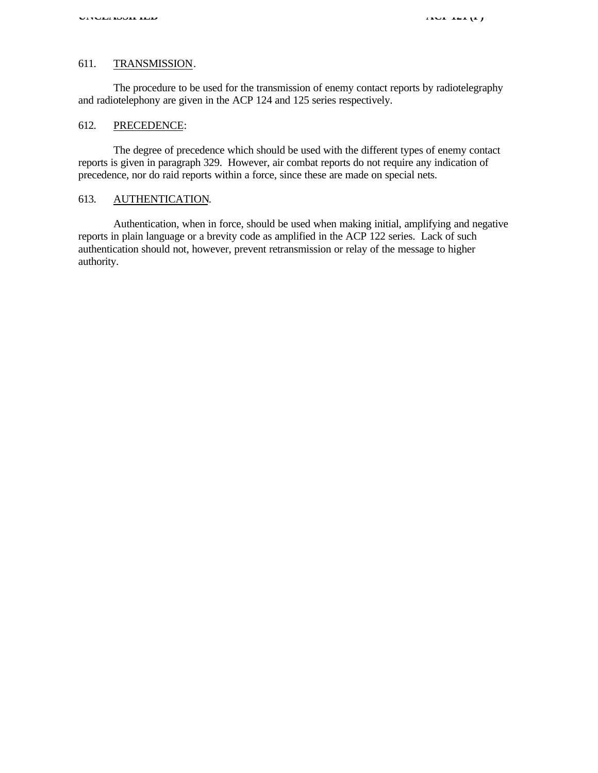## 611. TRANSMISSION.

The procedure to be used for the transmission of enemy contact reports by radiotelegraphy and radiotelephony are given in the ACP 124 and 125 series respectively.

#### 612. PRECEDENCE:

The degree of precedence which should be used with the different types of enemy contact reports is given in paragraph 329. However, air combat reports do not require any indication of precedence, nor do raid reports within a force, since these are made on special nets.

## 613. AUTHENTICATION.

Authentication, when in force, should be used when making initial, amplifying and negative reports in plain language or a brevity code as amplified in the ACP 122 series. Lack of such authentication should not, however, prevent retransmission or relay of the message to higher authority.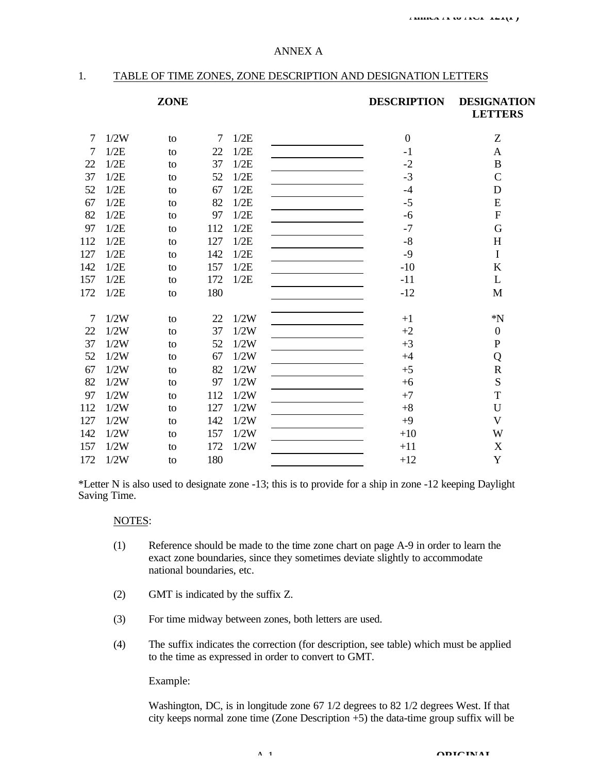#### ANNEX A

## 1. TABLE OF TIME ZONES, ZONE DESCRIPTION AND DESIGNATION LETTERS

#### **ZONE DESCRIPTION DESIGNATION LETTERS**

| 7   | 1/2W | to | 7   | 1/2E | $\mathbf{0}$ | Z                |
|-----|------|----|-----|------|--------------|------------------|
| 7   | 1/2E | to | 22  | 1/2E | $-1$         | A                |
| 22  | 1/2E | to | 37  | 1/2E | $-2$         | $\bf{B}$         |
| 37  | 1/2E | to | 52  | 1/2E | $-3$         | $\mathsf{C}$     |
| 52  | 1/2E | to | 67  | 1/2E | $-4$         | D                |
| 67  | 1/2E | to | 82  | 1/2E | $-5$         | E                |
| 82  | 1/2E | to | 97  | 1/2E | $-6$         | ${\bf F}$        |
| 97  | 1/2E | to | 112 | 1/2E | $-7$         | G                |
| 112 | 1/2E | to | 127 | 1/2E | $-8$         | H                |
| 127 | 1/2E | to | 142 | 1/2E | $-9$         | $\mathbf I$      |
| 142 | 1/2E | to | 157 | 1/2E | $-10$        | K                |
| 157 | 1/2E | to | 172 | 1/2E | $-11$        | L                |
| 172 | 1/2E | to | 180 |      | $-12$        | M                |
|     |      |    |     |      |              |                  |
| 7   | 1/2W | to | 22  | 1/2W | $+1$         | $*N$             |
| 22  | 1/2W | to | 37  | 1/2W | $+2$         | $\boldsymbol{0}$ |
| 37  | 1/2W | to | 52  | 1/2W | $+3$         | ${\bf P}$        |
| 52  | 1/2W | to | 67  | 1/2W | $+4$         | Q                |
| 67  | 1/2W | to | 82  | 1/2W | $+5$         | $\mathbf R$      |
| 82  | 1/2W | to | 97  | 1/2W | $+6$         | ${\bf S}$        |
| 97  | 1/2W | to | 112 | 1/2W | $+7$         | $\mathbf T$      |
| 112 | 1/2W | to | 127 | 1/2W | $+8$         | U                |
| 127 | 1/2W | to | 142 | 1/2W | $+9$         | $\mathbf{V}$     |
| 142 | 1/2W | to | 157 | 1/2W | $+10$        | W                |
| 157 | 1/2W | to | 172 | 1/2W | $+11$        | X                |
| 172 | 1/2W | to | 180 |      | $+12$        | Y                |
|     |      |    |     |      |              |                  |

\*Letter N is also used to designate zone -13; this is to provide for a ship in zone -12 keeping Daylight Saving Time.

#### NOTES:

- (1) Reference should be made to the time zone chart on page A-9 in order to learn the exact zone boundaries, since they sometimes deviate slightly to accommodate national boundaries, etc.
- (2) GMT is indicated by the suffix Z.
- (3) For time midway between zones, both letters are used.
- (4) The suffix indicates the correction (for description, see table) which must be applied to the time as expressed in order to convert to GMT.

#### Example:

Washington, DC, is in longitude zone 67 1/2 degrees to 82 1/2 degrees West. If that city keeps normal zone time (Zone Description +5) the data-time group suffix will be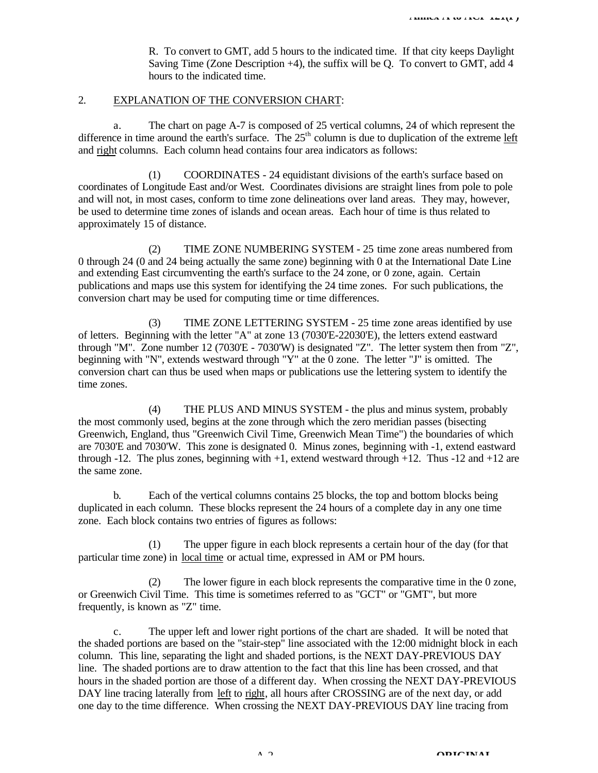R. To convert to GMT, add 5 hours to the indicated time. If that city keeps Daylight Saving Time (Zone Description +4), the suffix will be Q. To convert to GMT, add 4 hours to the indicated time.

#### 2. EXPLANATION OF THE CONVERSION CHART:

a. The chart on page A-7 is composed of 25 vertical columns, 24 of which represent the difference in time around the earth's surface. The  $25<sup>th</sup>$  column is due to duplication of the extreme left and right columns. Each column head contains four area indicators as follows:

(1) COORDINATES - 24 equidistant divisions of the earth's surface based on coordinates of Longitude East and/or West. Coordinates divisions are straight lines from pole to pole and will not, in most cases, conform to time zone delineations over land areas. They may, however, be used to determine time zones of islands and ocean areas. Each hour of time is thus related to approximately 15 of distance.

(2) TIME ZONE NUMBERING SYSTEM - 25 time zone areas numbered from 0 through 24 (0 and 24 being actually the same zone) beginning with 0 at the International Date Line and extending East circumventing the earth's surface to the 24 zone, or 0 zone, again. Certain publications and maps use this system for identifying the 24 time zones. For such publications, the conversion chart may be used for computing time or time differences.

(3) TIME ZONE LETTERING SYSTEM - 25 time zone areas identified by use of letters. Beginning with the letter "A" at zone 13 (7030'E-22030'E), the letters extend eastward through "M". Zone number 12 (7030'E - 7030'W) is designated "Z". The letter system then from "Z", beginning with "N", extends westward through "Y" at the 0 zone. The letter "J" is omitted. The conversion chart can thus be used when maps or publications use the lettering system to identify the time zones.

(4) THE PLUS AND MINUS SYSTEM - the plus and minus system, probably the most commonly used, begins at the zone through which the zero meridian passes (bisecting Greenwich, England, thus "Greenwich Civil Time, Greenwich Mean Time") the boundaries of which are 7030'E and 7030'W. This zone is designated 0. Minus zones, beginning with -1, extend eastward through -12. The plus zones, beginning with +1, extend westward through +12. Thus -12 and +12 are the same zone.

b. Each of the vertical columns contains 25 blocks, the top and bottom blocks being duplicated in each column. These blocks represent the 24 hours of a complete day in any one time zone. Each block contains two entries of figures as follows:

(1) The upper figure in each block represents a certain hour of the day (for that particular time zone) in local time or actual time, expressed in AM or PM hours.

(2) The lower figure in each block represents the comparative time in the 0 zone, or Greenwich Civil Time. This time is sometimes referred to as "GCT" or "GMT", but more frequently, is known as "Z" time.

c. The upper left and lower right portions of the chart are shaded. It will be noted that the shaded portions are based on the "stair-step" line associated with the 12:00 midnight block in each column. This line, separating the light and shaded portions, is the NEXT DAY-PREVIOUS DAY line. The shaded portions are to draw attention to the fact that this line has been crossed, and that hours in the shaded portion are those of a different day. When crossing the NEXT DAY-PREVIOUS DAY line tracing laterally from left to right, all hours after CROSSING are of the next day, or add one day to the time difference. When crossing the NEXT DAY-PREVIOUS DAY line tracing from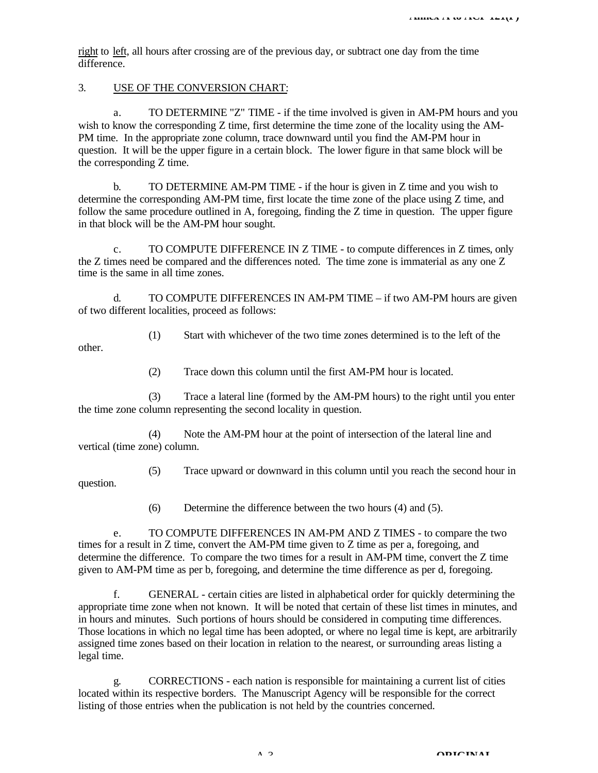right to left, all hours after crossing are of the previous day, or subtract one day from the time difference.

## 3. USE OF THE CONVERSION CHART:

other.

a. TO DETERMINE "Z" TIME - if the time involved is given in AM-PM hours and you wish to know the corresponding Z time, first determine the time zone of the locality using the AM-PM time. In the appropriate zone column, trace downward until you find the AM-PM hour in question. It will be the upper figure in a certain block. The lower figure in that same block will be the corresponding Z time.

b. TO DETERMINE AM-PM TIME - if the hour is given in Z time and you wish to determine the corresponding AM-PM time, first locate the time zone of the place using Z time, and follow the same procedure outlined in A, foregoing, finding the Z time in question. The upper figure in that block will be the AM-PM hour sought.

c. TO COMPUTE DIFFERENCE IN Z TIME - to compute differences in Z times, only the Z times need be compared and the differences noted. The time zone is immaterial as any one Z time is the same in all time zones.

d. TO COMPUTE DIFFERENCES IN AM-PM TIME – if two AM-PM hours are given of two different localities, proceed as follows:

(1) Start with whichever of the two time zones determined is to the left of the

(2) Trace down this column until the first AM-PM hour is located.

(3) Trace a lateral line (formed by the AM-PM hours) to the right until you enter the time zone column representing the second locality in question.

(4) Note the AM-PM hour at the point of intersection of the lateral line and vertical (time zone) column.

(5) Trace upward or downward in this column until you reach the second hour in question.

(6) Determine the difference between the two hours (4) and (5).

e. TO COMPUTE DIFFERENCES IN AM-PM AND Z TIMES - to compare the two times for a result in Z time, convert the AM-PM time given to Z time as per a, foregoing, and determine the difference. To compare the two times for a result in AM-PM time, convert the Z time given to AM-PM time as per b, foregoing, and determine the time difference as per d, foregoing.

f. GENERAL - certain cities are listed in alphabetical order for quickly determining the appropriate time zone when not known. It will be noted that certain of these list times in minutes, and in hours and minutes. Such portions of hours should be considered in computing time differences. Those locations in which no legal time has been adopted, or where no legal time is kept, are arbitrarily assigned time zones based on their location in relation to the nearest, or surrounding areas listing a legal time.

g. CORRECTIONS - each nation is responsible for maintaining a current list of cities located within its respective borders. The Manuscript Agency will be responsible for the correct listing of those entries when the publication is not held by the countries concerned.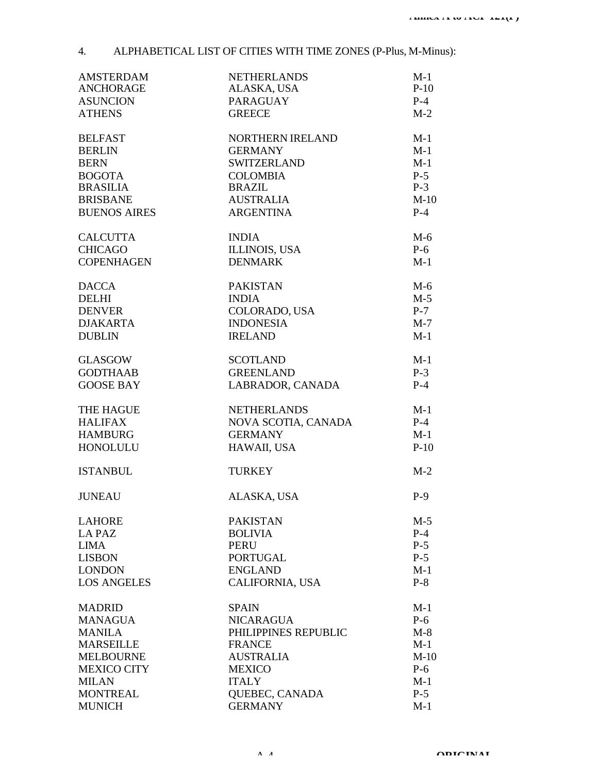# 4. ALPHABETICAL LIST OF CITIES WITH TIME ZONES (P-Plus, M-Minus):

| <b>AMSTERDAM</b><br><b>ANCHORAGE</b> | <b>NETHERLANDS</b><br>ALASKA, USA | $M-1$<br>$P-10$ |
|--------------------------------------|-----------------------------------|-----------------|
| <b>ASUNCION</b><br><b>ATHENS</b>     | <b>PARAGUAY</b><br><b>GREECE</b>  | $P-4$<br>$M-2$  |
| <b>BELFAST</b>                       | NORTHERN IRELAND                  | $M-1$           |
| <b>BERLIN</b>                        | <b>GERMANY</b>                    | $M-1$           |
| <b>BERN</b>                          | <b>SWITZERLAND</b>                | $M-1$           |
| <b>BOGOTA</b>                        | <b>COLOMBIA</b>                   | $P-5$           |
| <b>BRASILIA</b>                      | <b>BRAZIL</b>                     | $P-3$           |
| <b>BRISBANE</b>                      | <b>AUSTRALIA</b>                  | $M-10$          |
| <b>BUENOS AIRES</b>                  | <b>ARGENTINA</b>                  | $P-4$           |
| <b>CALCUTTA</b>                      | <b>INDIA</b>                      | $M-6$           |
| <b>CHICAGO</b>                       | <b>ILLINOIS, USA</b>              | $P-6$           |
| <b>COPENHAGEN</b>                    | <b>DENMARK</b>                    | $M-1$           |
| <b>DACCA</b>                         | <b>PAKISTAN</b>                   | $M-6$           |
| <b>DELHI</b>                         | <b>INDIA</b>                      | $M-5$           |
| <b>DENVER</b>                        | COLORADO, USA                     | $P-7$           |
| <b>DJAKARTA</b>                      | <b>INDONESIA</b>                  | $M-7$           |
| <b>DUBLIN</b>                        | <b>IRELAND</b>                    | $M-1$           |
| <b>GLASGOW</b>                       | <b>SCOTLAND</b>                   | $M-1$           |
| <b>GODTHAAB</b>                      | <b>GREENLAND</b>                  | $P-3$           |
| <b>GOOSE BAY</b>                     | LABRADOR, CANADA                  | $P-4$           |
| THE HAGUE                            | <b>NETHERLANDS</b>                | $M-1$           |
| <b>HALIFAX</b>                       | NOVA SCOTIA, CANADA               | $P-4$           |
| <b>HAMBURG</b>                       | <b>GERMANY</b>                    | $M-1$           |
| <b>HONOLULU</b>                      | HAWAII, USA                       | $P-10$          |
| <b>ISTANBUL</b>                      | <b>TURKEY</b>                     | $M-2$           |
| <b>JUNEAU</b>                        | ALASKA, USA                       | $P-9$           |
| <b>LAHORE</b>                        | <b>PAKISTAN</b>                   | $M-5$           |
| LA PAZ                               | <b>BOLIVIA</b>                    | $P-4$           |
| <b>LIMA</b>                          | <b>PERU</b>                       | $P-5$           |
| <b>LISBON</b>                        | <b>PORTUGAL</b>                   | $P-5$           |
| <b>LONDON</b>                        | <b>ENGLAND</b>                    | $M-1$           |
| <b>LOS ANGELES</b>                   | CALIFORNIA, USA                   | $P-8$           |
| <b>MADRID</b>                        | <b>SPAIN</b>                      | $M-1$           |
| <b>MANAGUA</b>                       | <b>NICARAGUA</b>                  | $P-6$           |
| <b>MANILA</b>                        | PHILIPPINES REPUBLIC              | $M-8$           |
| <b>MARSEILLE</b>                     | <b>FRANCE</b>                     | $M-1$           |
| <b>MELBOURNE</b>                     | <b>AUSTRALIA</b>                  | $M-10$          |
| <b>MEXICO CITY</b>                   | <b>MEXICO</b>                     | $P-6$           |
| <b>MILAN</b>                         | <b>ITALY</b>                      | $M-1$           |
| <b>MONTREAL</b>                      | QUEBEC, CANADA                    | $P-5$           |
| <b>MUNICH</b>                        | <b>GERMANY</b>                    | $M-1$           |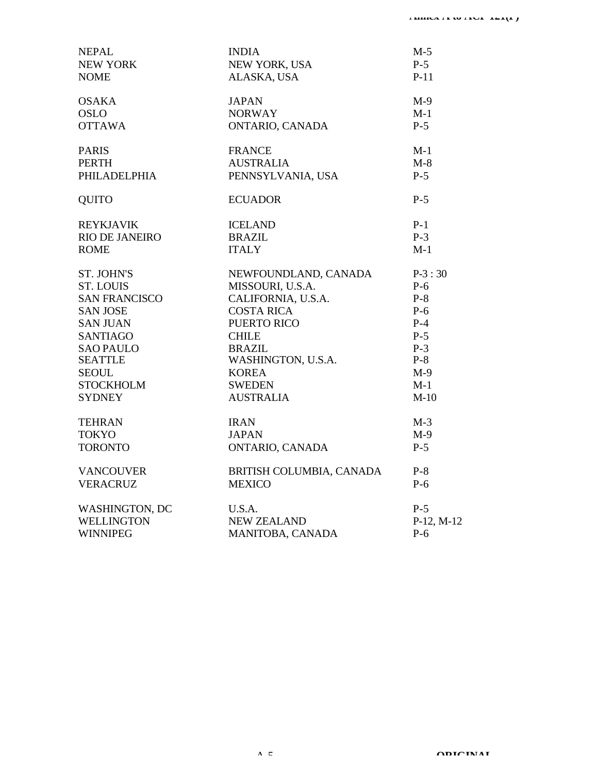| <b>NEPAL</b><br>NEW YORK | <b>INDIA</b><br>NEW YORK, USA | $M-5$<br>$P-5$ |
|--------------------------|-------------------------------|----------------|
| <b>NOME</b>              | ALASKA, USA                   | $P-11$         |
| <b>OSAKA</b>             | <b>JAPAN</b>                  | $M-9$          |
| <b>OSLO</b>              | <b>NORWAY</b>                 | $M-1$          |
| <b>OTTAWA</b>            | ONTARIO, CANADA               | $P-5$          |
| <b>PARIS</b>             | <b>FRANCE</b>                 | $M-1$          |
| <b>PERTH</b>             | <b>AUSTRALIA</b>              | $M-8$          |
| PHILADELPHIA             | PENNSYLVANIA, USA             | $P-5$          |
| <b>QUITO</b>             | <b>ECUADOR</b>                | $P-5$          |
| <b>REYKJAVIK</b>         | <b>ICELAND</b>                | $P-1$          |
| <b>RIO DE JANEIRO</b>    | <b>BRAZIL</b>                 | $P-3$          |
| <b>ROME</b>              | <b>ITALY</b>                  | $M-1$          |
| <b>ST. JOHN'S</b>        | NEWFOUNDLAND, CANADA          | $P-3:30$       |
| <b>ST. LOUIS</b>         | MISSOURI, U.S.A.              | $P-6$          |
| <b>SAN FRANCISCO</b>     | CALIFORNIA, U.S.A.            | $P-8$          |
| <b>SAN JOSE</b>          | <b>COSTA RICA</b>             | $P-6$          |
| <b>SAN JUAN</b>          | PUERTO RICO                   | $P-4$          |
| <b>SANTIAGO</b>          | <b>CHILE</b>                  | $P-5$          |
| <b>SAO PAULO</b>         | <b>BRAZIL</b>                 | $P-3$          |
| <b>SEATTLE</b>           | WASHINGTON, U.S.A.            | $P-8$          |
| <b>SEOUL</b>             | <b>KOREA</b>                  | $M-9$          |
| <b>STOCKHOLM</b>         | <b>SWEDEN</b>                 | $M-1$          |
| <b>SYDNEY</b>            | <b>AUSTRALIA</b>              | $M-10$         |
| <b>TEHRAN</b>            | <b>IRAN</b>                   | $M-3$          |
| <b>TOKYO</b>             | <b>JAPAN</b>                  | $M-9$          |
| <b>TORONTO</b>           | ONTARIO, CANADA               | $P-5$          |
| <b>VANCOUVER</b>         | BRITISH COLUMBIA, CANADA      | $P-8$          |
| <b>VERACRUZ</b>          | <b>MEXICO</b>                 | $P-6$          |
| <b>WASHINGTON, DC</b>    | U.S.A.                        | $P-5$          |
| <b>WELLINGTON</b>        | <b>NEW ZEALAND</b>            | P-12, M-12     |
| <b>WINNIPEG</b>          | MANITOBA, CANADA              | $P-6$          |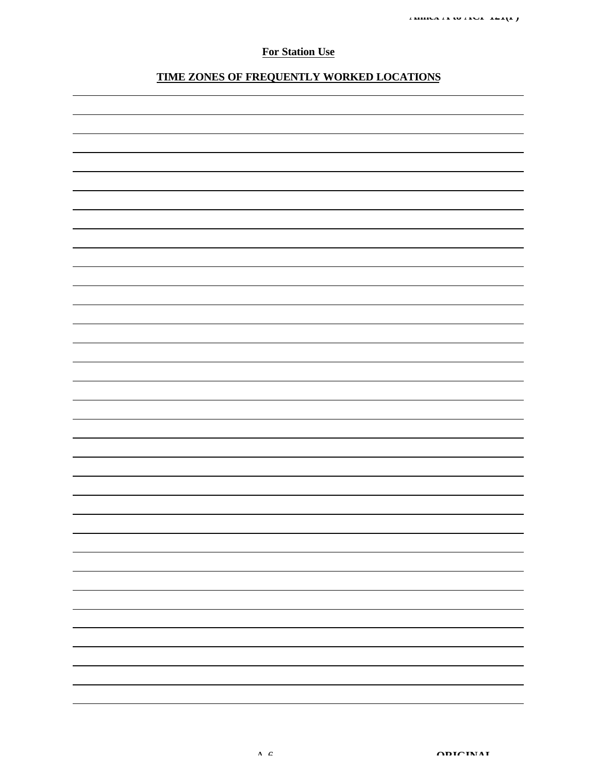## **For Station Use**

## **TIME ZONES OF FREQUENTLY WORKED LOCATIONS**

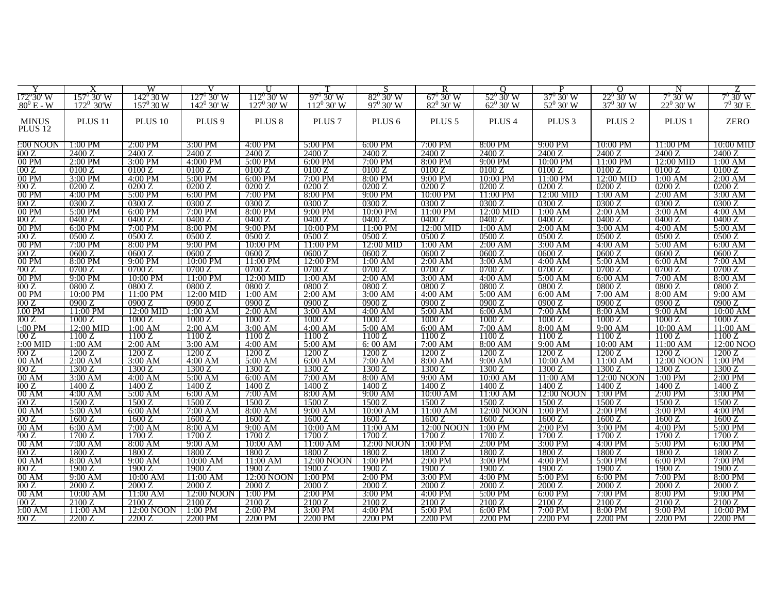|                     |                     | W                    |                             |                     |                         | S                      | R                  | $\Omega$           | D                    | $\Omega$           | N                 |                       |
|---------------------|---------------------|----------------------|-----------------------------|---------------------|-------------------------|------------------------|--------------------|--------------------|----------------------|--------------------|-------------------|-----------------------|
| $172^{\circ}30'$ W  | $157^{\circ}$ 30' W | 142° 30 W            | $127^{\circ}$ 30' W         | $112^{\circ} 30' W$ | $97^{\circ}$ 30' W      | $82^{\circ}$ 30' W     | $67^{\circ}$ 30' W | $52^{\circ}$ 30' W | 37° 30′ W            | $22^{\circ}$ 30' W | 7º 30' W          | 7º 30' W              |
| $.80^{\circ}$ E - W | $172^0$ 30'W        | $157^{\circ} 30 W$   | $142^{\circ}$ 30' W         | $127^0$ 30' W       | $112^0$ 30' W           | $97^0$ 30' W           | $82^0$ 30' W       | $62^{\circ}$ 30' W | $52^0$ 30' W         | $37^{\circ}30'$ W  | $22^0$ 30' W      | $7^0$ 30' E           |
|                     |                     |                      |                             |                     |                         |                        |                    |                    |                      |                    |                   |                       |
| <b>MINUS</b>        | PLUS <sub>11</sub>  | PLUS <sub>10</sub>   | PLUS <sub>9</sub>           | PLUS <sub>8</sub>   | PLUS <sub>7</sub>       | PLUS <sub>6</sub>      | PLUS <sub>5</sub>  | PLUS <sub>4</sub>  | PLUS <sub>3</sub>    | PLUS <sub>2</sub>  | PLUS <sub>1</sub> | <b>ZERO</b>           |
| PLUS <sub>12</sub>  |                     |                      |                             |                     |                         |                        |                    |                    |                      |                    |                   |                       |
|                     |                     |                      |                             |                     |                         |                        |                    |                    |                      |                    |                   |                       |
| $2:00$ NOON         | 1:00 PM             | 2:00 PM              | 3:00 PM                     | 4:00 PM             | $5:00$ PM               | $6:00 \text{ PM}$      | 7:00 PM            | 8:00 PM            | 9:00 PM              | 10:00 PM           | 11:00 PM          | $10:00$ MID           |
| 100Z                | 24007               | 2400.7               | 2400.7                      | 2400 Z              | 2400.7                  | 2400.7                 | 24007              | 2400.7             | 2400                 | 2400.7             | 2400.7            | 2400.7                |
| 00 P <sub>M</sub>   | $2:00$ PM           | 3:00 PM              | 4:000 PM                    | 5:00 PM             | $\overline{6}$ :00 PM   | $7:00$ PM              | 8:00 PM            | 9:00 PM            | 10:00 PM             | 11:00 PM           | 12:00 MID         | 1:00 AM               |
| 100 Z               | 0100 Z              | 0100 Z               | 0100 Z                      | $\sqrt{0100}$ Z     | 0100 Z                  | 0100 Z                 | 0100 Z             | 0100 Z             | 0100 Z               | 0100 Z             | 0100 Z            | 0100 Z                |
| 00 PM               | $3:00$ PM           | $4:00$ PM            | $5:00 \text{ } \mathrm{PN}$ | $6:00 \text{ PM}$   | 7:00 P <sub>N</sub>     | $8:00$ PM              | $9:00 \text{ PM}$  | $10:00 \text{ PM}$ | 11:00 PM             | 12:00 MID          | 1:00 AM           | $2:00$ AM             |
| 200 Z               | 0200 Z              | 0200 Z               | 0200 Z                      | 0200 Z              | 0200Z                   | 0200 Z                 | 0200 Z             | 0200 Z             | 0200Z                | 0200 Z             | 0200 Z            | 0200 Z                |
| 00 P <sub>M</sub>   | $4:00$ PM           | 5:00 PM              | $6:00$ PM                   | 7:00 PM             | 8:00 PM                 | 9:00 PM                | 10:00 PM           | 11:00 PM           | 12:00 MID            | 1:00 AM            | $2:00$ AM         | $3:00$ AM             |
| 300 Z               | 0300.7              | 03007                | 0300.7                      | 0300.7              | 0300.7                  | 0300 Z                 | 03007              | 03007              | 0300                 | 0300.7             | 0300.7            | 0300.7                |
| 00 P <sub>M</sub>   | $5:00$ PM           | 6:00 PM              | $7:00$ PM                   | 8:00 PM             | $9:00$ PM               | 10:00 PM               | $11:00$ PM         | $12:00$ MID        | $\overline{1:}00$ AM | 2:00 AM            | $3:00$ AM         | 4:00 AM               |
| 100 Z               | 0400 Z              | 0400 Z               | 0400 Z                      | 0400 Z              | 0400 Z                  | 0400 Z                 | 0400 Z             | 0400 Z             | 0400 Z               | 0400 Z             | 0400 Z            | 0400 Z                |
| 00 P <sub>M</sub>   | $6:00$ PM           | 7:00 PM              | 8:00 PM                     | 9:00 PM             | $10:00$ PM              | 11:00 PM               | 12:00 MID          | 1:00 AM            | $2:00$ AM            | $3:00$ AM          | 4:00 AM           | 5:00 AM               |
| 500 Z               | 0500 Z              | 0500 Z               | 0500 Z                      | 0500 Z              | 0500 Z                  | 0500 Z                 | 0500 Z             | 0500 Z             | $\overline{0}500$ Z  | 0500 Z             | 0500 Z            | 0500 Z                |
| $00\ \mathrm{PM}$   | 7:00 PM             | 8:00 PM              | 9:00 PM                     | 10:00 PM            | $11:00$ PM              |                        | 1:00 AM            |                    | 3:00 AM              |                    |                   | 6:00 AM               |
|                     |                     |                      |                             |                     |                         | 12:00 MID              |                    | 2:00 AM            |                      | 4:00 AM            | 5:00 AM           |                       |
| 500 Z               | 06007               | 0600.7               | 0600Z                       | 0600Z               | 0600Z                   | 0600Z                  | 0600Z              | 0600 Z             | 0600Z                | 0600Z              | 0600Z             | 0600Z                 |
| $00$ PM             | 8:00 PM             | 9:00 PM              | 10:00 PM                    | $11:00$ PM          | $\overline{12:}00$ PM   | 1:00 AM                | 2:00 AM            | 3:00 AM            | 4:00 AM              | 5:00 AM            | 6:00 AM           | 7:00 AM               |
| 700 Z               | 0700 Z              | 0700 Z               | 0700 Z                      | 0700 Z              | 0700 Z                  | 0700 Z                 | 0700 Z             | 0700 Z             | 0700 Z               | 0700 Z             | 0700 Z            | 0700 Z                |
| 00 PM               | $9:00 \text{ }$ PM  | 10:00 PM             | $11:00$ PM                  | 12:00 MID           | 1:00 AM                 | $2:00$ AM              | $3:00$ AM          | $4:00$ AM          | $5:00$ AM            | 6:00 AM            | $7:00$ AM         | 8:00 AM               |
| 300 Z               | 0800 Z              | 0800 Z               | 0800 Z                      | 0800 Z              | 0800 Z                  | 0800 Z                 | 0800 Z             | 0800 Z             | 0800 Z               | 0800 Z             | 0800 Z            | 0800 Z                |
| 00 P <sub>M</sub>   | 10:00 PM            | 11:00 PM             | 12:00 MID                   | 1:00 AM             | $2:00$ AM               | 3:00 AM                | $4:00 \text{ AM}$  | $5:00$ AM          | 6:00 AM              | 7:00 AM            | $8:00 \text{ AM}$ | 9:00 AM               |
| 00Z                 | 0900.7              | 09007                | 09007                       | 0900Z               | 0900Z                   | 0900 Z                 | 0900Z              | 0900 Z             | 09007                | 0900.7             | 0900 Z            | 0900.7                |
| $0.00$ PM           | $11:00$ PM          | 12:00 MID            | 1:00 AM                     | $2:00$ AM           | 3:00 AM                 | $4:00$ AM              | 5:00 AM            | 6:00 AM            | 7:00 AM              | 8:00 AM            | 9:00 AM           | 10:00 AM              |
| )00 Z               | 1000 Z              | 1000 Z               | 1000 Z                      | 1000 Z              | 1000 Z                  | 1000 Z                 | 1000 Z             | 1000 Z             | 1000 Z               | 1000 Z             | 1000 Z            | 1000 Z                |
| $1:00$ PM           | $12:00$ MID         | $1:00 \text{ AM}$    | $2:00$ AM                   | $3:00$ AM           | 4:00 AM                 | $5:00$ AM              | 6:00 AM            | 7:00 AM            | 8:00 AM              | 9:00 AM            | 10:00 AM          | $\overline{1}1:00$ AM |
| 100 Z               | 1100 Z              | 1100 Z               | 1100 Z                      | 1100 Z              | 1100 Z                  | 1100 Z                 | 1100 Z             | 1100 Z             | 1100 Z               | 1100 Z             | 1100 Z            | 1100 Z                |
| $2:00$ MID          | $1:00$ AM           | 2:00 AM              | 3:00 AM                     | 4:00 AM             | $5:00$ AM               | 6:00 AM                | 7:00 AM            | 8:00 AM            | 9:00 AM              | 10:00 AM           | 11:00 AM          | 12:00 NOO             |
| 200Z                | 1200 Z              | 1200 Z               | 1200 Z                      | 1200.7              | 1200 Z                  | 1200 Z                 | 1200.7             | 1200 Z             | 1200.7               | 1200.7             | 1200.7            | 1200.7                |
| 00 AM               | $2:00$ AM           | $\overline{3:}00$ AM | $4:00$ AM                   | $5:00$ AM           | 6:00 AM                 | 7:00 AM                | 8:00 AM            | $9:00$ AM          | 10:00 AM             | 11:00 AM           | 12:00 NOON        | $1:00$ PM             |
| 300 Z               | 1300 Z              | 1300 Z               | 1300 Z                      | 1300 Z              | 1300 Z                  | 1300 Z                 | 1300 Z             | 1300 Z             | 1300 Z               | 1300 Z             | 1300 Z            | 1300 Z                |
| 00AM                | $3:00$ AM           | $4:00$ AM            | $5:00$ AM                   | $6:00$ AM           | 7:00 AM                 | 8:00 AM                | $9:00$ AM          | $10:00$ AM         | 11:00 AM             | 12:00 NOON         | $1:00$ PM         | $2:00$ PM             |
| 100 Z               | 1400 Z              | 1400 Z               | 1400 Z                      | 1400 Z              | 1400 Z                  | 1400 Z                 | 1400 Z             | 1400 Z             | 1400 Z               | 1400 Z             | 1400 Z            | 1400 Z                |
| 00 AM               | 4:00 AM             | 5:00 AM              | 6:00 AM                     | 7:00 AM             | 8:00 AM                 | 9:00 AM                | $10:00$ AM         | 11:00 AM           | 12:00 NOON           | 1:00 PM            | 2:00 PM           | $3:00$ PM             |
| 500 Z               | 1500.7              | 1500 Z               | 1500 Z                      | 1500 Z              | 1500 Z                  | 1500 Z                 | 1500.2             | 1500.7             | 1500 Z               | 1500.2             | 1500.7            | 1500 Z                |
| 00 AM               | 5:00 AM             | $6:00$ AM            | 7:00 AM                     | 8:00 AM             | 9:00 AM                 | $10:00$ AM             | 11:00 AM           | 12:00 NOON         | $1:00$ PM            | $2:00$ PM          | $3:00$ PM         | $4:00$ PM             |
| 500 Z               | 1600 Z              | 1600 Z               | 1600 Z                      | 1600 Z              | 1600 Z                  | 1600 Z                 | 1600 Z             | 1600 Z             | 1600 Z               | 1600 Z             | 1600 Z            | 1600 Z                |
| 00 AM               | 6:00 AM             | 7:00 AM              | 8:00 AM                     | $9:00$ AM           | $\overline{10}$ :00 AM  | $\overline{11}$ :00 AM | $12:00$ NOON       | $1:00$ PM          | $2:00$ PM            | $3:00$ PM          | $4:00 \text{ PM}$ | $5:00$ PM             |
| 700 Z               | 1700.7              | 1700.7               | 1700 Z                      | 1700 Z              | 1700 Z                  | 1700 Z                 | 1700 Z             | 1700 Z             | 1700 Z               | 1700 Z             | 1700 Z            | 1700.7                |
| 00 AM               | 7:00 AM             | 8:00 AM              | 9:00 AM                     | 10:00 AM            | 11:00 AM                | 12:00 NOON             | 1:00 PM            | 2:00 PM            | 3:00 PM              | 4:00 PM            | 5:00 PM           | $6:00$ PM             |
| 300Z                | 1800.7              | 18007                | 1800.7                      | 18007               | 1800.7                  | 1800.2                 | 1800 Z             | 1800.7             | 1800 Z               | 1800.7             | 1800.7            | 1800 Z                |
| 00 AM               | 8:00 AM             | $\overline{9:}00$ AM | $10:00$ AM                  | 11:00 AM            | $\overline{12:}00$ NOON | $1:00$ PM              | $2:00$ PM          | 3:00 PM            | 4:00 PM              | 5:00 PM            | $6:00$ PM         | 7:00 PM               |
| 00Z                 | 1900 Z              | 1900 Z               | 1900 Z                      | 1900 Z              | 1900 Z                  | 1900 Z                 | 1900 Z             | 1900 Z             | 1900 Z               | 1900 Z             | 1900 Z            | 1900 Z                |
| 00 AM               | $9:00$ AM           | $10:00$ AM           | 11:00 AM                    | 12:00 NOON          | $1:00$ PM               | $2:00$ PM              | $3:00$ PM          | $4:00$ PM          | $5:00$ PM            | $6:00$ PM          | $7:00$ PM         | $8:00$ PM             |
| )00 Z               | 2000 Z              | 2000 Z               | 2000 Z                      | 2000 Z              | 2000 Z                  | 2000 Z                 | 2000 Z             | 2000 Z             | 2000 Z               | 2000 Z             | 2000 Z            | 2000 Z                |
| 00 AM               | 10:00 AM            | 11:00 AM             | 12:00 NOON                  | 1:00 PM             | $2:00$ PM               | 3:00 PM                | $-4:00$ PM         | 5:00 PM            | $6:00$ PM            | $7:00$ PM          | 8:00 PM           | $9:00$ PM             |
| 100 Z               | 2100.7              | 2100.7               | 2100.7                      | 2100.7              | 2100.7                  | 2100.7                 | 2100.7             | 2100 Z             | 2100.7               | 2100.7             | 2100.7            | 2100.7                |
| ):00 AM             | 11:00 AM            | 12:00 NOON 1 1:00 PM |                             | $2:00$ PM           | $3:00$ PM               | 4:00 PM                | 5:00 PM            | $6:00$ PM          | 7:00 PM              | 8:00 PM            | 9:00 PM           | $10:00$ PM            |
| 200 Z               | 2200 Z              | 2200 Z               | 2200 PM                     | 2200 PM             | 2200 PM                 | 2200 PM                | 2200 PM            | 2200 PM            | 2200 PM              | 2200 PM            | 2200 PM           | 2200 PM               |
|                     |                     |                      |                             |                     |                         |                        |                    |                    |                      |                    |                   |                       |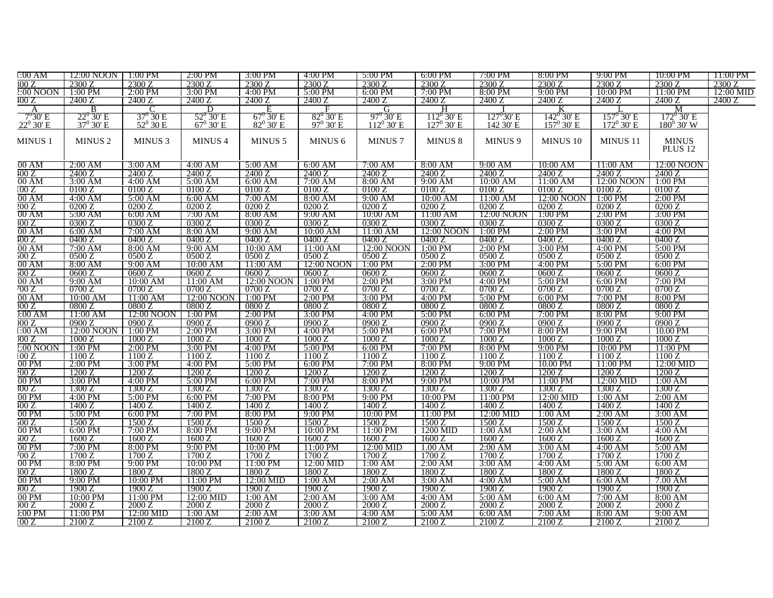| 1:00 AM            | 12:00 NOON           | $1:00 \text{ PM}$ | $2:00$ PM          | $3:00$ PM          | $4:00$ PM            | 5:00 PM            | $6:00$ PM           | 7:00 PM             | 8:00 PM             | 9:00 PM              | $10:00$ PM          | 11:00 PM  |
|--------------------|----------------------|-------------------|--------------------|--------------------|----------------------|--------------------|---------------------|---------------------|---------------------|----------------------|---------------------|-----------|
| $\sqrt{300}$ Z     | 2300 Z               | 2300 Z            | 2300 Z             | 2300 Z             | 2300 Z               | 2300 Z             | 2300 Z              | 2300 Z              | 2300 Z              | 2300 Z               | 2300 Z              | 2300 Z    |
| $2:00$ NOON        | $1:00$ PM            | $2:00$ PM         | 3:00 PM            | $4:00$ PM          | 5:00 PM              | $6:00$ PM          | $7:00$ PM           | 8:00 PM             | $9:00$ PM           | $10:00$ PM           | $11:00$ PM          | 12:00 MID |
| 100 Z              | 2400 Z               | 2400 Z            | 2400 Z             | 2400 Z             | 2400 Z               | 2400 Z             | 2400 Z              | 2400 Z              | 2400 Z              | 2400 Z               | 2400 Z              | 2400 Z    |
| A                  | B                    |                   | D                  | F.                 |                      | G                  | н                   |                     |                     |                      | М                   |           |
| $7^{\circ}30'$ E   | $22^{\circ}$ 30' E   | $37^{\circ}$ 30 E | $52^{\circ}$ 30' E | $67^\circ$ 30' E   | $82^0$ 30' E         | $97^{\circ}$ 30' E | $112^{\circ}$ 30' E | $127^{\circ}30'$ E  | $142^{\circ}$ 30' E | $157^{\circ}$ 30' E  | $172^{\circ}$ 30' E |           |
| $22^0$ 30' E       | $37^{\circ}$ 30' E   | $52^0 30 E$       | $67^{\circ}$ 30' E | $82^0$ 30' E       | $97^{\circ}$ 30' E   | $112^{\circ}30'$ E | $127^{\rm o}$ 30' E | 142 30' E           | $157^{\rm o}$ 30' E | $172^{\circ}$ 30' E  | $180^0$ 30' W       |           |
|                    |                      |                   |                    |                    |                      |                    |                     |                     |                     |                      |                     |           |
| MINUS <sub>1</sub> | <b>MINUS 2</b>       | <b>MINUS 3</b>    | <b>MINUS 4</b>     | <b>MINUS 5</b>     | MINUS <sub>6</sub>   | <b>MINUS7</b>      | MINUS <sub>8</sub>  | MINUS <sub>9</sub>  | MINUS 10            | MINUS 11             | <b>MINUS</b>        |           |
|                    |                      |                   |                    |                    |                      |                    |                     |                     |                     |                      | PLUS <sub>12</sub>  |           |
|                    |                      |                   |                    |                    |                      |                    |                     |                     |                     |                      |                     |           |
| 00AM               | 2:00 AM              | 3:00 AM           | 4:00 AM            | 5:00 AM            | 6:00 AM              | 7:00 AM            | 8:00 AM             | 9:00 AM             | 10:00 AM            | $11:00 \text{ AM}$   | 12:00 NOON          |           |
| 100 Z              | 2400.7               | 2400 7            | 2400.7             | 2400.7             | 2400 Z               | 2400.7             | 2400 7              | 2400 Z              | 2400.7              | 2400.7               | 2400 7              |           |
| 00 AM              | $3:00$ AM            | 4:00 AM           | 5:00 AM            | 6:00 AM            | 7:00 AM              | 8:00 AM            | 9:00 AM             | 10:00 AM            | 11:00 AM            | 12:00 NOON           | $1:00$ PM           |           |
| 100 Z              | 0100 Z               | 0100 Z            | 0100 Z             | 0100 Z             | 0100 Z               | 0100 Z             | 0100 Z              | 0100 Z              | 0100 Z              | 0100 Z               | 0100 Z              |           |
| 00 AM              | $\overline{4:}00$ AM | $5:00$ AM         | $6:00$ AM          | 7:00 AM            | 8:00 AM              | $9:00$ AM          | 10:00 AM            | 11:00 AM            | 12:00 NOON          | $1:00$ PM            | $2:00$ PM           |           |
| 200 Z              | 0200 Z               | 0200 Z            | 0200 Z             | 0200 Z             | 0200 Z               | 0200 Z             | 0200 Z              | 0200 Z              | 0200 Z              | 0200 Z               | 0200 Z              |           |
|                    |                      |                   |                    |                    |                      |                    |                     |                     |                     |                      |                     |           |
| 00 AM              | 5:00 AM              | 6:00 AM           | 7:00 AM            | 8:00 AM            | 9:00 AM              | 10:00 AM           | 11:00 AM            | 12:00 NOON          | $1:00$ PM           | $2:00$ PM            | $3:00$ PM           |           |
| 300 Z              | 0300 Z               | 0300 Z            | 0300 Z             | 0300 Z             | 0300 Z               | 0300 Z             | 0300 Z              | 0300 Z              | 0300 Z              | 0300 Z               | 0300 Z              |           |
| 00 AM              | $6:00$ AM            | $7:00$ AM         | 8:00 AM            | $9:00$ AM          | 10:00 AM             | 11:00 AM           | 12:00 NOON          | $1:00$ PM           | $2:00$ PM           | $3:00$ PM            | $4:00$ PM           |           |
| 100 Z              | 0400 Z               | 0400 Z            | 0400 Z             | 0400 Z             | 0400 Z               | 0400 Z             | 0400 Z              | 0400 Z              | 0400 Z              | 0400 Z               | 0400 Z              |           |
| 00AM               | $7:00$ AM            | 8:00 AM           | $9:00$ AM          | 10:00 AM           | 11:00 AM             | 12:00 NOON         | $1:00$ PM           | 2:00 PM             | $3:00$ PM           | $4:00$ PM            | 5:00 PM             |           |
| 500 Z              | 0500 Z               | 0500 Z            | 0500 Z             | 0500 Z             | 0500 Z               | 0500 Z             | 0500 Z              | 0500 Z              | 0500 Z              | 0500 Z               | 0500 Z              |           |
| 00 AM              | $8:00 \text{ AM}$    | 9:00 AM           | 10:00 AM           | 11:00 AM           | 12:00 NOON           | $1:00$ PM          | $2:00$ PM           | $3:00$ PM           | 4:00 PM             | $5:00$ PM            | $6:00$ PM           |           |
| 500 Z              | 0600 Z               | 0600 Z            | 0600 Z             | 0600 Z             | 0600 Z               | 0600 Z             | 0600 Z              | 0600 Z              | 0600 Z              | 0600 Z               | 0600 Z              |           |
| 00 AM              | 9:00 AM              | 10:00 AM          | 11:00 AM           | 12:00 NOON 1:00 PM |                      | $2:00$ PM          | $3:00$ PM           | 4:00 PM             | 5:00 PM             | $6:00$ PM            | $7:00 \text{ PM}$   |           |
| 700 Z              | 0700 Z               | 0700 Z            | 0700 Z             | 0700 Z             | 0700 Z               | 0700 Z             | 0700 Z              | 0700 Z              | 0700 Z              | 0700 Z               | 0700 Z              |           |
| 00 AM              | 10:00 AM             | $11:00$ AM        | 12:00 NOON         | 1:00 PM            | $2:00$ PM            | 3:00 PM            | $4:00$ PM           | 5:00 PM             | $6:00$ PM           | $7:00$ PM            | 8:00 PM             |           |
| 300 Z              | 0800 Z               | 0800 Z            | 0800 Z             | 0800 Z             | 0800 Z               | 0800 Z             | 0800 Z              | 0800 Z              | 0800 Z              | 0800 Z               | 0800 Z              |           |
| ):00 AM            | 11:00 AM             | 12:00 NOON        | 1:00 PM            | $2:00$ PM          | 3:00 PM              | 4:00 PM            | 5:00 PM             | 6:00 PM             | 7:00 PM             | 8:00 PM              | 9:00 PM             |           |
| 000 Z              | 09007                | 0900 Z            | 0900 Z             | 0900 Z             | 0900 Z               | 0900Z              | 09007               | 0900 Z              | 09007               | 0900Z                | 0900 Z              |           |
| 1:00 AM            | 12:00 NOON           | 1:00 PM           | $2:00$ PM          | 3:00 PM            | 4:00 PM              | 5:00 PM            | 6:00 PM             | 7:00 PM             | 8:00 PM             | 9:00 PM              | 10.00 PM            |           |
| 000 Z              | 1000 Z               | 1000 Z            | 1000 Z             | 1000 Z             | 1000 Z               | 1000 Z             | 1000 Z              | 1000 Z              | 1000 Z              | 1000 Z               | 1000 Z              |           |
| $2:00$ NOON        | $1:00$ PM            | $2:00$ PM         | $3:00$ PM          | 4:00 PM            | 5:00 PM              | $6:00$ PM          | $7:00$ PM           | $8:00$ PM           | $9:00 \text{ PM}$   | $10:00$ PM           | $11:00$ PM          |           |
| 100 Z              | 1100 Z               | 1100 Z            | 1100 Z             | 1100 Z             | 1100 Z               | 1100 Z             | 1100 Z              | 1100 Z              | 1100 Z              | 1100 Z               | 1100 Z              |           |
| $00 P$ M           | $2:00$ PM            | 3:00 PM           | $4:00$ PM          | $5:00$ PM          | $6:00$ PM            | 7:00 PM            | 8:00 PM             | 9:00 PM             | 10.00 PM            | $11:00$ PM           | 12:00 MID           |           |
| 200 Z              | 1200 Z               | 1200 Z            | 1200 Z             | 1200 Z             | 1200 Z               | 1200 Z             | 1200 Z              | 1200 Z              | 1200 Z              | 1200 Z               | 1200 Z              |           |
| 00 PM              | 3:00 PM              | 4:00 PM           | 5:00 PM            | 6:00 PM            | 7:00 PM              | 8:00 PM            | 9:00 PM             | $10:00$ PM          | 11:00 PM            | 12:00 MID            | 1:00 AM             |           |
| 300 Z              | 1300 Z               | 1300 Z            | 1300 Z             | 1300 Z             | 1300 Z               | 1300 Z             | 1300 Z              | 1300 Z              | 1300 Z              | 1300 Z               | 1300 Z              |           |
| 00 PM              | $4:00$ PM            | $5:00$ PM         | $6:00$ PM          | $7:00$ PM          | 8:00 PM              | $9:00$ PM          | $10:00$ PM          | $11:00$ PM          | 12:00 MID           | 1:00 AM              | $2:00$ AM           |           |
|                    | 1400 Z               | 1400 Z            | 1400 Z             | 1400 Z             | $1400\,\overline{Z}$ | 1400 Z             | 1400 Z              |                     | 1400 Z              | 1400 Z               | 1400 Z              |           |
| 100 Z<br>00 PM     | $5:00$ PM            | 6:00 PM           | 7:00 PM            | 8:00 PM            | 9:00 PM              | 10:00 PM           | 11:00 PM            | 1400 Z<br>12:00 MID | 1:00 AM             | $2:00$ AM            | $3:00$ AM           |           |
|                    |                      |                   |                    |                    |                      |                    |                     |                     |                     |                      |                     |           |
| 500 Z              | 1500 Z               | 1500 Z            | 1500 Z             | 1500 Z             | 1500 Z               | 15007              | 1500 Z              | 1500 Z              | 1500 Z              | 1500 Z               | 1500 Z              |           |
| 00 P <sub>M</sub>  | $6:00$ PM            | $7:00$ PM         | 8:00 PM            | 9:00 PM            | 10:00 PM             | 11:00 PM           | 1200 MID            | $1:00$ AM           | $2:00$ AM           | $3:00$ AM            | $4:00$ AM           |           |
| 500 Z              | 1600 Z               | 1600 Z            | 1600 Z             | 1600 Z             | 1600 Z               | 1600 Z             | 1600 Z              | 1600 Z              | 1600 Z              | 1600 Z               | 1600 Z              |           |
| 00 P <sub>M</sub>  | $7:00$ PM            | 8:00 PM           | 9:00 PM            | 10:00 PM           | $11:00$ PM           | 12:00 MID          | $1.00$ AM           | $2:00$ AM           | $3:00$ AM           | $\overline{4:}00$ AM | 5:00 AM             |           |
| 700 Z              | 1700 Z               | 1700 Z            | 1700 Z             | 1700 Z             | 1700 Z               | 1700 Z             | 1700 Z              | 1700 Z              | $\overline{1700}$ Z | 1700 Z               | 1700 Z              |           |
| 00 P <sub>M</sub>  | 8:00 PM              | 9:00 PM           | $10:00$ PM         | $11:00$ PM         | 12:00 MID            | 1:00 AM            | 2:00 AM             | 3:00 AM             | $4:00 \text{ AM}$   | $5:00 \text{ AM}$    | 6:00 AM             |           |
| 300 Z              | 1800 Z               | 1800 Z            | 1800 Z             | 1800 Z             | 1800 Z               | 1800 Z             | 1800 Z              | 1800 Z              | 1800 Z              | 1800 Z               | 1800 Z              |           |
| 00 P <sub>M</sub>  | 9:00 PM              | 10:00 PM          | 11:00 PM           | 12:00 MID          | 1:00 AM              | $2:00$ AM          | $3:00$ AM           | $4:00$ AM           | 5:00 AM             | 6:00 AM              | 7.00 AM             |           |
| 00Z                | 1900 Z               | 1900 Z            | 1900 Z             | 1900 Z             | 1900 Z               | 1900 Z             | 1900 Z              | 1900 Z              | 1900 Z              | 1900 Z               | 1900 Z              |           |
| 00 P <sub>M</sub>  | 10:00 PM             | 11:00 PM          | 12:00 MID          | 1:00 AM            | $2:00$ AM            | $3:00$ AM          | 4:00 AM             | $5:00$ AM           | 6:00 AM             | $7:00$ AM            | $8:00$ AM           |           |
| 000 Z              | 2000 Z               | 2000 Z            | 2000 Z             | 2000 Z             | 2000 Z               | 2000 Z             | 2000 Z              | 2000 Z              | 2000 Z              | 2000 Z               | 2000 Z              |           |
| ):00 PM            | $11:00$ PM           | 12:00 MID         | $1:00 \text{ AM}$  | 2:00 AM            | 3:00 AM              | $4:00 \text{ AM}$  | $5:00 \text{ AM}$   | 6:00 AM             | 7:00 AM             | 8:00 AM              | 9:00 AM             |           |
| 100 Z              | 2100 Z               | 2100 Z            | 2100 Z             | 2100 Z             | 2100 Z               | 2100 Z             | 2100 Z              | 2100 Z              | 2100 Z              | 2100 Z               | 2100 Z              |           |
|                    |                      |                   |                    |                    |                      |                    |                     |                     |                     |                      |                     |           |